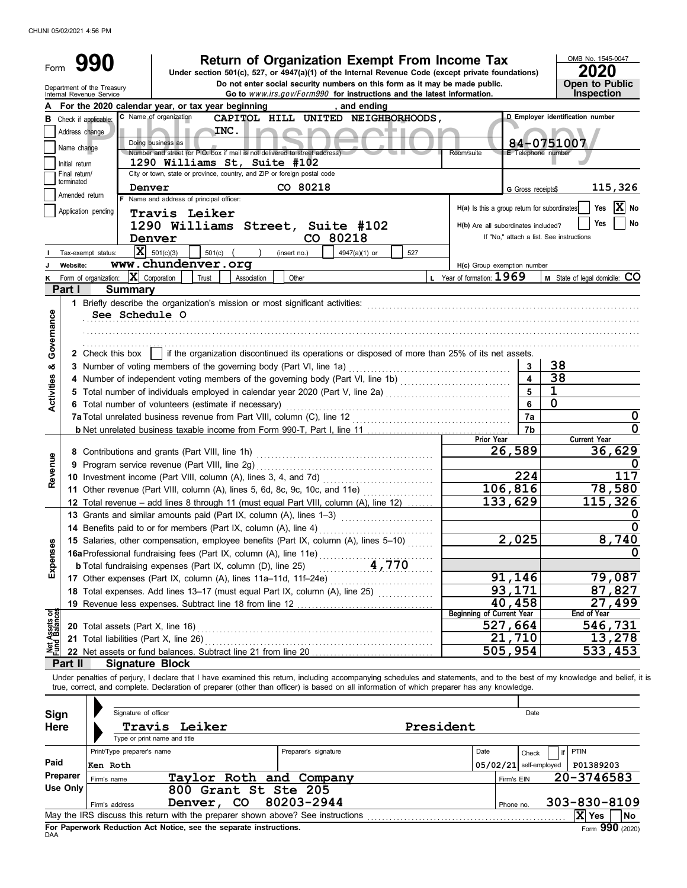| Form                           |                             |                                                                             |                                                                             |             | <b>Return of Organization Exempt From Income Tax</b><br>Under section 501(c), 527, or 4947(a)(1) of the Internal Revenue Code (except private foundations)<br>Do not enter social security numbers on this form as it may be made public. |           |                                              |                    |                                          | OMB No. 1545-0047<br>2020<br>Open to Public |
|--------------------------------|-----------------------------|-----------------------------------------------------------------------------|-----------------------------------------------------------------------------|-------------|-------------------------------------------------------------------------------------------------------------------------------------------------------------------------------------------------------------------------------------------|-----------|----------------------------------------------|--------------------|------------------------------------------|---------------------------------------------|
|                                |                             | Department of the Treasury<br>Internal Revenue Service                      |                                                                             |             | Go to www.irs.gov/Form990 for instructions and the latest information.                                                                                                                                                                    |           |                                              |                    |                                          | <b>Inspection</b>                           |
|                                |                             |                                                                             | For the 2020 calendar year, or tax year beginning<br>C Name of organization |             | , and ending<br>CAPITOL HILL UNITED NEIGHBORHOODS,                                                                                                                                                                                        |           |                                              |                    | D Employer identification number         |                                             |
|                                |                             | <b>B</b> Check if applicable:                                               | INC.                                                                        |             |                                                                                                                                                                                                                                           |           |                                              |                    |                                          |                                             |
|                                | Address change              |                                                                             | Doing business as                                                           |             |                                                                                                                                                                                                                                           |           |                                              |                    | 84-0751007                               |                                             |
|                                | Name change                 |                                                                             | Number and street (or P.O. box if mail is not delivered to street address)  |             |                                                                                                                                                                                                                                           |           | Room/suite                                   | E Telephone number |                                          |                                             |
|                                | Initial return              |                                                                             | 1290 Williams St, Suite #102                                                |             |                                                                                                                                                                                                                                           |           |                                              |                    |                                          |                                             |
|                                | Final return/<br>terminated |                                                                             | City or town, state or province, country, and ZIP or foreign postal code    |             |                                                                                                                                                                                                                                           |           |                                              |                    |                                          |                                             |
|                                | Amended return              | Denver                                                                      | F Name and address of principal officer:                                    |             | CO 80218                                                                                                                                                                                                                                  |           |                                              | G Gross receipts\$ |                                          | 115,326                                     |
|                                |                             | Application pending                                                         | Travis Leiker                                                               |             |                                                                                                                                                                                                                                           |           | H(a) Is this a group return for subordinates |                    |                                          | X No<br>Yes                                 |
|                                |                             |                                                                             |                                                                             |             | 1290 Williams Street, Suite #102                                                                                                                                                                                                          |           | H(b) Are all subordinates included?          |                    |                                          | Yes<br>No                                   |
|                                |                             |                                                                             | Denver                                                                      |             | CO 80218                                                                                                                                                                                                                                  |           |                                              |                    | If "No," attach a list. See instructions |                                             |
|                                |                             | Tax-exempt status:                                                          | $ \mathbf{X} $ 501(c)(3)<br>$501(c)$ (                                      |             | 4947(a)(1) or<br>(insert no.)                                                                                                                                                                                                             | 527       |                                              |                    |                                          |                                             |
|                                | Website:                    |                                                                             | www.chundenver.org                                                          |             |                                                                                                                                                                                                                                           |           | H(c) Group exemption number                  |                    |                                          |                                             |
|                                |                             | Form of organization:                                                       | $ \mathbf{X} $ Corporation<br>Trust                                         | Association | Other                                                                                                                                                                                                                                     |           | $L$ Year of formation: $1969$                |                    | M State of legal domicile: CO            |                                             |
|                                | Part I                      | Summary                                                                     |                                                                             |             |                                                                                                                                                                                                                                           |           |                                              |                    |                                          |                                             |
|                                |                             |                                                                             |                                                                             |             | 1 Briefly describe the organization's mission or most significant activities:                                                                                                                                                             |           |                                              |                    |                                          |                                             |
|                                |                             | See Schedule O                                                              |                                                                             |             |                                                                                                                                                                                                                                           |           |                                              |                    |                                          |                                             |
| Governance                     |                             |                                                                             |                                                                             |             |                                                                                                                                                                                                                                           |           |                                              |                    |                                          |                                             |
|                                |                             |                                                                             |                                                                             |             |                                                                                                                                                                                                                                           |           |                                              |                    |                                          |                                             |
|                                |                             | 2 Check this box                                                            |                                                                             |             | if the organization discontinued its operations or disposed of more than 25% of its net assets.                                                                                                                                           |           |                                              |                    |                                          |                                             |
| න්                             |                             |                                                                             |                                                                             |             |                                                                                                                                                                                                                                           |           |                                              | 3                  | 38                                       |                                             |
| <b>Activities</b>              |                             |                                                                             |                                                                             |             | 4 Number of independent voting members of the governing body (Part VI, line 1b)                                                                                                                                                           |           |                                              |                    | 38                                       |                                             |
|                                |                             |                                                                             |                                                                             |             | 5 Total number of individuals employed in calendar year 2020 (Part V, line 2a)                                                                                                                                                            |           |                                              | 5                  | $\mathbf{1}$                             |                                             |
|                                |                             |                                                                             | 6 Total number of volunteers (estimate if necessary)                        |             |                                                                                                                                                                                                                                           |           |                                              | 6                  | $\Omega$                                 |                                             |
|                                |                             |                                                                             |                                                                             |             |                                                                                                                                                                                                                                           |           |                                              | 7a                 |                                          | 0                                           |
|                                |                             |                                                                             |                                                                             |             |                                                                                                                                                                                                                                           |           | Prior Year                                   | 7b                 | <b>Current Year</b>                      | 0                                           |
|                                |                             |                                                                             |                                                                             |             |                                                                                                                                                                                                                                           |           |                                              | 26,589             |                                          | 36,629                                      |
| Revenue                        |                             |                                                                             | 9 Program service revenue (Part VIII, line 2g)                              |             |                                                                                                                                                                                                                                           |           |                                              |                    |                                          |                                             |
|                                |                             |                                                                             |                                                                             |             |                                                                                                                                                                                                                                           |           |                                              | 224                |                                          | 117                                         |
|                                |                             |                                                                             |                                                                             |             |                                                                                                                                                                                                                                           |           |                                              | 106,816            |                                          | 78,580                                      |
|                                |                             |                                                                             |                                                                             |             | 12 Total revenue - add lines 8 through 11 (must equal Part VIII, column (A), line 12)                                                                                                                                                     |           |                                              | 133,629            |                                          | 115,326                                     |
|                                |                             |                                                                             |                                                                             |             | 13 Grants and similar amounts paid (Part IX, column (A), lines 1-3)                                                                                                                                                                       |           |                                              |                    |                                          | O                                           |
|                                |                             |                                                                             |                                                                             |             |                                                                                                                                                                                                                                           |           |                                              |                    |                                          | 0                                           |
| 8                              |                             |                                                                             |                                                                             |             | 15 Salaries, other compensation, employee benefits (Part IX, column (A), lines 5-10)                                                                                                                                                      |           |                                              | 2,025              |                                          | 8,740                                       |
|                                |                             |                                                                             |                                                                             |             | 16a Professional fundraising fees (Part IX, column (A), line 11e)                                                                                                                                                                         |           |                                              |                    |                                          | 0                                           |
| Expens                         |                             |                                                                             | <b>b</b> Total fundraising expenses (Part IX, column (D), line 25)          |             | 4,770                                                                                                                                                                                                                                     |           |                                              |                    |                                          |                                             |
|                                |                             |                                                                             |                                                                             |             |                                                                                                                                                                                                                                           |           |                                              | 91,146             |                                          | 79,087                                      |
|                                |                             |                                                                             |                                                                             |             | 18 Total expenses. Add lines 13-17 (must equal Part IX, column (A), line 25)                                                                                                                                                              |           |                                              | 93,171             |                                          | 87,827                                      |
|                                |                             |                                                                             | 19 Revenue less expenses. Subtract line 18 from line 12                     |             |                                                                                                                                                                                                                                           |           |                                              | 40,458             |                                          | 27,499                                      |
| Net Assets or<br>Fund Balances |                             |                                                                             |                                                                             |             |                                                                                                                                                                                                                                           |           | <b>Beginning of Current Year</b>             | 527,664            | End of Year                              | 546,731                                     |
|                                |                             | 20 Total assets (Part X, line 16)<br>21 Total liabilities (Part X, line 26) |                                                                             |             |                                                                                                                                                                                                                                           |           |                                              | 21,710             |                                          | 13,278                                      |
|                                |                             |                                                                             |                                                                             |             |                                                                                                                                                                                                                                           |           |                                              | 505,954            |                                          | 533,453                                     |
|                                | Part II                     | <b>Signature Block</b>                                                      |                                                                             |             |                                                                                                                                                                                                                                           |           |                                              |                    |                                          |                                             |
|                                |                             |                                                                             |                                                                             |             | Under penalties of perjury, I declare that I have examined this return, including accompanying schedules and statements, and to the best of my knowledge and belief, it is                                                                |           |                                              |                    |                                          |                                             |
|                                |                             |                                                                             |                                                                             |             | true, correct, and complete. Declaration of preparer (other than officer) is based on all information of which preparer has any knowledge.                                                                                                |           |                                              |                    |                                          |                                             |
|                                |                             |                                                                             |                                                                             |             |                                                                                                                                                                                                                                           |           |                                              |                    |                                          |                                             |
| Sign                           |                             | Signature of officer                                                        |                                                                             |             |                                                                                                                                                                                                                                           |           |                                              | Date               |                                          |                                             |
| Here                           |                             |                                                                             | <b>Travis Leiker</b>                                                        |             |                                                                                                                                                                                                                                           | President |                                              |                    |                                          |                                             |
|                                |                             |                                                                             | Type or print name and title                                                |             |                                                                                                                                                                                                                                           |           |                                              |                    |                                          |                                             |
|                                |                             | Print/Type preparer's name                                                  |                                                                             |             | Preparer's signature                                                                                                                                                                                                                      |           | Date                                         | Check              | <b>PTIN</b><br>if                        |                                             |
| Paid                           |                             | Ken Roth                                                                    |                                                                             |             |                                                                                                                                                                                                                                           |           | $05/02/21$ self-employed                     |                    |                                          | P01389203                                   |
|                                | Preparer                    | Firm's name                                                                 |                                                                             |             | Taylor Roth and Company                                                                                                                                                                                                                   |           |                                              | Firm's EIN         | 20-3746583                               |                                             |
|                                | <b>Use Only</b>             |                                                                             | 800 Grant St Ste 205                                                        |             |                                                                                                                                                                                                                                           |           |                                              |                    |                                          |                                             |
|                                |                             | Firm's address                                                              | Denver, CO                                                                  |             | 80203-2944                                                                                                                                                                                                                                |           |                                              | Phone no.          | 303-830-8109                             |                                             |
|                                |                             |                                                                             |                                                                             |             | May the IRS discuss this return with the preparer shown above? See instructions                                                                                                                                                           |           |                                              |                    | $ X $ Yes                                | <b>No</b>                                   |

| Sign     |             | Signature of officer         |                                                                                 |                      |           |                          | Date       |                    |           |
|----------|-------------|------------------------------|---------------------------------------------------------------------------------|----------------------|-----------|--------------------------|------------|--------------------|-----------|
| Here     |             |                              | <b>Travis Leiker</b>                                                            |                      | President |                          |            |                    |           |
|          |             | Type or print name and title |                                                                                 |                      |           |                          |            |                    |           |
|          |             | Print/Type preparer's name   |                                                                                 | Preparer's signature |           | Date                     | Check      | PTIN               |           |
| Paid     |             | Ken Roth                     |                                                                                 |                      |           | $05/02/21$ self-employed |            | P01389203          |           |
| Preparer | Firm's name |                              | Taylor Roth and Company                                                         |                      |           |                          | Firm's EIN | 20-3746583         |           |
| Use Only |             |                              | 800 Grant St Ste 205                                                            |                      |           |                          |            |                    |           |
|          |             | Firm's address               | <b>CO</b><br>Denver,                                                            | 80203-2944           |           | Phone no.                |            | $303 - 830 - 8109$ |           |
|          |             |                              | May the IRS discuss this return with the preparer shown above? See instructions |                      |           |                          |            | ΙXΙ<br>Yes         | <b>No</b> |
|          |             |                              | For Paperwork Reduction Act Notice, see the separate instructions.              |                      |           |                          |            | Form 990 (2020)    |           |
| DAA      |             |                              |                                                                                 |                      |           |                          |            |                    |           |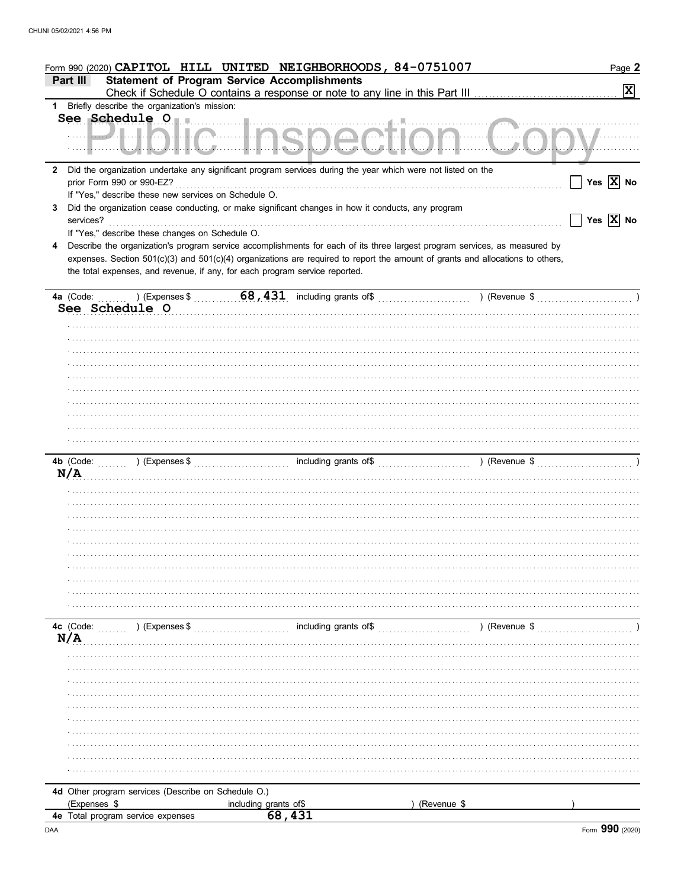|              | Form 990 (2020) CAPITOL HILL UNITED NEIGHBORHOODS, 84-0751007<br>Part III                                                                                                                         | <b>Statement of Program Service Accomplishments</b><br>Check if Schedule O contains a response or note to any line in this Part III |                                                                                                                                                                                                                                                              | Page 2<br>$ \mathbf{x} $ |
|--------------|---------------------------------------------------------------------------------------------------------------------------------------------------------------------------------------------------|-------------------------------------------------------------------------------------------------------------------------------------|--------------------------------------------------------------------------------------------------------------------------------------------------------------------------------------------------------------------------------------------------------------|--------------------------|
| $\mathbf{1}$ | Briefly describe the organization's mission:                                                                                                                                                      |                                                                                                                                     |                                                                                                                                                                                                                                                              |                          |
|              |                                                                                                                                                                                                   |                                                                                                                                     | See Schedule 0                                                                                                                                                                                                                                               |                          |
|              |                                                                                                                                                                                                   | <u>A Inchanti</u><br><u>John Harry Hammer Links and</u>                                                                             | <b>Comma</b><br>$J\Lambda$ , which is the set of $\Lambda$                                                                                                                                                                                                   |                          |
| $\mathbf{2}$ | Did the organization undertake any significant program services during the year which were not listed on the<br>prior Form 990 or 990-EZ?<br>If "Yes," describe these new services on Schedule O. |                                                                                                                                     |                                                                                                                                                                                                                                                              | Yes $\overline{X}$ No    |
| 3            | Did the organization cease conducting, or make significant changes in how it conducts, any program<br>services?                                                                                   |                                                                                                                                     |                                                                                                                                                                                                                                                              | Yes $\overline{X}$ No    |
| 4            | If "Yes," describe these changes on Schedule O.<br>the total expenses, and revenue, if any, for each program service reported.                                                                    |                                                                                                                                     | Describe the organization's program service accomplishments for each of its three largest program services, as measured by<br>expenses. Section 501(c)(3) and 501(c)(4) organizations are required to report the amount of grants and allocations to others, |                          |
|              | 4a (Code:                                                                                                                                                                                         |                                                                                                                                     |                                                                                                                                                                                                                                                              |                          |
|              | See Schedule O                                                                                                                                                                                    | <u> 1986 - Johann Stoff, Amerikaansk politiker (d. 1986)</u>                                                                        |                                                                                                                                                                                                                                                              |                          |
|              |                                                                                                                                                                                                   |                                                                                                                                     |                                                                                                                                                                                                                                                              |                          |
|              |                                                                                                                                                                                                   |                                                                                                                                     |                                                                                                                                                                                                                                                              |                          |
|              |                                                                                                                                                                                                   |                                                                                                                                     |                                                                                                                                                                                                                                                              |                          |
|              |                                                                                                                                                                                                   |                                                                                                                                     |                                                                                                                                                                                                                                                              |                          |
|              |                                                                                                                                                                                                   |                                                                                                                                     |                                                                                                                                                                                                                                                              |                          |
|              | 4b (Code:<br>) (Expenses \$<br>N/A                                                                                                                                                                |                                                                                                                                     | including grants of $\text{S}$ (Revenue $\text{S}$ )                                                                                                                                                                                                         |                          |
|              |                                                                                                                                                                                                   |                                                                                                                                     |                                                                                                                                                                                                                                                              |                          |
|              |                                                                                                                                                                                                   |                                                                                                                                     |                                                                                                                                                                                                                                                              |                          |
|              |                                                                                                                                                                                                   |                                                                                                                                     |                                                                                                                                                                                                                                                              |                          |
|              |                                                                                                                                                                                                   |                                                                                                                                     |                                                                                                                                                                                                                                                              |                          |
|              |                                                                                                                                                                                                   |                                                                                                                                     |                                                                                                                                                                                                                                                              |                          |
|              |                                                                                                                                                                                                   |                                                                                                                                     |                                                                                                                                                                                                                                                              |                          |
|              |                                                                                                                                                                                                   |                                                                                                                                     |                                                                                                                                                                                                                                                              |                          |
|              |                                                                                                                                                                                                   |                                                                                                                                     |                                                                                                                                                                                                                                                              |                          |
|              |                                                                                                                                                                                                   |                                                                                                                                     |                                                                                                                                                                                                                                                              |                          |
|              |                                                                                                                                                                                                   |                                                                                                                                     |                                                                                                                                                                                                                                                              |                          |
|              | N/A                                                                                                                                                                                               |                                                                                                                                     |                                                                                                                                                                                                                                                              |                          |
|              |                                                                                                                                                                                                   |                                                                                                                                     |                                                                                                                                                                                                                                                              |                          |
|              |                                                                                                                                                                                                   |                                                                                                                                     |                                                                                                                                                                                                                                                              |                          |
|              |                                                                                                                                                                                                   |                                                                                                                                     |                                                                                                                                                                                                                                                              |                          |
|              |                                                                                                                                                                                                   |                                                                                                                                     |                                                                                                                                                                                                                                                              |                          |
|              |                                                                                                                                                                                                   |                                                                                                                                     |                                                                                                                                                                                                                                                              |                          |
|              |                                                                                                                                                                                                   |                                                                                                                                     |                                                                                                                                                                                                                                                              |                          |
|              |                                                                                                                                                                                                   |                                                                                                                                     |                                                                                                                                                                                                                                                              |                          |
|              |                                                                                                                                                                                                   |                                                                                                                                     |                                                                                                                                                                                                                                                              |                          |
|              |                                                                                                                                                                                                   |                                                                                                                                     |                                                                                                                                                                                                                                                              |                          |
|              |                                                                                                                                                                                                   |                                                                                                                                     |                                                                                                                                                                                                                                                              |                          |
|              | 4d Other program services (Describe on Schedule O.)                                                                                                                                               |                                                                                                                                     |                                                                                                                                                                                                                                                              |                          |
|              | (Expenses \$                                                                                                                                                                                      | including grants of\$                                                                                                               | (Revenue \$                                                                                                                                                                                                                                                  |                          |
|              | 4e Total program service expenses                                                                                                                                                                 | 68,431                                                                                                                              |                                                                                                                                                                                                                                                              |                          |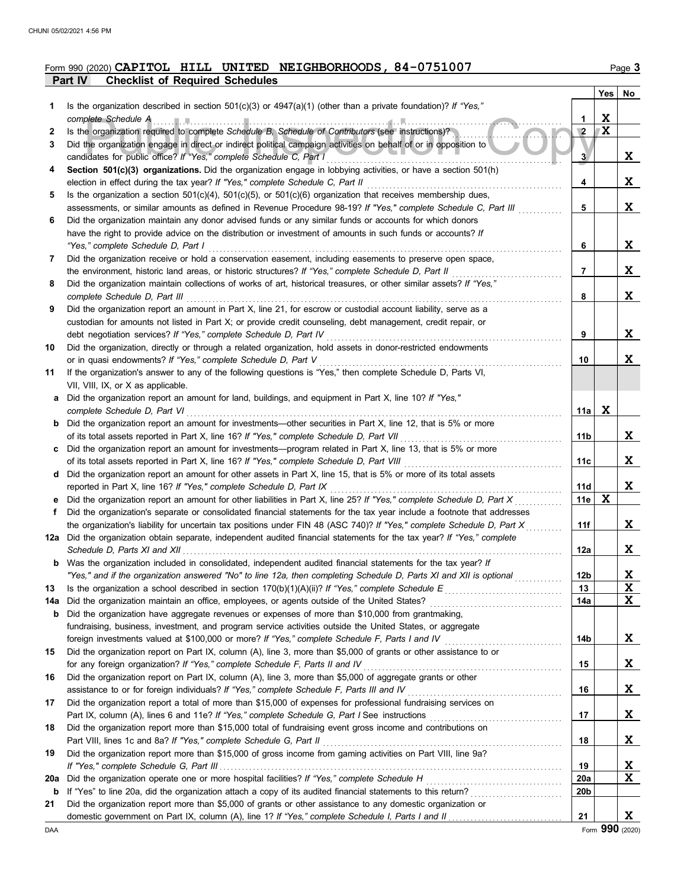## **Part IV Checklist of Required Schedules Form 990 (2020) CAPITOL HILL UNITED NEIGHBORHOODS, 84-0751007** Page 3

|     | Part IV<br><b>CHECKIST OF REQUITED SCHEDULES</b>                                                                                                                                           |                 |             |    |
|-----|--------------------------------------------------------------------------------------------------------------------------------------------------------------------------------------------|-----------------|-------------|----|
|     |                                                                                                                                                                                            |                 | Yes         | No |
| 1   | Is the organization described in section $501(c)(3)$ or $4947(a)(1)$ (other than a private foundation)? If "Yes,"                                                                          |                 |             |    |
|     | complete Schedule A Production Complete Schedule A Production Complete Schedule A                                                                                                          | 1               | X           |    |
| 2   | Is the organization required to complete Schedule B, Schedule of Contributors (see instructions)?                                                                                          | $\overline{2}$  | $\mathbf x$ |    |
| 3   | Did the organization engage in direct or indirect political campaign activities on behalf of or in opposition to                                                                           |                 |             |    |
|     | candidates for public office? If "Yes," complete Schedule C, Part I                                                                                                                        | 3               |             | X  |
| 4   | Section 501(c)(3) organizations. Did the organization engage in lobbying activities, or have a section 501(h)                                                                              |                 |             |    |
|     | election in effect during the tax year? If "Yes," complete Schedule C, Part II                                                                                                             | 4               |             | X  |
| 5   | Is the organization a section $501(c)(4)$ , $501(c)(5)$ , or $501(c)(6)$ organization that receives membership dues,                                                                       |                 |             |    |
|     | assessments, or similar amounts as defined in Revenue Procedure 98-19? If "Yes," complete Schedule C, Part III                                                                             | 5               |             | X  |
| 6   | Did the organization maintain any donor advised funds or any similar funds or accounts for which donors                                                                                    |                 |             |    |
|     | have the right to provide advice on the distribution or investment of amounts in such funds or accounts? If<br>"Yes," complete Schedule D, Part I                                          | 6               |             | X  |
| 7   | Did the organization receive or hold a conservation easement, including easements to preserve open space,                                                                                  |                 |             |    |
|     | the environment, historic land areas, or historic structures? If "Yes," complete Schedule D, Part II                                                                                       | 7               |             | X  |
| 8   | Did the organization maintain collections of works of art, historical treasures, or other similar assets? If "Yes,"                                                                        |                 |             |    |
|     | complete Schedule D, Part III                                                                                                                                                              | 8               |             | X  |
| 9   | Did the organization report an amount in Part X, line 21, for escrow or custodial account liability, serve as a                                                                            |                 |             |    |
|     | custodian for amounts not listed in Part X; or provide credit counseling, debt management, credit repair, or                                                                               |                 |             |    |
|     | debt negotiation services? If "Yes," complete Schedule D, Part IV                                                                                                                          | 9               |             | X  |
| 10  | Did the organization, directly or through a related organization, hold assets in donor-restricted endowments                                                                               |                 |             |    |
|     | or in quasi endowments? If "Yes," complete Schedule D, Part V                                                                                                                              | 10              |             | X  |
| 11  | If the organization's answer to any of the following questions is "Yes," then complete Schedule D, Parts VI,                                                                               |                 |             |    |
|     | VII, VIII, IX, or X as applicable.                                                                                                                                                         |                 |             |    |
| a   | Did the organization report an amount for land, buildings, and equipment in Part X, line 10? If "Yes,"                                                                                     |                 |             |    |
|     | complete Schedule D, Part VI                                                                                                                                                               | 11a             | X           |    |
| b   | Did the organization report an amount for investments—other securities in Part X, line 12, that is 5% or more                                                                              |                 |             |    |
|     | of its total assets reported in Part X, line 16? If "Yes," complete Schedule D, Part VII                                                                                                   | 11 <sub>b</sub> |             | X  |
|     | Did the organization report an amount for investments—program related in Part X, line 13, that is 5% or more                                                                               |                 |             |    |
|     | of its total assets reported in Part X, line 16? If "Yes," complete Schedule D, Part VIII                                                                                                  | 11с             |             | x  |
|     | d Did the organization report an amount for other assets in Part X, line 15, that is 5% or more of its total assets                                                                        |                 |             |    |
|     | reported in Part X, line 16? If "Yes," complete Schedule D, Part IX                                                                                                                        | 11d             |             | X  |
|     | Did the organization report an amount for other liabilities in Part X, line 25? If "Yes," complete Schedule D, Part X                                                                      | 11e             | X           |    |
| f   | Did the organization's separate or consolidated financial statements for the tax year include a footnote that addresses                                                                    |                 |             |    |
|     | the organization's liability for uncertain tax positions under FIN 48 (ASC 740)? If "Yes," complete Schedule D, Part X                                                                     | 11f             |             | X  |
|     | 12a Did the organization obtain separate, independent audited financial statements for the tax year? If "Yes," complete                                                                    |                 |             |    |
|     |                                                                                                                                                                                            | 12a             |             | X  |
|     | <b>b</b> Was the organization included in consolidated, independent audited financial statements for the tax year? If                                                                      |                 |             |    |
|     | "Yes," and if the organization answered "No" to line 12a, then completing Schedule D, Parts XI and XII is optional                                                                         | 12 <sub>b</sub> |             | X  |
| 13  |                                                                                                                                                                                            | 13              |             | X  |
| 14a |                                                                                                                                                                                            | 14a             |             | X  |
| b   | Did the organization have aggregate revenues or expenses of more than \$10,000 from grantmaking,                                                                                           |                 |             |    |
|     | fundraising, business, investment, and program service activities outside the United States, or aggregate                                                                                  |                 |             |    |
|     | foreign investments valued at \$100,000 or more? If "Yes," complete Schedule F, Parts I and IV                                                                                             | 14b             |             | X  |
| 15  | Did the organization report on Part IX, column (A), line 3, more than \$5,000 of grants or other assistance to or                                                                          |                 |             | X  |
|     | for any foreign organization? If "Yes," complete Schedule F, Parts II and IV<br>Did the organization report on Part IX, column (A), line 3, more than \$5,000 of aggregate grants or other | 15              |             |    |
| 16  | assistance to or for foreign individuals? If "Yes," complete Schedule F, Parts III and IV                                                                                                  | 16              |             | X  |
| 17  | Did the organization report a total of more than \$15,000 of expenses for professional fundraising services on                                                                             |                 |             |    |
|     |                                                                                                                                                                                            | 17              |             | X  |
| 18  | Did the organization report more than \$15,000 total of fundraising event gross income and contributions on                                                                                |                 |             |    |
|     |                                                                                                                                                                                            | 18              |             | X  |
| 19  | Did the organization report more than \$15,000 of gross income from gaming activities on Part VIII, line 9a?                                                                               |                 |             |    |
|     |                                                                                                                                                                                            | 19              |             | X  |
| 20a |                                                                                                                                                                                            | 20a             |             | X  |
| b   |                                                                                                                                                                                            | 20 <sub>b</sub> |             |    |
| 21  | Did the organization report more than \$5,000 of grants or other assistance to any domestic organization or                                                                                |                 |             |    |
|     |                                                                                                                                                                                            | 21              |             | X  |
|     |                                                                                                                                                                                            |                 |             |    |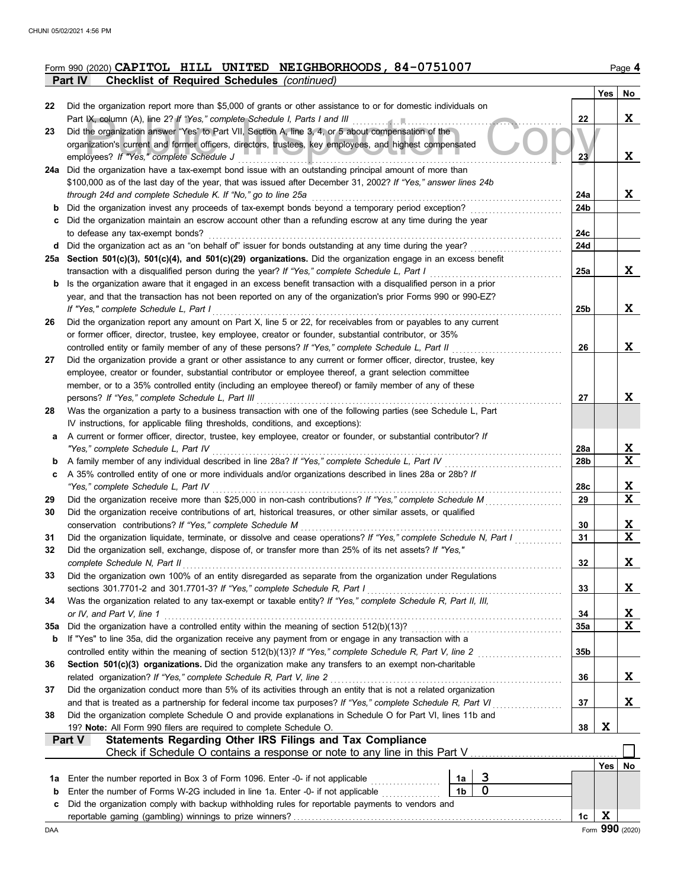|                                                            |  | Form 990 (2020) CAPITOL HILL UNITED NEIGHBORHOODS, $84-0751007$ | Page 4 |
|------------------------------------------------------------|--|-----------------------------------------------------------------|--------|
| <b>Part IV</b> Checklist of Required Schedules (continued) |  |                                                                 |        |

|        |                                                                                                                                                                                     |                      |                         |                 | Yes | No              |
|--------|-------------------------------------------------------------------------------------------------------------------------------------------------------------------------------------|----------------------|-------------------------|-----------------|-----|-----------------|
| 22     | Did the organization report more than \$5,000 of grants or other assistance to or for domestic individuals on                                                                       |                      |                         |                 |     |                 |
|        |                                                                                                                                                                                     |                      |                         | 22              |     | X               |
| 23     | Did the organization answer "Yes" to Part VII, Section A, line 3, 4, or 5 about compensation of the                                                                                 |                      |                         |                 |     |                 |
|        | organization's current and former officers, directors, trustees, key employees, and highest compensated                                                                             |                      |                         |                 |     |                 |
|        | employees? If "Yes," complete Schedule J                                                                                                                                            |                      |                         | 23 <sub>2</sub> |     | x               |
|        | 24a Did the organization have a tax-exempt bond issue with an outstanding principal amount of more than                                                                             |                      |                         |                 |     |                 |
|        | \$100,000 as of the last day of the year, that was issued after December 31, 2002? If "Yes," answer lines 24b<br>through 24d and complete Schedule K. If "No," go to line 25a       |                      |                         | 24a             |     | X               |
| b      | Did the organization invest any proceeds of tax-exempt bonds beyond a temporary period exception?                                                                                   |                      |                         | 24b             |     |                 |
| c      | Did the organization maintain an escrow account other than a refunding escrow at any time during the year                                                                           |                      |                         |                 |     |                 |
|        | to defease any tax-exempt bonds?                                                                                                                                                    |                      |                         | 24c             |     |                 |
|        | d Did the organization act as an "on behalf of" issuer for bonds outstanding at any time during the year?                                                                           |                      |                         | 24d             |     |                 |
|        | 25a Section 501(c)(3), 501(c)(4), and 501(c)(29) organizations. Did the organization engage in an excess benefit                                                                    |                      |                         |                 |     |                 |
|        | transaction with a disqualified person during the year? If "Yes," complete Schedule L, Part I                                                                                       |                      |                         | 25a             |     | X               |
| b      | Is the organization aware that it engaged in an excess benefit transaction with a disqualified person in a prior                                                                    |                      |                         |                 |     |                 |
|        | year, and that the transaction has not been reported on any of the organization's prior Forms 990 or 990-EZ?                                                                        |                      |                         |                 |     |                 |
|        | If "Yes," complete Schedule L, Part I                                                                                                                                               |                      |                         | 25 <sub>b</sub> |     | X               |
| 26     | Did the organization report any amount on Part X, line 5 or 22, for receivables from or payables to any current                                                                     |                      |                         |                 |     |                 |
|        | or former officer, director, trustee, key employee, creator or founder, substantial contributor, or 35%                                                                             |                      |                         |                 |     |                 |
|        | controlled entity or family member of any of these persons? If "Yes," complete Schedule L, Part II                                                                                  |                      |                         | 26              |     | X               |
| 27     | Did the organization provide a grant or other assistance to any current or former officer, director, trustee, key                                                                   |                      |                         |                 |     |                 |
|        | employee, creator or founder, substantial contributor or employee thereof, a grant selection committee                                                                              |                      |                         |                 |     |                 |
|        | member, or to a 35% controlled entity (including an employee thereof) or family member of any of these<br>persons? If "Yes," complete Schedule L, Part III                          |                      |                         |                 |     | X               |
| 28     | Was the organization a party to a business transaction with one of the following parties (see Schedule L, Part                                                                      |                      |                         | 27              |     |                 |
|        | IV instructions, for applicable filing thresholds, conditions, and exceptions):                                                                                                     |                      |                         |                 |     |                 |
| a      | A current or former officer, director, trustee, key employee, creator or founder, or substantial contributor? If                                                                    |                      |                         |                 |     |                 |
|        | "Yes," complete Schedule L, Part IV                                                                                                                                                 |                      |                         | 28a             |     | X               |
| b      | A family member of any individual described in line 28a? If "Yes," complete Schedule L, Part IV                                                                                     |                      |                         | 28b             |     | X               |
| c      | A 35% controlled entity of one or more individuals and/or organizations described in lines 28a or 28b? If                                                                           |                      |                         |                 |     |                 |
|        | "Yes," complete Schedule L, Part IV                                                                                                                                                 |                      |                         | 28с             |     | x               |
| 29     | Did the organization receive more than \$25,000 in non-cash contributions? If "Yes," complete Schedule M                                                                            |                      |                         | 29              |     | X               |
| 30     | Did the organization receive contributions of art, historical treasures, or other similar assets, or qualified                                                                      |                      |                         |                 |     |                 |
|        | conservation contributions? If "Yes," complete Schedule M                                                                                                                           |                      |                         | 30              |     | <u>x</u>        |
| 31     | Did the organization liquidate, terminate, or dissolve and cease operations? If "Yes," complete Schedule N, Part I                                                                  |                      |                         | 31              |     | X               |
| 32     | Did the organization sell, exchange, dispose of, or transfer more than 25% of its net assets? If "Yes,"                                                                             |                      |                         |                 |     |                 |
|        | complete Schedule N, Part II                                                                                                                                                        |                      |                         | 32              |     | X               |
| 33     | Did the organization own 100% of an entity disregarded as separate from the organization under Regulations                                                                          |                      |                         |                 |     |                 |
|        | sections 301.7701-2 and 301.7701-3? If "Yes," complete Schedule R, Part I                                                                                                           |                      |                         | 33              |     | X               |
| 34     | Was the organization related to any tax-exempt or taxable entity? If "Yes," complete Schedule R, Part II, III,<br>or IV, and Part V, line 1                                         |                      |                         | 34              |     | X               |
| 35a    |                                                                                                                                                                                     |                      |                         | <b>35a</b>      |     | X               |
| b      | If "Yes" to line 35a, did the organization receive any payment from or engage in any transaction with a                                                                             |                      |                         |                 |     |                 |
|        | controlled entity within the meaning of section 512(b)(13)? If "Yes," complete Schedule R, Part V, line 2                                                                           |                      |                         | 35b             |     |                 |
| 36     | Section 501(c)(3) organizations. Did the organization make any transfers to an exempt non-charitable                                                                                |                      |                         |                 |     |                 |
|        | related organization? If "Yes," complete Schedule R, Part V, line 2                                                                                                                 |                      |                         | 36              |     | X               |
| 37     | Did the organization conduct more than 5% of its activities through an entity that is not a related organization                                                                    |                      |                         |                 |     |                 |
|        | and that is treated as a partnership for federal income tax purposes? If "Yes," complete Schedule R, Part VI                                                                        |                      |                         | 37              |     | X               |
| 38     | Did the organization complete Schedule O and provide explanations in Schedule O for Part VI, lines 11b and                                                                          |                      |                         |                 |     |                 |
|        | 19? Note: All Form 990 filers are required to complete Schedule O.                                                                                                                  |                      |                         | 38              | X   |                 |
|        | Statements Regarding Other IRS Filings and Tax Compliance<br>Part V                                                                                                                 |                      |                         |                 |     |                 |
|        | Check if Schedule O contains a response or note to any line in this Part V                                                                                                          |                      |                         |                 |     |                 |
|        |                                                                                                                                                                                     |                      |                         |                 | Yes | No              |
| 1a     | Enter the number reported in Box 3 of Form 1096. Enter -0- if not applicable                                                                                                        | 1a<br>1 <sub>b</sub> | <u>з</u><br>$\mathbf 0$ |                 |     |                 |
| b<br>c | Enter the number of Forms W-2G included in line 1a. Enter -0- if not applicable<br>Did the organization comply with backup withholding rules for reportable payments to vendors and |                      |                         |                 |     |                 |
|        |                                                                                                                                                                                     |                      |                         | 1c              | X   |                 |
| DAA    |                                                                                                                                                                                     |                      |                         |                 |     | Form 990 (2020) |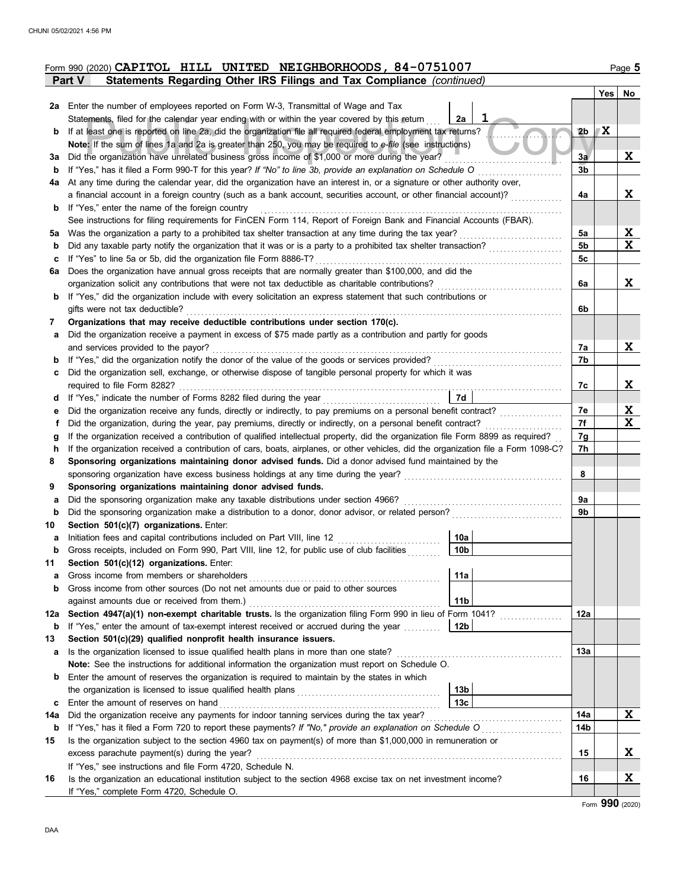| Statements Regarding Other IRS Filings and Tax Compliance (continued)<br>Part V<br>2a Enter the number of employees reported on Form W-3, Transmittal of Wage and Tax<br>Statements, filed for the calendar year ending with or within the year covered by this return<br>2a<br>If at least one is reported on line 2a, did the organization file all required federal employment tax returns?<br>b<br>Note: If the sum of lines 1a and 2a is greater than 250, you may be required to e-file (see instructions)<br>Did the organization have unrelated business gross income of \$1,000 or more during the year?<br>За<br>If "Yes," has it filed a Form 990-T for this year? If "No" to line 3b, provide an explanation on Schedule O<br>b<br>At any time during the calendar year, did the organization have an interest in, or a signature or other authority over,<br>4a<br>a financial account in a foreign country (such as a bank account, securities account, or other financial account)?<br>If "Yes," enter the name of the foreign country<br>b<br>See instructions for filing requirements for FinCEN Form 114, Report of Foreign Bank and Financial Accounts (FBAR).<br>Was the organization a party to a prohibited tax shelter transaction at any time during the tax year?<br>5а<br>b<br>If "Yes" to line 5a or 5b, did the organization file Form 8886-T?<br>c<br>Does the organization have annual gross receipts that are normally greater than \$100,000, and did the<br>6a<br>organization solicit any contributions that were not tax deductible as charitable contributions?<br>If "Yes," did the organization include with every solicitation an express statement that such contributions or<br>b | 2 <sub>b</sub><br>3a<br>3b<br>4a<br>5a<br>5b<br>5c<br>6a<br>6b | No<br>Yes  <br>7X<br>x<br>X<br>X<br>X<br>X |
|----------------------------------------------------------------------------------------------------------------------------------------------------------------------------------------------------------------------------------------------------------------------------------------------------------------------------------------------------------------------------------------------------------------------------------------------------------------------------------------------------------------------------------------------------------------------------------------------------------------------------------------------------------------------------------------------------------------------------------------------------------------------------------------------------------------------------------------------------------------------------------------------------------------------------------------------------------------------------------------------------------------------------------------------------------------------------------------------------------------------------------------------------------------------------------------------------------------------------------------------------------------------------------------------------------------------------------------------------------------------------------------------------------------------------------------------------------------------------------------------------------------------------------------------------------------------------------------------------------------------------------------------------------------------------------------------------------------------------|----------------------------------------------------------------|--------------------------------------------|
|                                                                                                                                                                                                                                                                                                                                                                                                                                                                                                                                                                                                                                                                                                                                                                                                                                                                                                                                                                                                                                                                                                                                                                                                                                                                                                                                                                                                                                                                                                                                                                                                                                                                                                                            |                                                                |                                            |
|                                                                                                                                                                                                                                                                                                                                                                                                                                                                                                                                                                                                                                                                                                                                                                                                                                                                                                                                                                                                                                                                                                                                                                                                                                                                                                                                                                                                                                                                                                                                                                                                                                                                                                                            |                                                                |                                            |
|                                                                                                                                                                                                                                                                                                                                                                                                                                                                                                                                                                                                                                                                                                                                                                                                                                                                                                                                                                                                                                                                                                                                                                                                                                                                                                                                                                                                                                                                                                                                                                                                                                                                                                                            |                                                                |                                            |
|                                                                                                                                                                                                                                                                                                                                                                                                                                                                                                                                                                                                                                                                                                                                                                                                                                                                                                                                                                                                                                                                                                                                                                                                                                                                                                                                                                                                                                                                                                                                                                                                                                                                                                                            |                                                                |                                            |
|                                                                                                                                                                                                                                                                                                                                                                                                                                                                                                                                                                                                                                                                                                                                                                                                                                                                                                                                                                                                                                                                                                                                                                                                                                                                                                                                                                                                                                                                                                                                                                                                                                                                                                                            |                                                                |                                            |
|                                                                                                                                                                                                                                                                                                                                                                                                                                                                                                                                                                                                                                                                                                                                                                                                                                                                                                                                                                                                                                                                                                                                                                                                                                                                                                                                                                                                                                                                                                                                                                                                                                                                                                                            |                                                                |                                            |
|                                                                                                                                                                                                                                                                                                                                                                                                                                                                                                                                                                                                                                                                                                                                                                                                                                                                                                                                                                                                                                                                                                                                                                                                                                                                                                                                                                                                                                                                                                                                                                                                                                                                                                                            |                                                                |                                            |
|                                                                                                                                                                                                                                                                                                                                                                                                                                                                                                                                                                                                                                                                                                                                                                                                                                                                                                                                                                                                                                                                                                                                                                                                                                                                                                                                                                                                                                                                                                                                                                                                                                                                                                                            |                                                                |                                            |
|                                                                                                                                                                                                                                                                                                                                                                                                                                                                                                                                                                                                                                                                                                                                                                                                                                                                                                                                                                                                                                                                                                                                                                                                                                                                                                                                                                                                                                                                                                                                                                                                                                                                                                                            |                                                                |                                            |
|                                                                                                                                                                                                                                                                                                                                                                                                                                                                                                                                                                                                                                                                                                                                                                                                                                                                                                                                                                                                                                                                                                                                                                                                                                                                                                                                                                                                                                                                                                                                                                                                                                                                                                                            |                                                                |                                            |
|                                                                                                                                                                                                                                                                                                                                                                                                                                                                                                                                                                                                                                                                                                                                                                                                                                                                                                                                                                                                                                                                                                                                                                                                                                                                                                                                                                                                                                                                                                                                                                                                                                                                                                                            |                                                                |                                            |
|                                                                                                                                                                                                                                                                                                                                                                                                                                                                                                                                                                                                                                                                                                                                                                                                                                                                                                                                                                                                                                                                                                                                                                                                                                                                                                                                                                                                                                                                                                                                                                                                                                                                                                                            |                                                                |                                            |
|                                                                                                                                                                                                                                                                                                                                                                                                                                                                                                                                                                                                                                                                                                                                                                                                                                                                                                                                                                                                                                                                                                                                                                                                                                                                                                                                                                                                                                                                                                                                                                                                                                                                                                                            |                                                                |                                            |
|                                                                                                                                                                                                                                                                                                                                                                                                                                                                                                                                                                                                                                                                                                                                                                                                                                                                                                                                                                                                                                                                                                                                                                                                                                                                                                                                                                                                                                                                                                                                                                                                                                                                                                                            |                                                                |                                            |
|                                                                                                                                                                                                                                                                                                                                                                                                                                                                                                                                                                                                                                                                                                                                                                                                                                                                                                                                                                                                                                                                                                                                                                                                                                                                                                                                                                                                                                                                                                                                                                                                                                                                                                                            |                                                                |                                            |
|                                                                                                                                                                                                                                                                                                                                                                                                                                                                                                                                                                                                                                                                                                                                                                                                                                                                                                                                                                                                                                                                                                                                                                                                                                                                                                                                                                                                                                                                                                                                                                                                                                                                                                                            |                                                                |                                            |
|                                                                                                                                                                                                                                                                                                                                                                                                                                                                                                                                                                                                                                                                                                                                                                                                                                                                                                                                                                                                                                                                                                                                                                                                                                                                                                                                                                                                                                                                                                                                                                                                                                                                                                                            |                                                                |                                            |
| gifts were not tax deductible?                                                                                                                                                                                                                                                                                                                                                                                                                                                                                                                                                                                                                                                                                                                                                                                                                                                                                                                                                                                                                                                                                                                                                                                                                                                                                                                                                                                                                                                                                                                                                                                                                                                                                             |                                                                |                                            |
| Organizations that may receive deductible contributions under section 170(c).<br>7                                                                                                                                                                                                                                                                                                                                                                                                                                                                                                                                                                                                                                                                                                                                                                                                                                                                                                                                                                                                                                                                                                                                                                                                                                                                                                                                                                                                                                                                                                                                                                                                                                         |                                                                |                                            |
| Did the organization receive a payment in excess of \$75 made partly as a contribution and partly for goods<br>а                                                                                                                                                                                                                                                                                                                                                                                                                                                                                                                                                                                                                                                                                                                                                                                                                                                                                                                                                                                                                                                                                                                                                                                                                                                                                                                                                                                                                                                                                                                                                                                                           |                                                                |                                            |
| and services provided to the payor?                                                                                                                                                                                                                                                                                                                                                                                                                                                                                                                                                                                                                                                                                                                                                                                                                                                                                                                                                                                                                                                                                                                                                                                                                                                                                                                                                                                                                                                                                                                                                                                                                                                                                        | 7a                                                             | X                                          |
| If "Yes," did the organization notify the donor of the value of the goods or services provided?                                                                                                                                                                                                                                                                                                                                                                                                                                                                                                                                                                                                                                                                                                                                                                                                                                                                                                                                                                                                                                                                                                                                                                                                                                                                                                                                                                                                                                                                                                                                                                                                                            | 7b                                                             |                                            |
| Did the organization sell, exchange, or otherwise dispose of tangible personal property for which it was<br>c                                                                                                                                                                                                                                                                                                                                                                                                                                                                                                                                                                                                                                                                                                                                                                                                                                                                                                                                                                                                                                                                                                                                                                                                                                                                                                                                                                                                                                                                                                                                                                                                              |                                                                |                                            |
| required to file Form 8282?                                                                                                                                                                                                                                                                                                                                                                                                                                                                                                                                                                                                                                                                                                                                                                                                                                                                                                                                                                                                                                                                                                                                                                                                                                                                                                                                                                                                                                                                                                                                                                                                                                                                                                | 7с                                                             | x                                          |
| 7d<br>If "Yes," indicate the number of Forms 8282 filed during the year<br>d                                                                                                                                                                                                                                                                                                                                                                                                                                                                                                                                                                                                                                                                                                                                                                                                                                                                                                                                                                                                                                                                                                                                                                                                                                                                                                                                                                                                                                                                                                                                                                                                                                               |                                                                |                                            |
| Did the organization receive any funds, directly or indirectly, to pay premiums on a personal benefit contract?<br>е                                                                                                                                                                                                                                                                                                                                                                                                                                                                                                                                                                                                                                                                                                                                                                                                                                                                                                                                                                                                                                                                                                                                                                                                                                                                                                                                                                                                                                                                                                                                                                                                       | 7e                                                             | X                                          |
| Did the organization, during the year, pay premiums, directly or indirectly, on a personal benefit contract?<br>f                                                                                                                                                                                                                                                                                                                                                                                                                                                                                                                                                                                                                                                                                                                                                                                                                                                                                                                                                                                                                                                                                                                                                                                                                                                                                                                                                                                                                                                                                                                                                                                                          | 7f                                                             | x                                          |
| If the organization received a contribution of qualified intellectual property, did the organization file Form 8899 as required?<br>g                                                                                                                                                                                                                                                                                                                                                                                                                                                                                                                                                                                                                                                                                                                                                                                                                                                                                                                                                                                                                                                                                                                                                                                                                                                                                                                                                                                                                                                                                                                                                                                      | 7g                                                             |                                            |
| If the organization received a contribution of cars, boats, airplanes, or other vehicles, did the organization file a Form 1098-C?<br>h                                                                                                                                                                                                                                                                                                                                                                                                                                                                                                                                                                                                                                                                                                                                                                                                                                                                                                                                                                                                                                                                                                                                                                                                                                                                                                                                                                                                                                                                                                                                                                                    | 7h                                                             |                                            |
| Sponsoring organizations maintaining donor advised funds. Did a donor advised fund maintained by the<br>8                                                                                                                                                                                                                                                                                                                                                                                                                                                                                                                                                                                                                                                                                                                                                                                                                                                                                                                                                                                                                                                                                                                                                                                                                                                                                                                                                                                                                                                                                                                                                                                                                  |                                                                |                                            |
| sponsoring organization have excess business holdings at any time during the year?                                                                                                                                                                                                                                                                                                                                                                                                                                                                                                                                                                                                                                                                                                                                                                                                                                                                                                                                                                                                                                                                                                                                                                                                                                                                                                                                                                                                                                                                                                                                                                                                                                         | 8                                                              |                                            |
| Sponsoring organizations maintaining donor advised funds.<br>9                                                                                                                                                                                                                                                                                                                                                                                                                                                                                                                                                                                                                                                                                                                                                                                                                                                                                                                                                                                                                                                                                                                                                                                                                                                                                                                                                                                                                                                                                                                                                                                                                                                             |                                                                |                                            |
| Did the sponsoring organization make any taxable distributions under section 4966?<br>а                                                                                                                                                                                                                                                                                                                                                                                                                                                                                                                                                                                                                                                                                                                                                                                                                                                                                                                                                                                                                                                                                                                                                                                                                                                                                                                                                                                                                                                                                                                                                                                                                                    | 9a                                                             |                                            |
| Did the sponsoring organization make a distribution to a donor, donor advisor, or related person?<br>b                                                                                                                                                                                                                                                                                                                                                                                                                                                                                                                                                                                                                                                                                                                                                                                                                                                                                                                                                                                                                                                                                                                                                                                                                                                                                                                                                                                                                                                                                                                                                                                                                     | 9b                                                             |                                            |
| Section 501(c)(7) organizations. Enter:<br>10                                                                                                                                                                                                                                                                                                                                                                                                                                                                                                                                                                                                                                                                                                                                                                                                                                                                                                                                                                                                                                                                                                                                                                                                                                                                                                                                                                                                                                                                                                                                                                                                                                                                              |                                                                |                                            |
| Initiation fees and capital contributions included on Part VIII, line 12<br>10a<br>а                                                                                                                                                                                                                                                                                                                                                                                                                                                                                                                                                                                                                                                                                                                                                                                                                                                                                                                                                                                                                                                                                                                                                                                                                                                                                                                                                                                                                                                                                                                                                                                                                                       |                                                                |                                            |
| 10 <sub>b</sub><br>Gross receipts, included on Form 990, Part VIII, line 12, for public use of club facilities<br>b                                                                                                                                                                                                                                                                                                                                                                                                                                                                                                                                                                                                                                                                                                                                                                                                                                                                                                                                                                                                                                                                                                                                                                                                                                                                                                                                                                                                                                                                                                                                                                                                        |                                                                |                                            |
| Section 501(c)(12) organizations. Enter:<br>11                                                                                                                                                                                                                                                                                                                                                                                                                                                                                                                                                                                                                                                                                                                                                                                                                                                                                                                                                                                                                                                                                                                                                                                                                                                                                                                                                                                                                                                                                                                                                                                                                                                                             |                                                                |                                            |
| 11a                                                                                                                                                                                                                                                                                                                                                                                                                                                                                                                                                                                                                                                                                                                                                                                                                                                                                                                                                                                                                                                                                                                                                                                                                                                                                                                                                                                                                                                                                                                                                                                                                                                                                                                        |                                                                |                                            |
| Gross income from other sources (Do not net amounts due or paid to other sources<br>b                                                                                                                                                                                                                                                                                                                                                                                                                                                                                                                                                                                                                                                                                                                                                                                                                                                                                                                                                                                                                                                                                                                                                                                                                                                                                                                                                                                                                                                                                                                                                                                                                                      |                                                                |                                            |
| 11 <sub>b</sub><br>against amounts due or received from them.)                                                                                                                                                                                                                                                                                                                                                                                                                                                                                                                                                                                                                                                                                                                                                                                                                                                                                                                                                                                                                                                                                                                                                                                                                                                                                                                                                                                                                                                                                                                                                                                                                                                             |                                                                |                                            |
| Section 4947(a)(1) non-exempt charitable trusts. Is the organization filing Form 990 in lieu of Form 1041?<br>12a                                                                                                                                                                                                                                                                                                                                                                                                                                                                                                                                                                                                                                                                                                                                                                                                                                                                                                                                                                                                                                                                                                                                                                                                                                                                                                                                                                                                                                                                                                                                                                                                          | 12a                                                            |                                            |
| If "Yes," enter the amount of tax-exempt interest received or accrued during the year<br>12b<br>b                                                                                                                                                                                                                                                                                                                                                                                                                                                                                                                                                                                                                                                                                                                                                                                                                                                                                                                                                                                                                                                                                                                                                                                                                                                                                                                                                                                                                                                                                                                                                                                                                          |                                                                |                                            |
| Section 501(c)(29) qualified nonprofit health insurance issuers.<br>13                                                                                                                                                                                                                                                                                                                                                                                                                                                                                                                                                                                                                                                                                                                                                                                                                                                                                                                                                                                                                                                                                                                                                                                                                                                                                                                                                                                                                                                                                                                                                                                                                                                     |                                                                |                                            |
| Is the organization licensed to issue qualified health plans in more than one state?<br>a                                                                                                                                                                                                                                                                                                                                                                                                                                                                                                                                                                                                                                                                                                                                                                                                                                                                                                                                                                                                                                                                                                                                                                                                                                                                                                                                                                                                                                                                                                                                                                                                                                  | 13а                                                            |                                            |
| Note: See the instructions for additional information the organization must report on Schedule O.                                                                                                                                                                                                                                                                                                                                                                                                                                                                                                                                                                                                                                                                                                                                                                                                                                                                                                                                                                                                                                                                                                                                                                                                                                                                                                                                                                                                                                                                                                                                                                                                                          |                                                                |                                            |
| Enter the amount of reserves the organization is required to maintain by the states in which<br>b                                                                                                                                                                                                                                                                                                                                                                                                                                                                                                                                                                                                                                                                                                                                                                                                                                                                                                                                                                                                                                                                                                                                                                                                                                                                                                                                                                                                                                                                                                                                                                                                                          |                                                                |                                            |
| 13 <sub>b</sub><br>13 <sub>c</sub>                                                                                                                                                                                                                                                                                                                                                                                                                                                                                                                                                                                                                                                                                                                                                                                                                                                                                                                                                                                                                                                                                                                                                                                                                                                                                                                                                                                                                                                                                                                                                                                                                                                                                         |                                                                |                                            |
| Enter the amount of reserves on hand<br>c<br>Did the organization receive any payments for indoor tanning services during the tax year?                                                                                                                                                                                                                                                                                                                                                                                                                                                                                                                                                                                                                                                                                                                                                                                                                                                                                                                                                                                                                                                                                                                                                                                                                                                                                                                                                                                                                                                                                                                                                                                    | 14a                                                            | X                                          |
| 14a<br>If "Yes," has it filed a Form 720 to report these payments? If "No," provide an explanation on Schedule O                                                                                                                                                                                                                                                                                                                                                                                                                                                                                                                                                                                                                                                                                                                                                                                                                                                                                                                                                                                                                                                                                                                                                                                                                                                                                                                                                                                                                                                                                                                                                                                                           | 14b                                                            |                                            |
| b<br>Is the organization subject to the section 4960 tax on payment(s) of more than \$1,000,000 in remuneration or<br>15                                                                                                                                                                                                                                                                                                                                                                                                                                                                                                                                                                                                                                                                                                                                                                                                                                                                                                                                                                                                                                                                                                                                                                                                                                                                                                                                                                                                                                                                                                                                                                                                   |                                                                |                                            |
| excess parachute payment(s) during the year?                                                                                                                                                                                                                                                                                                                                                                                                                                                                                                                                                                                                                                                                                                                                                                                                                                                                                                                                                                                                                                                                                                                                                                                                                                                                                                                                                                                                                                                                                                                                                                                                                                                                               | 15                                                             | X                                          |
| If "Yes," see instructions and file Form 4720, Schedule N.                                                                                                                                                                                                                                                                                                                                                                                                                                                                                                                                                                                                                                                                                                                                                                                                                                                                                                                                                                                                                                                                                                                                                                                                                                                                                                                                                                                                                                                                                                                                                                                                                                                                 |                                                                |                                            |
| 16<br>Is the organization an educational institution subject to the section 4968 excise tax on net investment income?                                                                                                                                                                                                                                                                                                                                                                                                                                                                                                                                                                                                                                                                                                                                                                                                                                                                                                                                                                                                                                                                                                                                                                                                                                                                                                                                                                                                                                                                                                                                                                                                      | 16                                                             | X.                                         |
| If "Yes," complete Form 4720, Schedule O.                                                                                                                                                                                                                                                                                                                                                                                                                                                                                                                                                                                                                                                                                                                                                                                                                                                                                                                                                                                                                                                                                                                                                                                                                                                                                                                                                                                                                                                                                                                                                                                                                                                                                  |                                                                |                                            |

Form **990** (2020)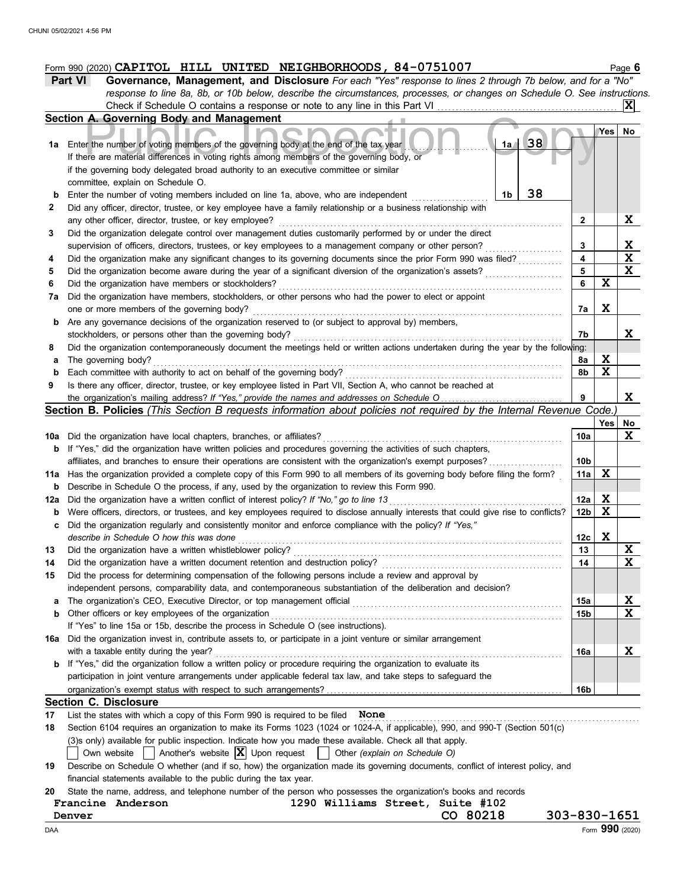|     | Form 990 (2020) CAPITOL HILL UNITED NEIGHBORHOODS, 84-0751007                                                                                                       |                 |             | Page 6                  |
|-----|---------------------------------------------------------------------------------------------------------------------------------------------------------------------|-----------------|-------------|-------------------------|
|     | Governance, Management, and Disclosure For each "Yes" response to lines 2 through 7b below, and for a "No"<br>Part VI                                               |                 |             |                         |
|     | response to line 8a, 8b, or 10b below, describe the circumstances, processes, or changes on Schedule O. See instructions.                                           |                 |             |                         |
|     |                                                                                                                                                                     |                 |             |                         |
|     | Section A. Governing Body and Management                                                                                                                            |                 |             |                         |
|     |                                                                                                                                                                     |                 | Yes         | No                      |
| 1а  | 38<br>1a<br>Enter the number of voting members of the governing body at the end of the tax year                                                                     |                 |             |                         |
|     | If there are material differences in voting rights among members of the governing body, or                                                                          |                 |             |                         |
|     | if the governing body delegated broad authority to an executive committee or similar                                                                                |                 |             |                         |
|     | committee, explain on Schedule O.<br>38                                                                                                                             |                 |             |                         |
| b   | Enter the number of voting members included on line 1a, above, who are independent<br>1b                                                                            |                 |             |                         |
| 2   | Did any officer, director, trustee, or key employee have a family relationship or a business relationship with                                                      | 2               |             | X                       |
| 3   | any other officer, director, trustee, or key employee?<br>Did the organization delegate control over management duties customarily performed by or under the direct |                 |             |                         |
|     | supervision of officers, directors, trustees, or key employees to a management company or other person?                                                             | 3               |             | X                       |
| 4   | Did the organization make any significant changes to its governing documents since the prior Form 990 was filed?                                                    | 4               |             | $\overline{\mathbf{x}}$ |
| 5   |                                                                                                                                                                     | 5               |             | $\mathbf x$             |
| 6   | Did the organization have members or stockholders?                                                                                                                  | 6               | X           |                         |
| 7а  | Did the organization have members, stockholders, or other persons who had the power to elect or appoint                                                             |                 |             |                         |
|     | one or more members of the governing body?                                                                                                                          | 7a              | X           |                         |
| b   | Are any governance decisions of the organization reserved to (or subject to approval by) members,                                                                   |                 |             |                         |
|     | stockholders, or persons other than the governing body?                                                                                                             | 7b              |             | X                       |
| 8   | Did the organization contemporaneously document the meetings held or written actions undertaken during the year by the following:                                   |                 |             |                         |
| а   | The governing body?                                                                                                                                                 | 8а              | $\mathbf x$ |                         |
| b   | Each committee with authority to act on behalf of the governing body?                                                                                               | 8b              | X           |                         |
| 9   | Is there any officer, director, trustee, or key employee listed in Part VII, Section A, who cannot be reached at                                                    |                 |             |                         |
|     |                                                                                                                                                                     | 9               |             | X                       |
|     | Section B. Policies (This Section B requests information about policies not required by the Internal Revenue Code.)                                                 |                 |             |                         |
|     |                                                                                                                                                                     |                 | Yes         | No                      |
|     | 10a Did the organization have local chapters, branches, or affiliates?                                                                                              | 10a             |             | x                       |
| b   | If "Yes," did the organization have written policies and procedures governing the activities of such chapters,                                                      |                 |             |                         |
|     |                                                                                                                                                                     | 10b             |             |                         |
|     | 11a Has the organization provided a complete copy of this Form 990 to all members of its governing body before filing the form?                                     | 11a             | X           |                         |
| b   | Describe in Schedule O the process, if any, used by the organization to review this Form 990.                                                                       |                 |             |                         |
| 12a | Did the organization have a written conflict of interest policy? If "No," go to line 13                                                                             | 12a             | Χ           |                         |
| b   | Were officers, directors, or trustees, and key employees required to disclose annually interests that could give rise to conflicts?                                 | 12 <sub>b</sub> | x           |                         |
| c   | Did the organization regularly and consistently monitor and enforce compliance with the policy? If "Yes,"                                                           |                 |             |                         |
|     | describe in Schedule O how this was done                                                                                                                            | 12c             | X           |                         |
| 13  | Did the organization have a written whistleblower policy?                                                                                                           | 13              |             | X                       |
|     | Did the organization have a written document retention and destruction policy?                                                                                      | 14              |             | $\mathbf x$             |
| 15  | Did the process for determining compensation of the following persons include a review and approval by                                                              |                 |             |                         |
|     | independent persons, comparability data, and contemporaneous substantiation of the deliberation and decision?                                                       |                 |             |                         |
| а   |                                                                                                                                                                     | 15a             |             | <u>x</u>                |
| b   | Other officers or key employees of the organization                                                                                                                 | 15b             |             | X                       |
|     | If "Yes" to line 15a or 15b, describe the process in Schedule O (see instructions).                                                                                 |                 |             |                         |
| 16a | Did the organization invest in, contribute assets to, or participate in a joint venture or similar arrangement                                                      |                 |             |                         |
|     | with a taxable entity during the year?<br>If "Yes," did the organization follow a written policy or procedure requiring the organization to evaluate its            | 16a             |             | <u>x</u>                |
|     | participation in joint venture arrangements under applicable federal tax law, and take steps to safeguard the                                                       |                 |             |                         |
|     |                                                                                                                                                                     | 16 <sub>b</sub> |             |                         |
|     | <b>Section C. Disclosure</b>                                                                                                                                        |                 |             |                         |
| 17  | List the states with which a copy of this Form 990 is required to be filed<br>None                                                                                  |                 |             |                         |
| 18  | Section 6104 requires an organization to make its Forms 1023 (1024 or 1024-A, if applicable), 990, and 990-T (Section 501(c)                                        |                 |             |                         |
|     | (3)s only) available for public inspection. Indicate how you made these available. Check all that apply.                                                            |                 |             |                         |
|     | Another's website $ X $ Upon request<br>Own website<br>Other (explain on Schedule O)                                                                                |                 |             |                         |
| 19  | Describe on Schedule O whether (and if so, how) the organization made its governing documents, conflict of interest policy, and                                     |                 |             |                         |
|     | financial statements available to the public during the tax year.                                                                                                   |                 |             |                         |

**20** State the name, address, and telephone number of the person who possesses the organization's books and records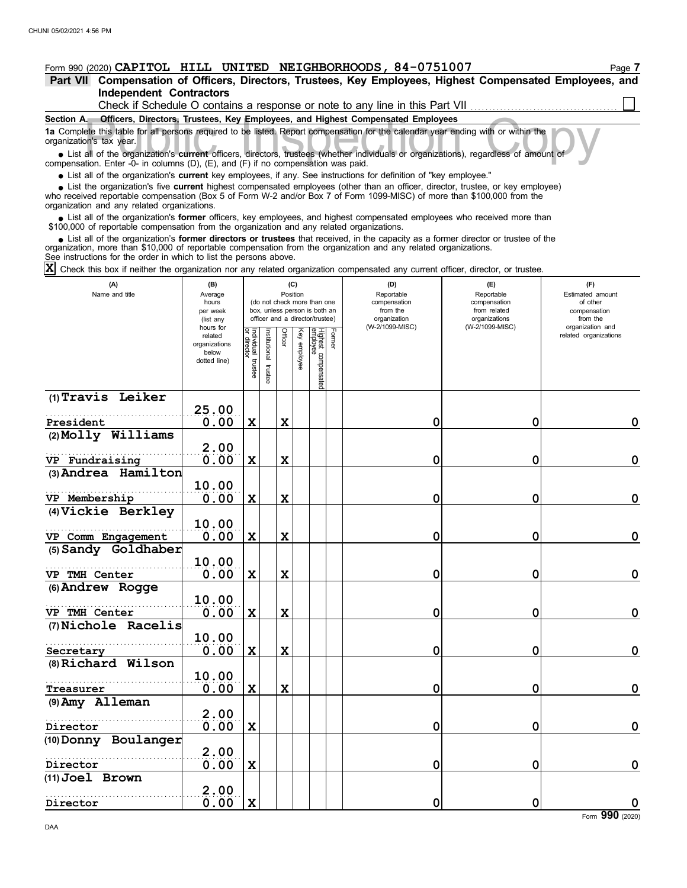| Form 990 (2020) CAPITOL HILL UNITED NEIGHBORHOODS, 84-0751007                                                                                                                                                                                                                                                                                                                                                                    |                                                  |                                   |              |             |                 |                                                                                                 |        |                                                               |             |                                                                    | Page 7                                                          |             |
|----------------------------------------------------------------------------------------------------------------------------------------------------------------------------------------------------------------------------------------------------------------------------------------------------------------------------------------------------------------------------------------------------------------------------------|--------------------------------------------------|-----------------------------------|--------------|-------------|-----------------|-------------------------------------------------------------------------------------------------|--------|---------------------------------------------------------------|-------------|--------------------------------------------------------------------|-----------------------------------------------------------------|-------------|
| Part VII Compensation of Officers, Directors, Trustees, Key Employees, Highest Compensated Employees, and                                                                                                                                                                                                                                                                                                                        |                                                  |                                   |              |             |                 |                                                                                                 |        |                                                               |             |                                                                    |                                                                 |             |
| <b>Independent Contractors</b><br>Check if Schedule O contains a response or note to any line in this Part VII                                                                                                                                                                                                                                                                                                                   |                                                  |                                   |              |             |                 |                                                                                                 |        |                                                               |             |                                                                    |                                                                 |             |
| Section A. Officers, Directors, Trustees, Key Employees, and Highest Compensated Employees                                                                                                                                                                                                                                                                                                                                       |                                                  |                                   |              |             |                 |                                                                                                 |        |                                                               |             |                                                                    |                                                                 |             |
| 1a Complete this table for all persons required to be listed. Report compensation for the calendar year ending with or within the<br>organization's tax year.                                                                                                                                                                                                                                                                    |                                                  |                                   |              |             |                 |                                                                                                 |        |                                                               |             |                                                                    |                                                                 |             |
| • List all of the organization's current officers, directors, trustees (whether individuals or organizations), regardless of amount of<br>compensation. Enter -0- in columns (D), (E), and (F) if no compensation was paid.                                                                                                                                                                                                      |                                                  |                                   |              |             |                 |                                                                                                 |        |                                                               |             |                                                                    |                                                                 |             |
| • List all of the organization's current key employees, if any. See instructions for definition of "key employee."<br>• List the organization's five current highest compensated employees (other than an officer, director, trustee, or key employee)<br>who received reportable compensation (Box 5 of Form W-2 and/or Box 7 of Form 1099-MISC) of more than \$100,000 from the<br>organization and any related organizations. |                                                  |                                   |              |             |                 |                                                                                                 |        |                                                               |             |                                                                    |                                                                 |             |
| • List all of the organization's former officers, key employees, and highest compensated employees who received more than<br>\$100,000 of reportable compensation from the organization and any related organizations.                                                                                                                                                                                                           |                                                  |                                   |              |             |                 |                                                                                                 |        |                                                               |             |                                                                    |                                                                 |             |
| • List all of the organization's former directors or trustees that received, in the capacity as a former director or trustee of the<br>organization, more than \$10,000 of reportable compensation from the organization and any related organizations.<br>See instructions for the order in which to list the persons above.                                                                                                    |                                                  |                                   |              |             |                 |                                                                                                 |        |                                                               |             |                                                                    |                                                                 |             |
| X<br>Check this box if neither the organization nor any related organization compensated any current officer, director, or trustee.                                                                                                                                                                                                                                                                                              |                                                  |                                   |              |             |                 |                                                                                                 |        |                                                               |             |                                                                    |                                                                 |             |
| (A)<br>Name and title                                                                                                                                                                                                                                                                                                                                                                                                            | (B)<br>Average<br>hours<br>per week<br>(list any |                                   |              |             | (C)<br>Position | (do not check more than one<br>box, unless person is both an<br>officer and a director/trustee) |        | (D)<br>Reportable<br>compensation<br>from the<br>organization |             | (F)<br>Reportable<br>compensation<br>from related<br>organizations | (F)<br>Estimated amount<br>of other<br>compensation<br>from the |             |
|                                                                                                                                                                                                                                                                                                                                                                                                                                  | hours for<br>related<br>organizations<br>below   | Individual trustee<br>or director | nstitutional | Officer     | Key employee    | Highest compensated<br>employee                                                                 | Former | (W-2/1099-MISC)                                               |             | (W-2/1099-MISC)                                                    | organization and<br>related organizations                       |             |
|                                                                                                                                                                                                                                                                                                                                                                                                                                  | dotted line)                                     |                                   | trustee      |             |                 |                                                                                                 |        |                                                               |             |                                                                    |                                                                 |             |
| (1) Travis Leiker                                                                                                                                                                                                                                                                                                                                                                                                                |                                                  |                                   |              |             |                 |                                                                                                 |        |                                                               |             |                                                                    |                                                                 |             |
| President                                                                                                                                                                                                                                                                                                                                                                                                                        | 25.00<br>0.00                                    | $\mathbf x$                       |              | X           |                 |                                                                                                 |        |                                                               | 0           | 0                                                                  |                                                                 | 0           |
| (2) Molly Williams                                                                                                                                                                                                                                                                                                                                                                                                               |                                                  |                                   |              |             |                 |                                                                                                 |        |                                                               |             |                                                                    |                                                                 |             |
| VP Fundraising                                                                                                                                                                                                                                                                                                                                                                                                                   | 2.00<br>0.00                                     | X                                 |              | X           |                 |                                                                                                 |        |                                                               | 0           | 0                                                                  |                                                                 | 0           |
| (3) Andrea Hamilton                                                                                                                                                                                                                                                                                                                                                                                                              | 10.00                                            |                                   |              |             |                 |                                                                                                 |        |                                                               |             |                                                                    |                                                                 |             |
| VP Membership                                                                                                                                                                                                                                                                                                                                                                                                                    | 0.00                                             | X                                 |              | X           |                 |                                                                                                 |        |                                                               | 0           | 0                                                                  |                                                                 | 0           |
| (4) Vickie Berkley                                                                                                                                                                                                                                                                                                                                                                                                               |                                                  |                                   |              |             |                 |                                                                                                 |        |                                                               |             |                                                                    |                                                                 |             |
|                                                                                                                                                                                                                                                                                                                                                                                                                                  | 10.00                                            |                                   |              |             |                 |                                                                                                 |        |                                                               |             |                                                                    |                                                                 |             |
| VP Comm Engagement<br>(5) Sandy Goldhaber                                                                                                                                                                                                                                                                                                                                                                                        | 0.00                                             | X                                 |              | X           |                 |                                                                                                 |        |                                                               | 0           | 0                                                                  |                                                                 | 0           |
|                                                                                                                                                                                                                                                                                                                                                                                                                                  | 10.00                                            |                                   |              |             |                 |                                                                                                 |        |                                                               |             |                                                                    |                                                                 |             |
| VP TMH Center                                                                                                                                                                                                                                                                                                                                                                                                                    | 0.00                                             | X                                 |              | X           |                 |                                                                                                 |        |                                                               | 0           | 0                                                                  |                                                                 | 0           |
| (6) Andrew Rogge                                                                                                                                                                                                                                                                                                                                                                                                                 |                                                  |                                   |              |             |                 |                                                                                                 |        |                                                               |             |                                                                    |                                                                 |             |
|                                                                                                                                                                                                                                                                                                                                                                                                                                  | 10.00                                            |                                   |              |             |                 |                                                                                                 |        |                                                               |             |                                                                    |                                                                 |             |
| VP TMH Center                                                                                                                                                                                                                                                                                                                                                                                                                    | 0.00                                             | X                                 |              | X           |                 |                                                                                                 |        |                                                               | 0           | 0                                                                  |                                                                 | 0           |
| (7) Nichole Racelis                                                                                                                                                                                                                                                                                                                                                                                                              |                                                  |                                   |              |             |                 |                                                                                                 |        |                                                               |             |                                                                    |                                                                 |             |
| Secretary                                                                                                                                                                                                                                                                                                                                                                                                                        | 10.00<br>0.00                                    | $\mathbf x$                       |              | $\mathbf x$ |                 |                                                                                                 |        |                                                               | $\mathbf 0$ | 0                                                                  |                                                                 | 0           |
| (8) Richard Wilson                                                                                                                                                                                                                                                                                                                                                                                                               |                                                  |                                   |              |             |                 |                                                                                                 |        |                                                               |             |                                                                    |                                                                 |             |
|                                                                                                                                                                                                                                                                                                                                                                                                                                  | 10.00                                            |                                   |              |             |                 |                                                                                                 |        |                                                               |             |                                                                    |                                                                 |             |
| Treasurer                                                                                                                                                                                                                                                                                                                                                                                                                        | 0.00                                             | X                                 |              | X           |                 |                                                                                                 |        |                                                               | 0           | 0                                                                  |                                                                 | 0           |
| (9) Amy Alleman                                                                                                                                                                                                                                                                                                                                                                                                                  |                                                  |                                   |              |             |                 |                                                                                                 |        |                                                               |             |                                                                    |                                                                 |             |
| Director                                                                                                                                                                                                                                                                                                                                                                                                                         | 2.00<br>0.00                                     | X                                 |              |             |                 |                                                                                                 |        |                                                               | 0           | 0                                                                  |                                                                 | 0           |
| (10) Donny Boulanger                                                                                                                                                                                                                                                                                                                                                                                                             |                                                  |                                   |              |             |                 |                                                                                                 |        |                                                               |             |                                                                    |                                                                 |             |
|                                                                                                                                                                                                                                                                                                                                                                                                                                  | 2.00                                             |                                   |              |             |                 |                                                                                                 |        |                                                               |             |                                                                    |                                                                 |             |
| Director                                                                                                                                                                                                                                                                                                                                                                                                                         | 0.00                                             | $\mathbf x$                       |              |             |                 |                                                                                                 |        |                                                               | $\mathbf 0$ | 0                                                                  |                                                                 | $\mathbf 0$ |
| (11) Joel Brown                                                                                                                                                                                                                                                                                                                                                                                                                  | 2.00                                             |                                   |              |             |                 |                                                                                                 |        |                                                               |             |                                                                    |                                                                 |             |

**0.00 X 0 0 0**

**Director**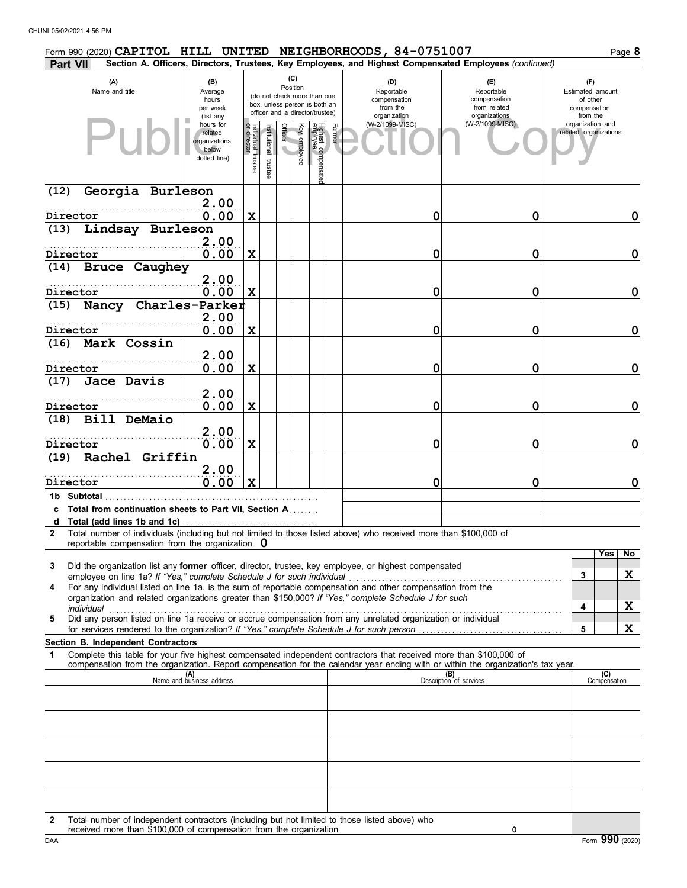|                     | Form 990 (2020) CAPITOL HILL UNITED NEIGHBORHOODS, 84-0751007                                                                                                                                                                                          |                                                                |                                   |                      |                 |              |                                                                                                 |                                                                                                        |                                                                    |                                                                 | Page 8 |
|---------------------|--------------------------------------------------------------------------------------------------------------------------------------------------------------------------------------------------------------------------------------------------------|----------------------------------------------------------------|-----------------------------------|----------------------|-----------------|--------------|-------------------------------------------------------------------------------------------------|--------------------------------------------------------------------------------------------------------|--------------------------------------------------------------------|-----------------------------------------------------------------|--------|
| Part VII            |                                                                                                                                                                                                                                                        |                                                                |                                   |                      |                 |              |                                                                                                 | Section A. Officers, Directors, Trustees, Key Employees, and Highest Compensated Employees (continued) |                                                                    |                                                                 |        |
|                     | (A)<br>Name and title                                                                                                                                                                                                                                  | (B)<br>Average<br>hours<br>per week<br>(list any               |                                   |                      | (C)<br>Position |              | (do not check more than one<br>box, unless person is both an<br>officer and a director/trustee) | (D)<br>Reportable<br>compensation<br>from the<br>organization                                          | (E)<br>Reportable<br>compensation<br>from related<br>organizations | (F)<br>Estimated amount<br>of other<br>compensation<br>from the |        |
|                     |                                                                                                                                                                                                                                                        | hours for<br>related<br>organizations<br>below<br>dotted line) | Individual trustee<br>or director | nstitutional trustee | <b>Officer</b>  | Key employee | Highest compensatec<br>employee<br>Former                                                       | (W-2/1099-MISC)                                                                                        | (W-2/1099-MISC)                                                    | organization and<br>related organizations                       |        |
| (12)                | Georgia Burleson                                                                                                                                                                                                                                       | 2.00                                                           |                                   |                      |                 |              |                                                                                                 |                                                                                                        |                                                                    |                                                                 |        |
| Director            |                                                                                                                                                                                                                                                        | 0.00                                                           | X                                 |                      |                 |              |                                                                                                 | 0                                                                                                      | 0                                                                  |                                                                 | 0      |
| (13)                | Lindsay Burleson                                                                                                                                                                                                                                       |                                                                |                                   |                      |                 |              |                                                                                                 |                                                                                                        |                                                                    |                                                                 |        |
|                     |                                                                                                                                                                                                                                                        | 2.00                                                           |                                   |                      |                 |              |                                                                                                 |                                                                                                        |                                                                    |                                                                 |        |
| Director            | (14) Bruce Caughey                                                                                                                                                                                                                                     | 0.00                                                           | X                                 |                      |                 |              |                                                                                                 | 0                                                                                                      | 0                                                                  |                                                                 | 0      |
|                     |                                                                                                                                                                                                                                                        | 2.00                                                           |                                   |                      |                 |              |                                                                                                 |                                                                                                        |                                                                    |                                                                 |        |
| Director<br>(15)    | Nancy Charles-Parker                                                                                                                                                                                                                                   | 0.00                                                           | X                                 |                      |                 |              |                                                                                                 | 0                                                                                                      | 0                                                                  |                                                                 | 0      |
|                     |                                                                                                                                                                                                                                                        | 2.00                                                           |                                   |                      |                 |              |                                                                                                 |                                                                                                        |                                                                    |                                                                 |        |
| Director            |                                                                                                                                                                                                                                                        | 0.00                                                           | X                                 |                      |                 |              |                                                                                                 | 0                                                                                                      | 0                                                                  |                                                                 | 0      |
| (16)                | Mark Cossin                                                                                                                                                                                                                                            | 2.00                                                           |                                   |                      |                 |              |                                                                                                 |                                                                                                        |                                                                    |                                                                 |        |
| Director            |                                                                                                                                                                                                                                                        | 0.00                                                           | X                                 |                      |                 |              |                                                                                                 | 0                                                                                                      | 0                                                                  |                                                                 | 0      |
| (17)                | Jace Davis                                                                                                                                                                                                                                             |                                                                |                                   |                      |                 |              |                                                                                                 |                                                                                                        |                                                                    |                                                                 |        |
|                     |                                                                                                                                                                                                                                                        | 2.00                                                           |                                   |                      |                 |              |                                                                                                 |                                                                                                        |                                                                    |                                                                 |        |
| Director<br>(18)    | Bill DeMaio                                                                                                                                                                                                                                            | 0.00                                                           | X                                 |                      |                 |              |                                                                                                 | 0                                                                                                      | 0                                                                  |                                                                 | 0      |
|                     |                                                                                                                                                                                                                                                        | 2.00                                                           |                                   |                      |                 |              |                                                                                                 |                                                                                                        |                                                                    |                                                                 |        |
| Director            |                                                                                                                                                                                                                                                        | 0.00                                                           | X                                 |                      |                 |              |                                                                                                 | 0                                                                                                      | 0                                                                  |                                                                 | 0      |
| (19)                | Rachel Griffin                                                                                                                                                                                                                                         |                                                                |                                   |                      |                 |              |                                                                                                 |                                                                                                        |                                                                    |                                                                 |        |
| Director            |                                                                                                                                                                                                                                                        | 2.00<br>0.00                                                   | X                                 |                      |                 |              |                                                                                                 | 0                                                                                                      | 0                                                                  |                                                                 | 0      |
|                     | 1b Subtotal                                                                                                                                                                                                                                            |                                                                |                                   |                      |                 |              |                                                                                                 |                                                                                                        |                                                                    |                                                                 |        |
| c                   | Total from continuation sheets to Part VII, Section A                                                                                                                                                                                                  |                                                                |                                   |                      |                 |              |                                                                                                 |                                                                                                        |                                                                    |                                                                 |        |
| d<br>$\overline{2}$ | Total (add lines 1b and 1c)<br>Total number of individuals (including but not limited to those listed above) who received more than \$100,000 of                                                                                                       |                                                                |                                   |                      |                 |              |                                                                                                 |                                                                                                        |                                                                    |                                                                 |        |
|                     | reportable compensation from the organization $0$                                                                                                                                                                                                      |                                                                |                                   |                      |                 |              |                                                                                                 |                                                                                                        |                                                                    |                                                                 |        |
| 3                   | Did the organization list any former officer, director, trustee, key employee, or highest compensated                                                                                                                                                  |                                                                |                                   |                      |                 |              |                                                                                                 |                                                                                                        |                                                                    | Yes                                                             | No     |
|                     | employee on line 1a? If "Yes," complete Schedule J for such individual                                                                                                                                                                                 |                                                                |                                   |                      |                 |              |                                                                                                 |                                                                                                        |                                                                    | 3                                                               | X      |
| 4                   | For any individual listed on line 1a, is the sum of reportable compensation and other compensation from the<br>organization and related organizations greater than \$150,000? If "Yes," complete Schedule J for such                                   |                                                                |                                   |                      |                 |              |                                                                                                 |                                                                                                        |                                                                    |                                                                 |        |
|                     | individual with a construction of the construction of the construction of the construction of the construction of the construction of the construction of the construction of the construction of the construction of the cons                         |                                                                |                                   |                      |                 |              |                                                                                                 |                                                                                                        |                                                                    | 4                                                               | X      |
| 5                   | Did any person listed on line 1a receive or accrue compensation from any unrelated organization or individual                                                                                                                                          |                                                                |                                   |                      |                 |              |                                                                                                 |                                                                                                        |                                                                    | 5                                                               | X      |
|                     | Section B. Independent Contractors                                                                                                                                                                                                                     |                                                                |                                   |                      |                 |              |                                                                                                 |                                                                                                        |                                                                    |                                                                 |        |
| 1                   | Complete this table for your five highest compensated independent contractors that received more than \$100,000 of<br>compensation from the organization. Report compensation for the calendar year ending with or within the organization's tax year. |                                                                |                                   |                      |                 |              |                                                                                                 |                                                                                                        |                                                                    |                                                                 |        |
|                     |                                                                                                                                                                                                                                                        | (A)<br>Name and business address                               |                                   |                      |                 |              |                                                                                                 |                                                                                                        | (B)<br>Description of services                                     | (C)<br>Compensation                                             |        |
|                     |                                                                                                                                                                                                                                                        |                                                                |                                   |                      |                 |              |                                                                                                 |                                                                                                        |                                                                    |                                                                 |        |
|                     |                                                                                                                                                                                                                                                        |                                                                |                                   |                      |                 |              |                                                                                                 |                                                                                                        |                                                                    |                                                                 |        |
|                     |                                                                                                                                                                                                                                                        |                                                                |                                   |                      |                 |              |                                                                                                 |                                                                                                        |                                                                    |                                                                 |        |
|                     |                                                                                                                                                                                                                                                        |                                                                |                                   |                      |                 |              |                                                                                                 |                                                                                                        |                                                                    |                                                                 |        |
|                     |                                                                                                                                                                                                                                                        |                                                                |                                   |                      |                 |              |                                                                                                 |                                                                                                        |                                                                    |                                                                 |        |
|                     |                                                                                                                                                                                                                                                        |                                                                |                                   |                      |                 |              |                                                                                                 |                                                                                                        |                                                                    |                                                                 |        |
|                     |                                                                                                                                                                                                                                                        |                                                                |                                   |                      |                 |              |                                                                                                 |                                                                                                        |                                                                    |                                                                 |        |
|                     |                                                                                                                                                                                                                                                        |                                                                |                                   |                      |                 |              |                                                                                                 |                                                                                                        |                                                                    |                                                                 |        |
| 2                   | Total number of independent contractors (including but not limited to those listed above) who                                                                                                                                                          |                                                                |                                   |                      |                 |              |                                                                                                 |                                                                                                        |                                                                    |                                                                 |        |

| .<br>\$100,000<br>the<br>received<br>: organization<br>compensation<br>trom<br>' more<br>thar<br>0t |               |
|-----------------------------------------------------------------------------------------------------|---------------|
| DAA                                                                                                 | (2020<br>Form |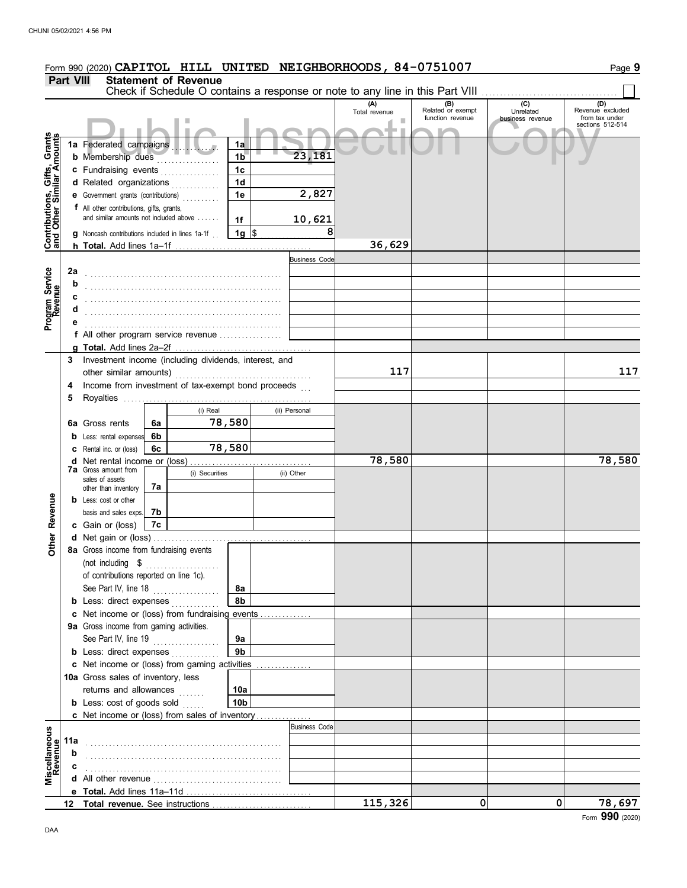|                                                                  |                                                            |                                                                |    |                             |                  |                      |       | Form 990 (2020) CAPITOL HILL UNITED NEIGHBORHOODS, 84-0751007 |                                              |                                                                                                                                                                       | Page 9                                                        |
|------------------------------------------------------------------|------------------------------------------------------------|----------------------------------------------------------------|----|-----------------------------|------------------|----------------------|-------|---------------------------------------------------------------|----------------------------------------------|-----------------------------------------------------------------------------------------------------------------------------------------------------------------------|---------------------------------------------------------------|
|                                                                  | Part VIII                                                  |                                                                |    | <b>Statement of Revenue</b> |                  |                      |       |                                                               |                                              |                                                                                                                                                                       |                                                               |
|                                                                  |                                                            |                                                                |    |                             |                  |                      |       |                                                               |                                              | Check if Schedule O contains a response or note to any line in this Part VIII [11] [12] Check if Schedule O contains a response or note to any line in this Part VIII |                                                               |
|                                                                  |                                                            |                                                                |    |                             |                  |                      |       | (A)<br>Total revenue<br>٠                                     | (B)<br>Related or exempt<br>function revenue | (C)<br>Unrelated<br>business revenue                                                                                                                                  | (D)<br>Revenue excluded<br>from tax under<br>sections 512-514 |
|                                                                  |                                                            |                                                                |    |                             |                  |                      |       |                                                               |                                              |                                                                                                                                                                       |                                                               |
| <b>Contributions, Gifts, Grants</b><br>and Other Similar Amounts |                                                            | 1a Federated campaigns                                         |    |                             | 1a               |                      |       |                                                               |                                              |                                                                                                                                                                       |                                                               |
|                                                                  |                                                            | <b>b</b> Membership dues                                       |    |                             | 1 <sub>b</sub>   | 23,181               |       |                                                               |                                              |                                                                                                                                                                       |                                                               |
|                                                                  |                                                            | c Fundraising events<br>1c<br>.                                |    |                             |                  |                      |       |                                                               |                                              |                                                                                                                                                                       |                                                               |
|                                                                  | d Related organizations<br>1 <sub>d</sub><br><u>.</u><br>. |                                                                |    |                             |                  |                      |       |                                                               |                                              |                                                                                                                                                                       |                                                               |
|                                                                  |                                                            | e Government grants (contributions)                            |    |                             | 1e               |                      | 2,827 |                                                               |                                              |                                                                                                                                                                       |                                                               |
|                                                                  |                                                            | <b>f</b> All other contributions, gifts, grants,               |    |                             |                  |                      |       |                                                               |                                              |                                                                                                                                                                       |                                                               |
|                                                                  |                                                            | and similar amounts not included above                         |    |                             | 1f               | 10,621               |       |                                                               |                                              |                                                                                                                                                                       |                                                               |
|                                                                  |                                                            | <b>g</b> Noncash contributions included in lines 1a-1f         |    |                             | 1g $\frac{1}{3}$ |                      |       |                                                               |                                              |                                                                                                                                                                       |                                                               |
|                                                                  |                                                            |                                                                |    |                             |                  |                      |       | 36,629                                                        |                                              |                                                                                                                                                                       |                                                               |
|                                                                  |                                                            |                                                                |    |                             |                  | <b>Business Code</b> |       |                                                               |                                              |                                                                                                                                                                       |                                                               |
| Program Service<br>Revenue                                       | 2a                                                         |                                                                |    |                             |                  |                      |       |                                                               |                                              |                                                                                                                                                                       |                                                               |
|                                                                  | b                                                          |                                                                |    |                             |                  |                      |       |                                                               |                                              |                                                                                                                                                                       |                                                               |
|                                                                  | c                                                          |                                                                |    |                             |                  |                      |       |                                                               |                                              |                                                                                                                                                                       |                                                               |
|                                                                  |                                                            |                                                                |    |                             |                  |                      |       |                                                               |                                              |                                                                                                                                                                       |                                                               |
|                                                                  |                                                            |                                                                |    |                             |                  |                      |       |                                                               |                                              |                                                                                                                                                                       |                                                               |
|                                                                  |                                                            | <b>f</b> All other program service revenue $\ldots$ , $\ldots$ |    |                             |                  |                      |       |                                                               |                                              |                                                                                                                                                                       |                                                               |
|                                                                  |                                                            |                                                                |    |                             |                  |                      |       |                                                               |                                              |                                                                                                                                                                       |                                                               |
|                                                                  |                                                            | 3 Investment income (including dividends, interest, and        |    |                             |                  |                      |       |                                                               |                                              |                                                                                                                                                                       |                                                               |
|                                                                  |                                                            |                                                                |    |                             |                  |                      |       | 117                                                           |                                              |                                                                                                                                                                       | 117                                                           |
|                                                                  | 4                                                          | Income from investment of tax-exempt bond proceeds             |    |                             |                  |                      |       |                                                               |                                              |                                                                                                                                                                       |                                                               |
|                                                                  | 5                                                          |                                                                |    |                             |                  |                      |       |                                                               |                                              |                                                                                                                                                                       |                                                               |
|                                                                  |                                                            |                                                                |    | (i) Real                    |                  | (ii) Personal        |       |                                                               |                                              |                                                                                                                                                                       |                                                               |
|                                                                  |                                                            | <b>6a</b> Gross rents                                          | 6a |                             | 78,580           |                      |       |                                                               |                                              |                                                                                                                                                                       |                                                               |
|                                                                  |                                                            | <b>b</b> Less: rental expenses                                 | 6b |                             |                  |                      |       |                                                               |                                              |                                                                                                                                                                       |                                                               |
|                                                                  |                                                            | C Rental inc. or (loss)                                        | 6c |                             | 78,580           |                      |       |                                                               |                                              |                                                                                                                                                                       |                                                               |
|                                                                  |                                                            |                                                                |    |                             |                  |                      |       | 78,580                                                        |                                              |                                                                                                                                                                       | 78,580                                                        |
|                                                                  |                                                            | <b>7a</b> Gross amount from<br>sales of assets                 |    | (i) Securities              |                  | (ii) Other           |       |                                                               |                                              |                                                                                                                                                                       |                                                               |
|                                                                  |                                                            | other than inventory                                           | 7a |                             |                  |                      |       |                                                               |                                              |                                                                                                                                                                       |                                                               |
|                                                                  |                                                            | <b>b</b> Less: cost or other                                   |    |                             |                  |                      |       |                                                               |                                              |                                                                                                                                                                       |                                                               |
|                                                                  |                                                            | basis and sales exps.                                          | 7b |                             |                  |                      |       |                                                               |                                              |                                                                                                                                                                       |                                                               |
| Other Revenue                                                    |                                                            | c Gain or (loss)                                               | 7c |                             |                  |                      |       |                                                               |                                              |                                                                                                                                                                       |                                                               |
|                                                                  |                                                            |                                                                |    |                             |                  |                      |       |                                                               |                                              |                                                                                                                                                                       |                                                               |
|                                                                  |                                                            | 8a Gross income from fundraising events                        |    |                             |                  |                      |       |                                                               |                                              |                                                                                                                                                                       |                                                               |
|                                                                  |                                                            | (not including \$                                              |    |                             |                  |                      |       |                                                               |                                              |                                                                                                                                                                       |                                                               |
|                                                                  |                                                            | of contributions reported on line 1c).                         |    |                             |                  |                      |       |                                                               |                                              |                                                                                                                                                                       |                                                               |
|                                                                  |                                                            | See Part IV, line 18                                           |    |                             | 8а               |                      |       |                                                               |                                              |                                                                                                                                                                       |                                                               |
|                                                                  |                                                            | <b>b</b> Less: direct expenses                                 |    |                             | 8b               |                      |       |                                                               |                                              |                                                                                                                                                                       |                                                               |
|                                                                  |                                                            | c Net income or (loss) from fundraising events                 |    |                             |                  |                      |       |                                                               |                                              |                                                                                                                                                                       |                                                               |
|                                                                  |                                                            | 9a Gross income from gaming activities.                        |    |                             |                  |                      |       |                                                               |                                              |                                                                                                                                                                       |                                                               |
|                                                                  |                                                            | See Part IV, line 19                                           |    | .                           | 9а               |                      |       |                                                               |                                              |                                                                                                                                                                       |                                                               |
|                                                                  |                                                            | <b>b</b> Less: direct expenses                                 |    |                             | 9 <sub>b</sub>   |                      |       |                                                               |                                              |                                                                                                                                                                       |                                                               |
|                                                                  |                                                            | c Net income or (loss) from gaming activities                  |    |                             |                  |                      |       |                                                               |                                              |                                                                                                                                                                       |                                                               |
|                                                                  |                                                            | 10a Gross sales of inventory, less                             |    |                             |                  |                      |       |                                                               |                                              |                                                                                                                                                                       |                                                               |
|                                                                  |                                                            | returns and allowances                                         |    |                             | 10a              |                      |       |                                                               |                                              |                                                                                                                                                                       |                                                               |
|                                                                  |                                                            | <b>b</b> Less: cost of goods sold                              |    |                             | 10b              |                      |       |                                                               |                                              |                                                                                                                                                                       |                                                               |
|                                                                  |                                                            | c Net income or (loss) from sales of inventory                 |    |                             |                  |                      |       |                                                               |                                              |                                                                                                                                                                       |                                                               |
|                                                                  |                                                            |                                                                |    |                             |                  | <b>Business Code</b> |       |                                                               |                                              |                                                                                                                                                                       |                                                               |
| Miscellaneous<br>Revenue                                         | 11a                                                        |                                                                |    |                             |                  |                      |       |                                                               |                                              |                                                                                                                                                                       |                                                               |
|                                                                  | b                                                          |                                                                |    |                             |                  |                      |       |                                                               |                                              |                                                                                                                                                                       |                                                               |
|                                                                  |                                                            |                                                                |    |                             |                  |                      |       |                                                               |                                              |                                                                                                                                                                       |                                                               |
|                                                                  |                                                            |                                                                |    |                             |                  |                      |       |                                                               |                                              |                                                                                                                                                                       |                                                               |
|                                                                  |                                                            |                                                                |    |                             |                  |                      |       |                                                               |                                              |                                                                                                                                                                       |                                                               |
|                                                                  |                                                            |                                                                |    |                             |                  |                      |       | 115,326                                                       | 0                                            | 0                                                                                                                                                                     | 78,697                                                        |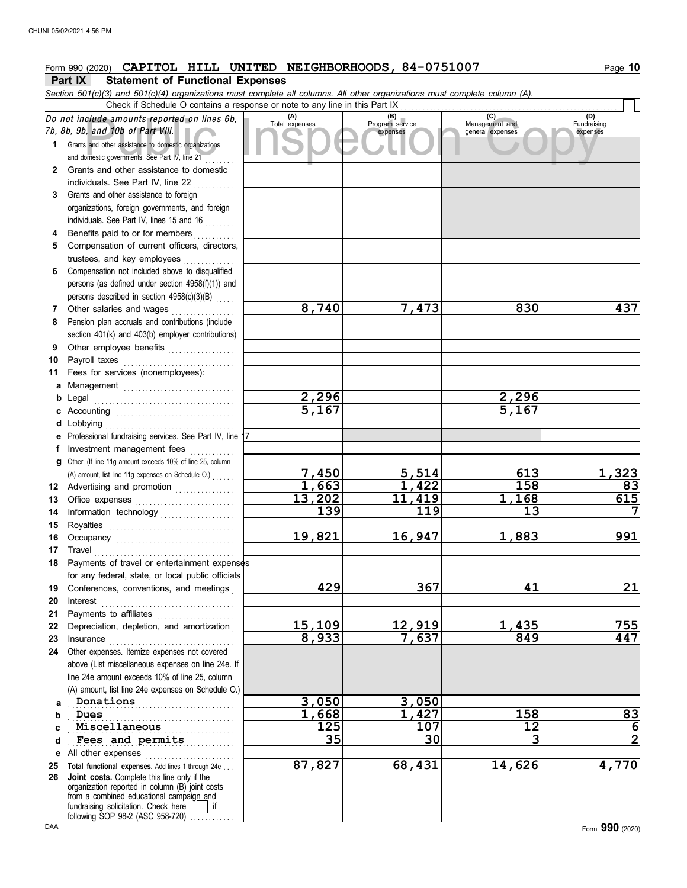#### c) (D)<br>
20 management and 10b of Part VIII. Total expenses and other assistance to domestic organizations<br>
Total expenses expenses expenses expenses expenses expenses expenses expenses expenses expenses expenses expenses e **Part IX Statement of Functional Expenses** Form 990 (2020) **CAPITOL HILL UNITED NEIGHBORHOODS, 84-0751007** Page 10 *Section 501(c)(3) and 501(c)(4) organizations must complete all columns. All other organizations must complete column (A).* Do not include amounts reported on lines 6b, 7b, 8b, 9b, and 10b <sup>o</sup>f Part VIII. **1 2** Grants and other assistance to domestic **3** Grants and other assistance to foreign **4 5 6 7 8 9 10** Payroll taxes ............................... **11 a** Management . . . . . . . . . . . . . . . . . . . . . . . . . . . . . . **b** Legal . . . . . . . . . . . . . . . . . . . . . . . . . . . . . . . . . . . . . . **c** Accounting . . . . . . . . . . . . . . . . . . . . . . . . . . . . . . . . **d** Lobbying . . . . . . . . . . . . . . . . . . . . . . . . . . . . . . . . . . . **e f g** Other. (If line 11g amount exceeds 10% of line 25, column **12** Advertising and promotion . . . . . . . . . . . . . . **13** Office expenses **.......................**... **14 15 16 17 18 19 20 21 22** Depreciation, depletion, and amortization . **23** Insurance . . . . . . . . . . . . . . . . . . . . . . . . . . . . . . . . . . **24** Other expenses. Itemize expenses not covered **a b c d e** All other expenses **. . . . . . . . . . . . . . . . . .** . . . . . . . . . . . **25 Total functional expenses.** Add lines 1 through 24e . . . **26** Grants and other assistance to domestic organizations and domestic governments. See Part IV, line 21 individuals. See Part IV, line 22 organizations, foreign governments, and foreign individuals. See Part IV, lines 15 and 16 . . . . . . . Benefits paid to or for members ........... Compensation of current officers, directors, trustees, and key employees ............ Compensation not included above to disqualified persons (as defined under section 4958(f)(1)) and persons described in section 4958(c)(3)(B) Other salaries and wages ................. Pension plan accruals and contributions (include section 401(k) and 403(b) employer contributions) Other employee benefits . . . . . . . . . . . . . . . . . . Fees for services (nonemployees): Professional fundraising services. See Part IV, line 17 Investment management fees ............. Information technology . . . . . . . . . . . . . . . . . . . . Royalties . . . . . . . . . . . . . . . . . . . . . . . . . . . . . . . . . . Occupancy . . . . . . . . . . . . . . . . . . . . . . . . . . . . . . . . Travel . . . . . . . . . . . . . . . . . . . . . . . . . . . . . . . . . . . . . . Payments of travel or entertainment expenses for any federal, state, or local public officials Conferences, conventions, and meetings . Interest . . . . . . . . . . . . . . . . . . . . . . . . . . . . . . . . . . . . Payments to affiliates ...................... above (List miscellaneous expenses on line 24e. If line 24e amount exceeds 10% of line 25, column (A) amount, list line 24e expenses on Schedule O.) fundraising solicitation. Check here if organization reported in column (B) joint costs from a combined educational campaign and following SOP 98-2 (ASC 958-720) **(A) (B) (C) (D)** Total expenses Program service Management and expenses general expenses Fundraising expenses . . . . . . . . . . . . . . . . . . . . . . . . . . . . . . . . . . . . . . . . . . . . . **Donations 3,050 3,050** . . . . . . . . . . . . . . . . . . . . . . . . . . . . . . . . . . . . . . . . . . . . . . . . . . . . . . . . . . . . . . . . . . . . . . . . . . . . . . . . . . . . . . . . . . **Miscellaneous 125 107 12 6 rees and permits 35 30 3 2** Check if Schedule O contains a response or note to any line in this Part IX . . . . . . . . . . . . . . . . . . . . . . . . . . . . . . . . . . . . . . . . . . . . . . . . . . . . . . . . . . . **Joint costs.** Complete this line only if the (A) amount, list line 11g expenses on Schedule O.) . . . . . . **8,740 7,473 830 437 2,296 2,296 5,167 5,167 7,450 5,514 613 1,323 1,663 1,422 158 83 13,202 11,419 1,168 615 139 119 13 7 19,821 16,947 1,883 991 429 367 41 21 15,109 12,919 1,435 755 8,933 7,637 849 447 Dues 1,668 1,427 158 83 87,827 68,431 14,626 4,770**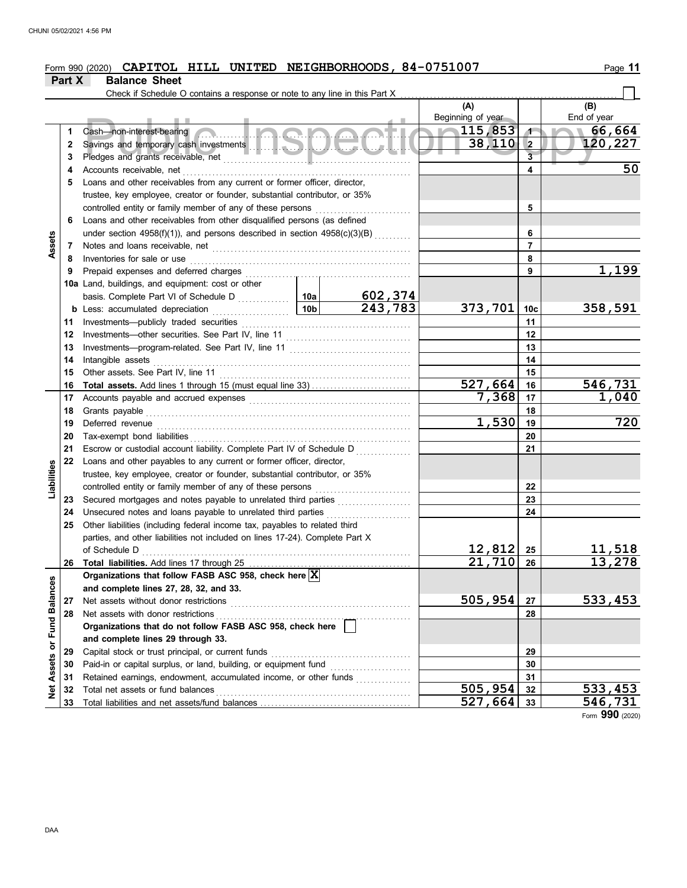# Form 990 (2020) **CAPITOL HILL UNITED NEIGHBORHOODS, 84-0751007** Page 11

**Part X Balance Sheet**

|                           |    | Check if Schedule O contains a response or note to any line in this Part X                                    |       |         |                          |                         |                    |
|---------------------------|----|---------------------------------------------------------------------------------------------------------------|-------|---------|--------------------------|-------------------------|--------------------|
|                           |    | an an                                                                                                         |       |         | (A)<br>Beginning of year |                         | (B)<br>End of year |
|                           | 1  | Cash—non-interest-bearing<br>Savings and temporary cash investments<br>Savings and temporary cash investments |       |         | 115,853                  | $\blacktriangleleft$    | 66,664             |
|                           | 2  |                                                                                                               |       |         | $38,110$ 2               |                         | 120,227            |
|                           | 3  |                                                                                                               |       |         |                          | $\overline{\mathbf{3}}$ |                    |
|                           | 4  | Accounts receivable, net                                                                                      |       |         |                          | 4                       | 50                 |
|                           | 5  | Loans and other receivables from any current or former officer, director,                                     |       |         |                          |                         |                    |
|                           |    | trustee, key employee, creator or founder, substantial contributor, or 35%                                    |       |         |                          |                         |                    |
|                           |    |                                                                                                               |       |         |                          | 5                       |                    |
|                           | 6  | Loans and other receivables from other disqualified persons (as defined                                       |       |         |                          |                         |                    |
|                           |    | under section 4958(f)(1)), and persons described in section 4958(c)(3)(B)                                     |       |         |                          | 6                       |                    |
| Assets                    | 7  | Notes and loans receivable, net                                                                               |       |         |                          | $\overline{7}$          |                    |
|                           | 8  | Inventories for sale or use                                                                                   |       |         |                          | 8                       |                    |
|                           | 9  | Prepaid expenses and deferred charges                                                                         |       |         |                          | 9                       | 1,199              |
|                           |    | 10a Land, buildings, and equipment: cost or other                                                             |       |         |                          |                         |                    |
|                           |    |                                                                                                               |       | 602,374 |                          |                         |                    |
|                           |    |                                                                                                               |       | 243,783 | 373,701                  | 10с                     | 358,591            |
|                           | 11 |                                                                                                               |       |         | 11                       |                         |                    |
|                           | 12 |                                                                                                               |       |         |                          | 12                      |                    |
|                           | 13 |                                                                                                               |       |         |                          | 13                      |                    |
|                           | 14 | Intangible assets                                                                                             |       |         | 14                       |                         |                    |
|                           | 15 |                                                                                                               |       |         |                          | 15                      |                    |
|                           | 16 |                                                                                                               |       |         | 527,664                  | 16                      | 546,731            |
|                           | 17 |                                                                                                               |       |         | 7,368                    | 17                      | 1,040              |
|                           | 18 |                                                                                                               |       | 18      |                          |                         |                    |
|                           | 19 |                                                                                                               | 1,530 | 19      | $\overline{720}$         |                         |                    |
|                           | 20 |                                                                                                               |       |         | 20                       |                         |                    |
|                           | 21 | Escrow or custodial account liability. Complete Part IV of Schedule D                                         |       |         | 21                       |                         |                    |
|                           | 22 | Loans and other payables to any current or former officer, director,                                          |       |         |                          |                         |                    |
| Liabilities               |    | trustee, key employee, creator or founder, substantial contributor, or 35%                                    |       |         |                          |                         |                    |
|                           |    | controlled entity or family member of any of these persons                                                    |       |         |                          | 22                      |                    |
|                           | 23 | Secured mortgages and notes payable to unrelated third parties                                                |       |         |                          | 23                      |                    |
|                           | 24 | Unsecured notes and loans payable to unrelated third parties                                                  |       |         |                          | 24                      |                    |
|                           | 25 | Other liabilities (including federal income tax, payables to related third                                    |       |         |                          |                         |                    |
|                           |    | parties, and other liabilities not included on lines 17-24). Complete Part X                                  |       |         |                          |                         |                    |
|                           |    |                                                                                                               |       |         | 12,812                   | 25                      | 11,518             |
|                           | 26 |                                                                                                               |       |         | 21,710                   | 26                      | 13,278             |
| es                        |    | Organizations that follow FASB ASC 958, check here $ X $                                                      |       |         |                          |                         |                    |
|                           |    | and complete lines 27, 28, 32, and 33.                                                                        |       |         |                          |                         |                    |
|                           | 27 | Net assets without donor restrictions                                                                         |       |         | 505,954                  | 27                      | 533,453            |
|                           | 28 | Net assets with donor restrictions                                                                            |       |         |                          | 28                      |                    |
|                           |    | Organizations that do not follow FASB ASC 958, check here                                                     |       |         |                          |                         |                    |
| Net Assets or Fund Balanc |    | and complete lines 29 through 33.                                                                             |       |         |                          |                         |                    |
|                           | 29 |                                                                                                               |       |         | 29                       |                         |                    |
|                           | 30 |                                                                                                               |       |         |                          | 30                      |                    |
|                           | 31 | Retained earnings, endowment, accumulated income, or other funds                                              |       |         |                          | 31                      |                    |
|                           | 32 | Total net assets or fund balances                                                                             |       |         | 505,954                  | 32                      | <u>533,453</u>     |
|                           | 33 |                                                                                                               |       |         | 527,664                  | 33                      | 546,731            |

Form **990** (2020)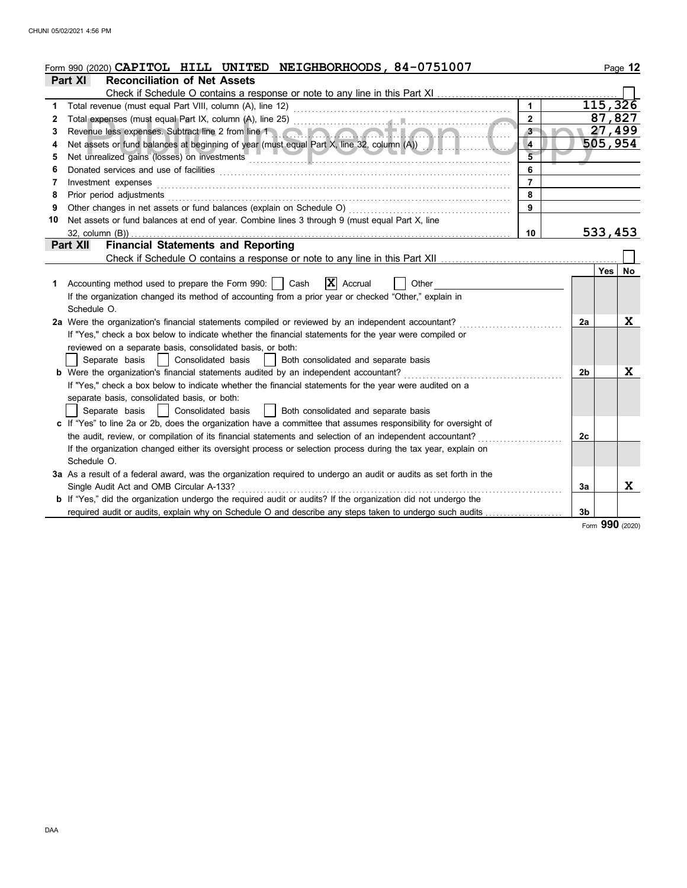|    | Form 990 (2020) CAPITOL HILL UNITED NEIGHBORHOODS, $84-0751007$                                                    |                |                |            | Page 12 |
|----|--------------------------------------------------------------------------------------------------------------------|----------------|----------------|------------|---------|
|    | <b>Reconciliation of Net Assets</b><br>Part XI                                                                     |                |                |            |         |
|    | Check if Schedule O contains a response or note to any line in this Part XI                                        |                |                |            |         |
| 1  |                                                                                                                    |                |                | 115,326    |         |
| 2  |                                                                                                                    | $\overline{2}$ |                | 87,827     |         |
| 3  | Revenue less expenses. Subtract line 2 from line 1                                                                 | $3 -$          |                | 27,499     |         |
| 4  | Net assets or fund balances at beginning of year (must equal Part X, line 32, column (A))                          | 4              |                | 505,954    |         |
| 5  | Net unrealized gains (losses) on investments                                                                       |                |                |            |         |
| 6  |                                                                                                                    | 6              |                |            |         |
| 7  | Investment expenses                                                                                                | $\overline{7}$ |                |            |         |
| 8  | Prior period adjustments                                                                                           | 8              |                |            |         |
| 9  | Other changes in net assets or fund balances (explain on Schedule O)                                               | 9              |                |            |         |
| 10 | Net assets or fund balances at end of year. Combine lines 3 through 9 (must equal Part X, line                     |                |                |            |         |
|    | $32$ , column $(B)$ )<br><b>Financial Statements and Reporting</b>                                                 | 10             |                | 533,453    |         |
|    | Part XII<br>Check if Schedule O contains a response or note to any line in this Part XII.                          |                |                |            |         |
|    |                                                                                                                    |                |                | $Yes \mid$ | No      |
| 1. | $\mathbf{X}$ Accrual<br>Accounting method used to prepare the Form 990:    <br>Cash<br>Other                       |                |                |            |         |
|    | If the organization changed its method of accounting from a prior year or checked "Other," explain in              |                |                |            |         |
|    | Schedule O.                                                                                                        |                |                |            |         |
|    | 2a Were the organization's financial statements compiled or reviewed by an independent accountant?                 |                | 2a             |            | x       |
|    | If "Yes," check a box below to indicate whether the financial statements for the year were compiled or             |                |                |            |         |
|    | reviewed on a separate basis, consolidated basis, or both:                                                         |                |                |            |         |
|    | Consolidated basis<br>Both consolidated and separate basis<br>Separate basis                                       |                |                |            |         |
|    | <b>b</b> Were the organization's financial statements audited by an independent accountant?                        |                | 2b             |            | x       |
|    | If "Yes," check a box below to indicate whether the financial statements for the year were audited on a            |                |                |            |         |
|    | separate basis, consolidated basis, or both:                                                                       |                |                |            |         |
|    | Consolidated basis<br>  Both consolidated and separate basis<br>Separate basis                                     |                |                |            |         |
|    | c If "Yes" to line 2a or 2b, does the organization have a committee that assumes responsibility for oversight of   |                |                |            |         |
|    | the audit, review, or compilation of its financial statements and selection of an independent accountant?          |                | 2c             |            |         |
|    | If the organization changed either its oversight process or selection process during the tax year, explain on      |                |                |            |         |
|    | Schedule O.                                                                                                        |                |                |            |         |
|    | 3a As a result of a federal award, was the organization required to undergo an audit or audits as set forth in the |                |                |            |         |
|    | Single Audit Act and OMB Circular A-133?                                                                           |                | За             |            | x       |
|    | b If "Yes," did the organization undergo the required audit or audits? If the organization did not undergo the     |                |                |            |         |
|    | required audit or audits, explain why on Schedule O and describe any steps taken to undergo such audits            |                | 3 <sub>b</sub> | nnn        |         |

Form **990** (2020)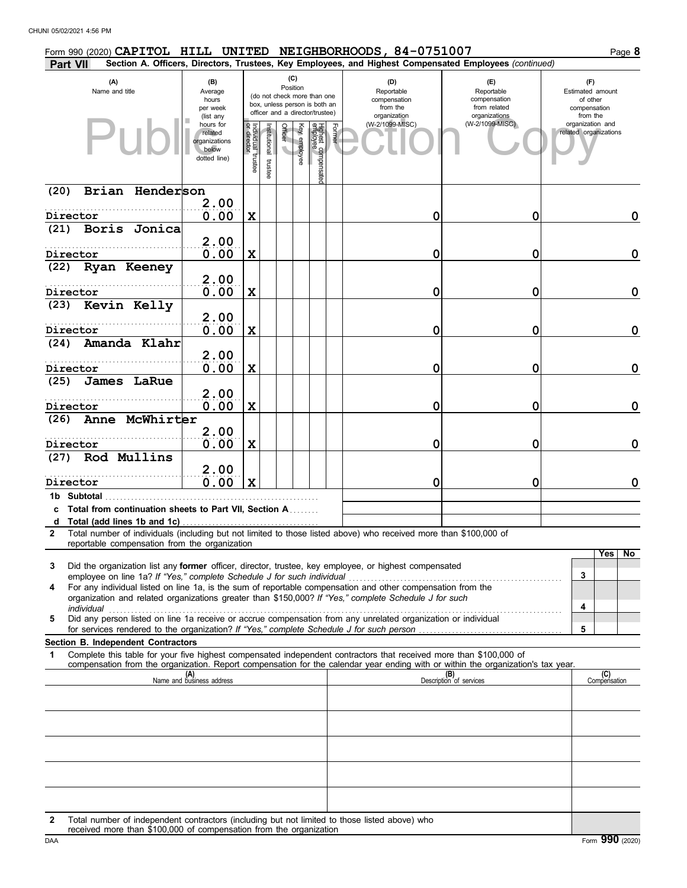|                                                            |                 |                                                                |  |                                   |                                 |                 |                                                                                                 |        | Form 990 (2020) CAPITOL HILL UNITED NEIGHBORHOODS, 84-0751007                                                                                                                                                                  |                                                                                                                                  |                                                                 | Page 8              |
|------------------------------------------------------------|-----------------|----------------------------------------------------------------|--|-----------------------------------|---------------------------------|-----------------|-------------------------------------------------------------------------------------------------|--------|--------------------------------------------------------------------------------------------------------------------------------------------------------------------------------------------------------------------------------|----------------------------------------------------------------------------------------------------------------------------------|-----------------------------------------------------------------|---------------------|
| <b>Part VII</b>                                            |                 |                                                                |  |                                   |                                 |                 |                                                                                                 |        |                                                                                                                                                                                                                                | Section A. Officers, Directors, Trustees, Key Employees, and Highest Compensated Employees (continued)                           |                                                                 |                     |
| (A)<br>Name and title                                      |                 | (B)<br>Average<br>hours<br>per week<br>(list any               |  |                                   |                                 | (C)<br>Position | (do not check more than one<br>box, unless person is both an<br>officer and a director/trustee) |        | (D)<br>Reportable<br>compensation<br>from the<br>organization                                                                                                                                                                  | (E)<br>Reportable<br>compensation<br>from related<br>organizations                                                               | (F)<br>Estimated amount<br>of other<br>compensation<br>from the |                     |
|                                                            |                 | hours for<br>related<br>organizations<br>below<br>dotted line) |  | Individual trustee<br>or director | Officer<br>nstitutional trustee | Key employee    | Highest compensatec<br>employee                                                                 | Former | (W-2/1099-MISC)                                                                                                                                                                                                                | (W-2/1099-MISC)                                                                                                                  | organization and<br>related organizations                       |                     |
| (20)                                                       | Brian Henderson |                                                                |  |                                   |                                 |                 |                                                                                                 |        |                                                                                                                                                                                                                                |                                                                                                                                  |                                                                 |                     |
| Director                                                   |                 | 2.00<br>0.00                                                   |  | X                                 |                                 |                 |                                                                                                 |        | 0                                                                                                                                                                                                                              | 0                                                                                                                                |                                                                 | 0                   |
| (21)                                                       | Boris Jonica    |                                                                |  |                                   |                                 |                 |                                                                                                 |        |                                                                                                                                                                                                                                |                                                                                                                                  |                                                                 |                     |
|                                                            |                 | 2.00                                                           |  |                                   |                                 |                 |                                                                                                 |        |                                                                                                                                                                                                                                |                                                                                                                                  |                                                                 |                     |
| Director                                                   |                 | 0.00                                                           |  | $\mathbf x$                       |                                 |                 |                                                                                                 |        | 0                                                                                                                                                                                                                              | 0                                                                                                                                |                                                                 | 0                   |
| (22) Ryan Keeney                                           |                 |                                                                |  |                                   |                                 |                 |                                                                                                 |        |                                                                                                                                                                                                                                |                                                                                                                                  |                                                                 |                     |
| Director                                                   |                 | 2.00<br>0.00                                                   |  | X                                 |                                 |                 |                                                                                                 |        | 0                                                                                                                                                                                                                              | 0                                                                                                                                |                                                                 | 0                   |
| Kevin Kelly<br>(23)                                        |                 |                                                                |  |                                   |                                 |                 |                                                                                                 |        |                                                                                                                                                                                                                                |                                                                                                                                  |                                                                 |                     |
|                                                            |                 | 2.00                                                           |  |                                   |                                 |                 |                                                                                                 |        |                                                                                                                                                                                                                                |                                                                                                                                  |                                                                 |                     |
| Director                                                   |                 | 0.00                                                           |  | X                                 |                                 |                 |                                                                                                 |        | 0                                                                                                                                                                                                                              | 0                                                                                                                                |                                                                 | 0                   |
| (24)                                                       | Amanda Klahr    |                                                                |  |                                   |                                 |                 |                                                                                                 |        |                                                                                                                                                                                                                                |                                                                                                                                  |                                                                 |                     |
| Director                                                   |                 | 2.00<br>0.00                                                   |  | X                                 |                                 |                 |                                                                                                 |        | 0                                                                                                                                                                                                                              | 0                                                                                                                                |                                                                 | 0                   |
| (25)<br>James LaRue                                        |                 |                                                                |  |                                   |                                 |                 |                                                                                                 |        |                                                                                                                                                                                                                                |                                                                                                                                  |                                                                 |                     |
|                                                            |                 | 2.00                                                           |  |                                   |                                 |                 |                                                                                                 |        |                                                                                                                                                                                                                                |                                                                                                                                  |                                                                 |                     |
| Director                                                   |                 | 0.00                                                           |  | X                                 |                                 |                 |                                                                                                 |        | 0                                                                                                                                                                                                                              | 0                                                                                                                                |                                                                 | 0                   |
| (26) Anne McWhirter                                        |                 |                                                                |  |                                   |                                 |                 |                                                                                                 |        |                                                                                                                                                                                                                                |                                                                                                                                  |                                                                 |                     |
| Director                                                   |                 | 2.00<br>0.00                                                   |  | X                                 |                                 |                 |                                                                                                 |        | 0                                                                                                                                                                                                                              | 0                                                                                                                                |                                                                 | 0                   |
| Rod Mullins<br>(27)                                        |                 |                                                                |  |                                   |                                 |                 |                                                                                                 |        |                                                                                                                                                                                                                                |                                                                                                                                  |                                                                 |                     |
|                                                            |                 | 2.00                                                           |  |                                   |                                 |                 |                                                                                                 |        |                                                                                                                                                                                                                                |                                                                                                                                  |                                                                 |                     |
| Director                                                   |                 | 0.00                                                           |  | X                                 |                                 |                 |                                                                                                 |        | 0                                                                                                                                                                                                                              | 0                                                                                                                                |                                                                 | 0                   |
| 1b Subtotal                                                |                 |                                                                |  |                                   |                                 |                 |                                                                                                 |        |                                                                                                                                                                                                                                |                                                                                                                                  |                                                                 |                     |
| Total from continuation sheets to Part VII, Section A<br>c |                 |                                                                |  |                                   |                                 |                 |                                                                                                 |        |                                                                                                                                                                                                                                |                                                                                                                                  |                                                                 |                     |
| d<br>Total (add lines 1b and 1c)<br>$\overline{2}$         |                 |                                                                |  |                                   |                                 |                 |                                                                                                 |        | Total number of individuals (including but not limited to those listed above) who received more than \$100,000 of                                                                                                              |                                                                                                                                  |                                                                 |                     |
| reportable compensation from the organization              |                 |                                                                |  |                                   |                                 |                 |                                                                                                 |        |                                                                                                                                                                                                                                |                                                                                                                                  |                                                                 |                     |
| 3                                                          |                 |                                                                |  |                                   |                                 |                 |                                                                                                 |        | Did the organization list any former officer, director, trustee, key employee, or highest compensated                                                                                                                          |                                                                                                                                  |                                                                 | Yes   No            |
|                                                            |                 |                                                                |  |                                   |                                 |                 |                                                                                                 |        |                                                                                                                                                                                                                                |                                                                                                                                  | 3                                                               |                     |
| 4                                                          |                 |                                                                |  |                                   |                                 |                 |                                                                                                 |        | For any individual listed on line 1a, is the sum of reportable compensation and other compensation from the<br>organization and related organizations greater than \$150,000? If "Yes," complete Schedule J for such           |                                                                                                                                  |                                                                 |                     |
|                                                            |                 |                                                                |  |                                   |                                 |                 |                                                                                                 |        | individual with a construction of the construction of the construction of the construction of the construction of the construction of the construction of the construction of the construction of the construction of the cons |                                                                                                                                  | 4                                                               |                     |
| 5                                                          |                 |                                                                |  |                                   |                                 |                 |                                                                                                 |        | Did any person listed on line 1a receive or accrue compensation from any unrelated organization or individual                                                                                                                  |                                                                                                                                  |                                                                 |                     |
| <b>Section B. Independent Contractors</b>                  |                 |                                                                |  |                                   |                                 |                 |                                                                                                 |        |                                                                                                                                                                                                                                |                                                                                                                                  | 5                                                               |                     |
| 1                                                          |                 |                                                                |  |                                   |                                 |                 |                                                                                                 |        | Complete this table for your five highest compensated independent contractors that received more than \$100,000 of                                                                                                             |                                                                                                                                  |                                                                 |                     |
|                                                            |                 |                                                                |  |                                   |                                 |                 |                                                                                                 |        |                                                                                                                                                                                                                                | compensation from the organization. Report compensation for the calendar year ending with or within the organization's tax year. |                                                                 |                     |
|                                                            |                 | (A)<br>Name and business address                               |  |                                   |                                 |                 |                                                                                                 |        |                                                                                                                                                                                                                                | (B)<br>Description of services                                                                                                   |                                                                 | (C)<br>Compensation |
|                                                            |                 |                                                                |  |                                   |                                 |                 |                                                                                                 |        |                                                                                                                                                                                                                                |                                                                                                                                  |                                                                 |                     |
|                                                            |                 |                                                                |  |                                   |                                 |                 |                                                                                                 |        |                                                                                                                                                                                                                                |                                                                                                                                  |                                                                 |                     |
|                                                            |                 |                                                                |  |                                   |                                 |                 |                                                                                                 |        |                                                                                                                                                                                                                                |                                                                                                                                  |                                                                 |                     |
|                                                            |                 |                                                                |  |                                   |                                 |                 |                                                                                                 |        |                                                                                                                                                                                                                                |                                                                                                                                  |                                                                 |                     |
|                                                            |                 |                                                                |  |                                   |                                 |                 |                                                                                                 |        |                                                                                                                                                                                                                                |                                                                                                                                  |                                                                 |                     |
|                                                            |                 |                                                                |  |                                   |                                 |                 |                                                                                                 |        |                                                                                                                                                                                                                                |                                                                                                                                  |                                                                 |                     |
|                                                            |                 |                                                                |  |                                   |                                 |                 |                                                                                                 |        |                                                                                                                                                                                                                                |                                                                                                                                  |                                                                 |                     |
|                                                            |                 |                                                                |  |                                   |                                 |                 |                                                                                                 |        |                                                                                                                                                                                                                                |                                                                                                                                  |                                                                 |                     |
|                                                            |                 |                                                                |  |                                   |                                 |                 |                                                                                                 |        |                                                                                                                                                                                                                                |                                                                                                                                  |                                                                 |                     |

**2** Total number of independent contractors (including but not limited to those listed above) who received more than \$100,000 of compensation from the organization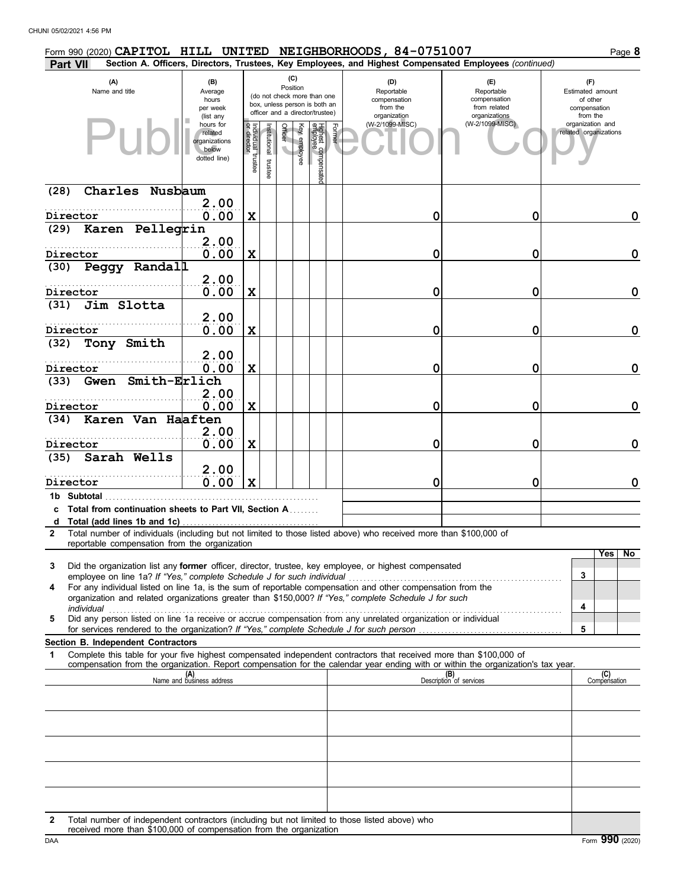| Form 990 (2020) CAPITOL HILL UNITED NEIGHBORHOODS, 84-0751007                                                                                                                                                             |  |                                                                |                                   |                      |                 |              |                                                                                                 |        |                                                               |                                                                                                                                                                                                                                                        |                                                                 | Page 8              |
|---------------------------------------------------------------------------------------------------------------------------------------------------------------------------------------------------------------------------|--|----------------------------------------------------------------|-----------------------------------|----------------------|-----------------|--------------|-------------------------------------------------------------------------------------------------|--------|---------------------------------------------------------------|--------------------------------------------------------------------------------------------------------------------------------------------------------------------------------------------------------------------------------------------------------|-----------------------------------------------------------------|---------------------|
| Part VII                                                                                                                                                                                                                  |  |                                                                |                                   |                      |                 |              |                                                                                                 |        |                                                               | Section A. Officers, Directors, Trustees, Key Employees, and Highest Compensated Employees (continued)                                                                                                                                                 |                                                                 |                     |
| (A)<br>Name and title                                                                                                                                                                                                     |  | (B)<br>Average<br>hours<br>per week<br>(list any               |                                   |                      | (C)<br>Position |              | (do not check more than one<br>box, unless person is both an<br>officer and a director/trustee) |        | (D)<br>Reportable<br>compensation<br>from the<br>organization | (E)<br>Reportable<br>compensation<br>from related<br>organizations                                                                                                                                                                                     | (F)<br>Estimated amount<br>of other<br>compensation<br>from the |                     |
|                                                                                                                                                                                                                           |  | hours for<br>related<br>organizations<br>below<br>dotted line) | Individual trustee<br>or director | nstitutional trustee | <b>Officer</b>  | Key employee | Highest compensatec<br>employee                                                                 | Former | (W-2/1099-MISC)                                               | (W-2/1099-MISC)                                                                                                                                                                                                                                        | organization and<br>related organizations                       |                     |
| (28)<br>Charles Nusbaum                                                                                                                                                                                                   |  |                                                                |                                   |                      |                 |              |                                                                                                 |        |                                                               |                                                                                                                                                                                                                                                        |                                                                 |                     |
|                                                                                                                                                                                                                           |  | 2.00                                                           |                                   |                      |                 |              |                                                                                                 |        |                                                               |                                                                                                                                                                                                                                                        |                                                                 |                     |
| Director<br>Karen Pellegrin<br>(29)                                                                                                                                                                                       |  | 0.00                                                           | $\mathbf x$                       |                      |                 |              |                                                                                                 |        | 0                                                             | 0                                                                                                                                                                                                                                                      |                                                                 | 0                   |
|                                                                                                                                                                                                                           |  | 2.00                                                           |                                   |                      |                 |              |                                                                                                 |        |                                                               |                                                                                                                                                                                                                                                        |                                                                 |                     |
| Director                                                                                                                                                                                                                  |  | 0.00                                                           | X                                 |                      |                 |              |                                                                                                 |        | 0                                                             | 0                                                                                                                                                                                                                                                      |                                                                 | 0                   |
| (30) Peggy Randall                                                                                                                                                                                                        |  |                                                                |                                   |                      |                 |              |                                                                                                 |        |                                                               |                                                                                                                                                                                                                                                        |                                                                 |                     |
|                                                                                                                                                                                                                           |  | 2.00                                                           |                                   |                      |                 |              |                                                                                                 |        |                                                               |                                                                                                                                                                                                                                                        |                                                                 |                     |
| Director<br>Jim Slotta<br>(31)                                                                                                                                                                                            |  | 0.00                                                           | X                                 |                      |                 |              |                                                                                                 |        | 0                                                             | 0                                                                                                                                                                                                                                                      |                                                                 | 0                   |
|                                                                                                                                                                                                                           |  | 2.00                                                           |                                   |                      |                 |              |                                                                                                 |        |                                                               |                                                                                                                                                                                                                                                        |                                                                 |                     |
| Director                                                                                                                                                                                                                  |  | 0.00                                                           | $\mathbf x$                       |                      |                 |              |                                                                                                 |        | 0                                                             | 0                                                                                                                                                                                                                                                      |                                                                 | 0                   |
| Tony Smith<br>(32)                                                                                                                                                                                                        |  |                                                                |                                   |                      |                 |              |                                                                                                 |        |                                                               |                                                                                                                                                                                                                                                        |                                                                 |                     |
| Director                                                                                                                                                                                                                  |  | 2.00<br>0.00                                                   | X                                 |                      |                 |              |                                                                                                 |        | 0                                                             | 0                                                                                                                                                                                                                                                      |                                                                 | 0                   |
| Gwen Smith-Erlich<br>(33)                                                                                                                                                                                                 |  |                                                                |                                   |                      |                 |              |                                                                                                 |        |                                                               |                                                                                                                                                                                                                                                        |                                                                 |                     |
|                                                                                                                                                                                                                           |  | 2.00                                                           |                                   |                      |                 |              |                                                                                                 |        |                                                               |                                                                                                                                                                                                                                                        |                                                                 |                     |
| Director<br>Karen Van Haaften<br>(34)                                                                                                                                                                                     |  | 0.00                                                           | X                                 |                      |                 |              |                                                                                                 |        | 0                                                             | 0                                                                                                                                                                                                                                                      |                                                                 | 0                   |
|                                                                                                                                                                                                                           |  | 2.00                                                           |                                   |                      |                 |              |                                                                                                 |        |                                                               |                                                                                                                                                                                                                                                        |                                                                 |                     |
| Director                                                                                                                                                                                                                  |  | 0.00                                                           | X                                 |                      |                 |              |                                                                                                 |        | 0                                                             | 0                                                                                                                                                                                                                                                      |                                                                 | 0                   |
| Sarah Wells<br>(35)                                                                                                                                                                                                       |  | 2.00                                                           |                                   |                      |                 |              |                                                                                                 |        |                                                               |                                                                                                                                                                                                                                                        |                                                                 |                     |
| Director                                                                                                                                                                                                                  |  | 0.00                                                           | X                                 |                      |                 |              |                                                                                                 |        | 0                                                             | 0                                                                                                                                                                                                                                                      |                                                                 | 0                   |
| 1b Subtotal                                                                                                                                                                                                               |  |                                                                |                                   |                      |                 |              |                                                                                                 |        |                                                               |                                                                                                                                                                                                                                                        |                                                                 |                     |
| Total from continuation sheets to Part VII, Section A<br>c                                                                                                                                                                |  |                                                                |                                   |                      |                 |              |                                                                                                 |        |                                                               |                                                                                                                                                                                                                                                        |                                                                 |                     |
| Total (add lines 1b and 1c)<br>d<br>$\mathbf{2}$                                                                                                                                                                          |  |                                                                |                                   |                      |                 |              |                                                                                                 |        |                                                               | Total number of individuals (including but not limited to those listed above) who received more than \$100,000 of                                                                                                                                      |                                                                 |                     |
| reportable compensation from the organization                                                                                                                                                                             |  |                                                                |                                   |                      |                 |              |                                                                                                 |        |                                                               |                                                                                                                                                                                                                                                        |                                                                 |                     |
| Did the organization list any former officer, director, trustee, key employee, or highest compensated<br>3                                                                                                                |  |                                                                |                                   |                      |                 |              |                                                                                                 |        |                                                               |                                                                                                                                                                                                                                                        |                                                                 | Yes   No            |
|                                                                                                                                                                                                                           |  |                                                                |                                   |                      |                 |              |                                                                                                 |        |                                                               |                                                                                                                                                                                                                                                        | 3                                                               |                     |
| For any individual listed on line 1a, is the sum of reportable compensation and other compensation from the<br>4<br>organization and related organizations greater than \$150,000? If "Yes," complete Schedule J for such |  |                                                                |                                   |                      |                 |              |                                                                                                 |        |                                                               |                                                                                                                                                                                                                                                        |                                                                 |                     |
| Did any person listed on line 1a receive or accrue compensation from any unrelated organization or individual<br>5                                                                                                        |  |                                                                |                                   |                      |                 |              |                                                                                                 |        |                                                               |                                                                                                                                                                                                                                                        | 4                                                               |                     |
|                                                                                                                                                                                                                           |  |                                                                |                                   |                      |                 |              |                                                                                                 |        |                                                               |                                                                                                                                                                                                                                                        | 5                                                               |                     |
| Section B. Independent Contractors                                                                                                                                                                                        |  |                                                                |                                   |                      |                 |              |                                                                                                 |        |                                                               |                                                                                                                                                                                                                                                        |                                                                 |                     |
| 1                                                                                                                                                                                                                         |  |                                                                |                                   |                      |                 |              |                                                                                                 |        |                                                               | Complete this table for your five highest compensated independent contractors that received more than \$100,000 of<br>compensation from the organization. Report compensation for the calendar year ending with or within the organization's tax year. |                                                                 |                     |
|                                                                                                                                                                                                                           |  | (A)<br>Name and business address                               |                                   |                      |                 |              |                                                                                                 |        |                                                               | (B)<br>Description of services                                                                                                                                                                                                                         |                                                                 | (C)<br>Compensation |
|                                                                                                                                                                                                                           |  |                                                                |                                   |                      |                 |              |                                                                                                 |        |                                                               |                                                                                                                                                                                                                                                        |                                                                 |                     |
|                                                                                                                                                                                                                           |  |                                                                |                                   |                      |                 |              |                                                                                                 |        |                                                               |                                                                                                                                                                                                                                                        |                                                                 |                     |
|                                                                                                                                                                                                                           |  |                                                                |                                   |                      |                 |              |                                                                                                 |        |                                                               |                                                                                                                                                                                                                                                        |                                                                 |                     |
|                                                                                                                                                                                                                           |  |                                                                |                                   |                      |                 |              |                                                                                                 |        |                                                               |                                                                                                                                                                                                                                                        |                                                                 |                     |
|                                                                                                                                                                                                                           |  |                                                                |                                   |                      |                 |              |                                                                                                 |        |                                                               |                                                                                                                                                                                                                                                        |                                                                 |                     |
|                                                                                                                                                                                                                           |  |                                                                |                                   |                      |                 |              |                                                                                                 |        |                                                               |                                                                                                                                                                                                                                                        |                                                                 |                     |
|                                                                                                                                                                                                                           |  |                                                                |                                   |                      |                 |              |                                                                                                 |        |                                                               |                                                                                                                                                                                                                                                        |                                                                 |                     |
| Total number of independent contractors (including but not limited to those listed above) who                                                                                                                             |  |                                                                |                                   |                      |                 |              |                                                                                                 |        |                                                               |                                                                                                                                                                                                                                                        |                                                                 |                     |

**2** Total number of independent contractors (including but not limited to those listed above) who received more than \$100,000 of compensation from the organization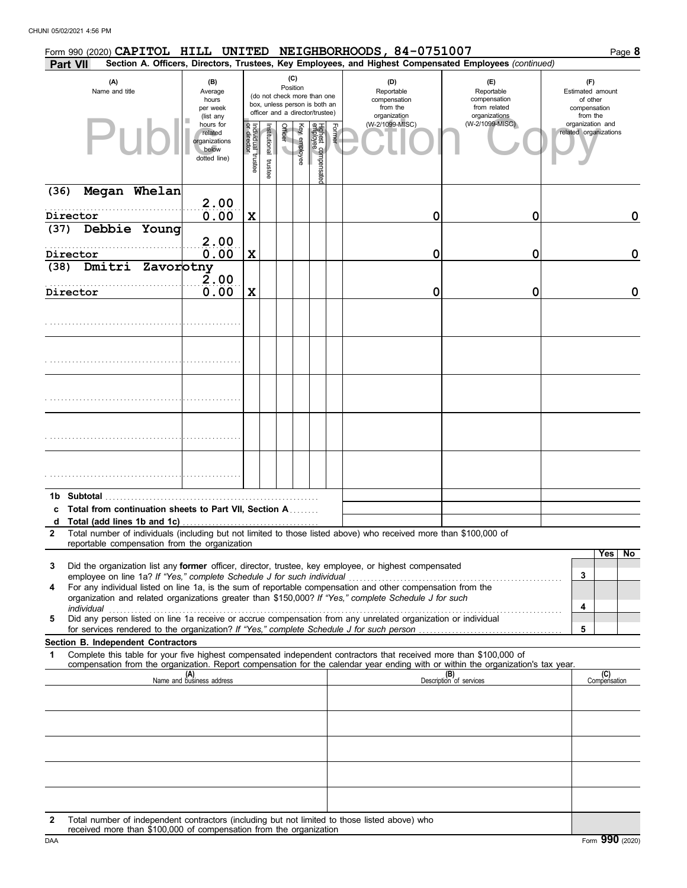|                 |          |                                                 |  |                                                                                               |                                   |                          |                |                    |                                                                                                 |        | Form 990 (2020) CAPITOL HILL UNITED NEIGHBORHOODS, 84-0751007                                                                                                                                                        |                                                                                                                                                                                                                                |  |                                                                 |                     | Page 8 |
|-----------------|----------|-------------------------------------------------|--|-----------------------------------------------------------------------------------------------|-----------------------------------|--------------------------|----------------|--------------------|-------------------------------------------------------------------------------------------------|--------|----------------------------------------------------------------------------------------------------------------------------------------------------------------------------------------------------------------------|--------------------------------------------------------------------------------------------------------------------------------------------------------------------------------------------------------------------------------|--|-----------------------------------------------------------------|---------------------|--------|
| <b>Part VII</b> |          |                                                 |  |                                                                                               |                                   |                          |                |                    |                                                                                                 |        |                                                                                                                                                                                                                      | Section A. Officers, Directors, Trustees, Key Employees, and Highest Compensated Employees (continued)                                                                                                                         |  |                                                                 |                     |        |
|                 |          | (A)<br>Name and title                           |  | (B)<br>Average<br>hours<br>per week<br>(list any                                              |                                   |                          | Position       | (C)                | (do not check more than one<br>box, unless person is both an<br>officer and a director/trustee) |        | (D)<br>Reportable<br>compensation<br>from the<br>organization                                                                                                                                                        | (E)<br>Reportable<br>compensation<br>from related<br>organizations                                                                                                                                                             |  | (F)<br>Estimated amount<br>of other<br>compensation<br>from the |                     |        |
|                 |          |                                                 |  | hours for<br>related<br>organizations<br>below<br>dotted line)                                | Individual trustee<br>or director | Institutional<br>trustee | <b>Officer</b> | <b>Ey employee</b> | Highest compensatec<br>employee                                                                 | Former | (W-2/1099-MISC)                                                                                                                                                                                                      | (W-2/1099-MISC)                                                                                                                                                                                                                |  | organization and<br>related organizations                       |                     |        |
| (36)            |          | Megan Whelan                                    |  | 2.00                                                                                          |                                   |                          |                |                    |                                                                                                 |        |                                                                                                                                                                                                                      |                                                                                                                                                                                                                                |  |                                                                 |                     |        |
|                 | Director |                                                 |  | 0.00                                                                                          | X                                 |                          |                |                    |                                                                                                 |        | 0                                                                                                                                                                                                                    | 0                                                                                                                                                                                                                              |  |                                                                 |                     | 0      |
| (37)            |          | Debbie Young                                    |  | 2.00                                                                                          |                                   |                          |                |                    |                                                                                                 |        |                                                                                                                                                                                                                      |                                                                                                                                                                                                                                |  |                                                                 |                     |        |
|                 | Director |                                                 |  | 0.00                                                                                          | X                                 |                          |                |                    |                                                                                                 |        | 0                                                                                                                                                                                                                    | 0                                                                                                                                                                                                                              |  |                                                                 |                     | 0      |
| (38)            |          | Dmitri Zavorotny                                |  |                                                                                               |                                   |                          |                |                    |                                                                                                 |        |                                                                                                                                                                                                                      |                                                                                                                                                                                                                                |  |                                                                 |                     |        |
|                 |          |                                                 |  | 2.00                                                                                          |                                   |                          |                |                    |                                                                                                 |        |                                                                                                                                                                                                                      |                                                                                                                                                                                                                                |  |                                                                 |                     |        |
|                 | Director |                                                 |  | 0.00                                                                                          | X                                 |                          |                |                    |                                                                                                 |        | 0                                                                                                                                                                                                                    | 0                                                                                                                                                                                                                              |  |                                                                 |                     | 0      |
|                 |          |                                                 |  |                                                                                               |                                   |                          |                |                    |                                                                                                 |        |                                                                                                                                                                                                                      |                                                                                                                                                                                                                                |  |                                                                 |                     |        |
|                 |          |                                                 |  |                                                                                               |                                   |                          |                |                    |                                                                                                 |        |                                                                                                                                                                                                                      |                                                                                                                                                                                                                                |  |                                                                 |                     |        |
|                 |          |                                                 |  |                                                                                               |                                   |                          |                |                    |                                                                                                 |        |                                                                                                                                                                                                                      |                                                                                                                                                                                                                                |  |                                                                 |                     |        |
|                 |          |                                                 |  |                                                                                               |                                   |                          |                |                    |                                                                                                 |        |                                                                                                                                                                                                                      |                                                                                                                                                                                                                                |  |                                                                 |                     |        |
|                 |          |                                                 |  |                                                                                               |                                   |                          |                |                    |                                                                                                 |        |                                                                                                                                                                                                                      |                                                                                                                                                                                                                                |  |                                                                 |                     |        |
|                 |          |                                                 |  |                                                                                               |                                   |                          |                |                    |                                                                                                 |        |                                                                                                                                                                                                                      |                                                                                                                                                                                                                                |  |                                                                 |                     |        |
|                 |          | 1b Subtotal $\ldots$ $\ldots$ $\ldots$ $\ldots$ |  |                                                                                               |                                   |                          |                |                    |                                                                                                 |        |                                                                                                                                                                                                                      |                                                                                                                                                                                                                                |  |                                                                 |                     |        |
| c               |          |                                                 |  | Total from continuation sheets to Part VII, Section A                                         |                                   |                          |                |                    |                                                                                                 |        |                                                                                                                                                                                                                      |                                                                                                                                                                                                                                |  |                                                                 |                     |        |
| d<br>2          |          | Total (add lines 1b and 1c)                     |  |                                                                                               |                                   |                          |                |                    |                                                                                                 |        |                                                                                                                                                                                                                      | Total number of individuals (including but not limited to those listed above) who received more than \$100,000 of                                                                                                              |  |                                                                 |                     |        |
|                 |          |                                                 |  | reportable compensation from the organization                                                 |                                   |                          |                |                    |                                                                                                 |        |                                                                                                                                                                                                                      |                                                                                                                                                                                                                                |  |                                                                 |                     |        |
| 3               |          |                                                 |  |                                                                                               |                                   |                          |                |                    |                                                                                                 |        |                                                                                                                                                                                                                      |                                                                                                                                                                                                                                |  |                                                                 | Yes   No            |        |
|                 |          |                                                 |  | employee on line 1a? If "Yes," complete Schedule J for such individual                        |                                   |                          |                |                    |                                                                                                 |        | Did the organization list any former officer, director, trustee, key employee, or highest compensated                                                                                                                |                                                                                                                                                                                                                                |  | 3                                                               |                     |        |
| 4               |          |                                                 |  |                                                                                               |                                   |                          |                |                    |                                                                                                 |        | For any individual listed on line 1a, is the sum of reportable compensation and other compensation from the<br>organization and related organizations greater than \$150,000? If "Yes," complete Schedule J for such |                                                                                                                                                                                                                                |  |                                                                 |                     |        |
|                 |          |                                                 |  |                                                                                               |                                   |                          |                |                    |                                                                                                 |        |                                                                                                                                                                                                                      | individual with a construction of the construction of the construction of the construction of the construction of the construction of the construction of the construction of the construction of the construction of the cons |  | 4                                                               |                     |        |
| 5               |          |                                                 |  |                                                                                               |                                   |                          |                |                    |                                                                                                 |        |                                                                                                                                                                                                                      | Did any person listed on line 1a receive or accrue compensation from any unrelated organization or individual                                                                                                                  |  | 5                                                               |                     |        |
|                 |          | Section B. Independent Contractors              |  |                                                                                               |                                   |                          |                |                    |                                                                                                 |        |                                                                                                                                                                                                                      |                                                                                                                                                                                                                                |  |                                                                 |                     |        |
| 1               |          |                                                 |  |                                                                                               |                                   |                          |                |                    |                                                                                                 |        |                                                                                                                                                                                                                      | Complete this table for your five highest compensated independent contractors that received more than \$100,000 of                                                                                                             |  |                                                                 |                     |        |
|                 |          |                                                 |  | (A)<br>Name and business address                                                              |                                   |                          |                |                    |                                                                                                 |        |                                                                                                                                                                                                                      | compensation from the organization. Report compensation for the calendar year ending with or within the organization's tax year.<br>(B)<br>Description of services                                                             |  |                                                                 | (C)<br>Compensation |        |
|                 |          |                                                 |  |                                                                                               |                                   |                          |                |                    |                                                                                                 |        |                                                                                                                                                                                                                      |                                                                                                                                                                                                                                |  |                                                                 |                     |        |
|                 |          |                                                 |  |                                                                                               |                                   |                          |                |                    |                                                                                                 |        |                                                                                                                                                                                                                      |                                                                                                                                                                                                                                |  |                                                                 |                     |        |
|                 |          |                                                 |  |                                                                                               |                                   |                          |                |                    |                                                                                                 |        |                                                                                                                                                                                                                      |                                                                                                                                                                                                                                |  |                                                                 |                     |        |
|                 |          |                                                 |  |                                                                                               |                                   |                          |                |                    |                                                                                                 |        |                                                                                                                                                                                                                      |                                                                                                                                                                                                                                |  |                                                                 |                     |        |
|                 |          |                                                 |  |                                                                                               |                                   |                          |                |                    |                                                                                                 |        |                                                                                                                                                                                                                      |                                                                                                                                                                                                                                |  |                                                                 |                     |        |
|                 |          |                                                 |  |                                                                                               |                                   |                          |                |                    |                                                                                                 |        |                                                                                                                                                                                                                      |                                                                                                                                                                                                                                |  |                                                                 |                     |        |
| 2               |          |                                                 |  | Total number of independent contractors (including but not limited to those listed above) who |                                   |                          |                |                    |                                                                                                 |        |                                                                                                                                                                                                                      |                                                                                                                                                                                                                                |  |                                                                 |                     |        |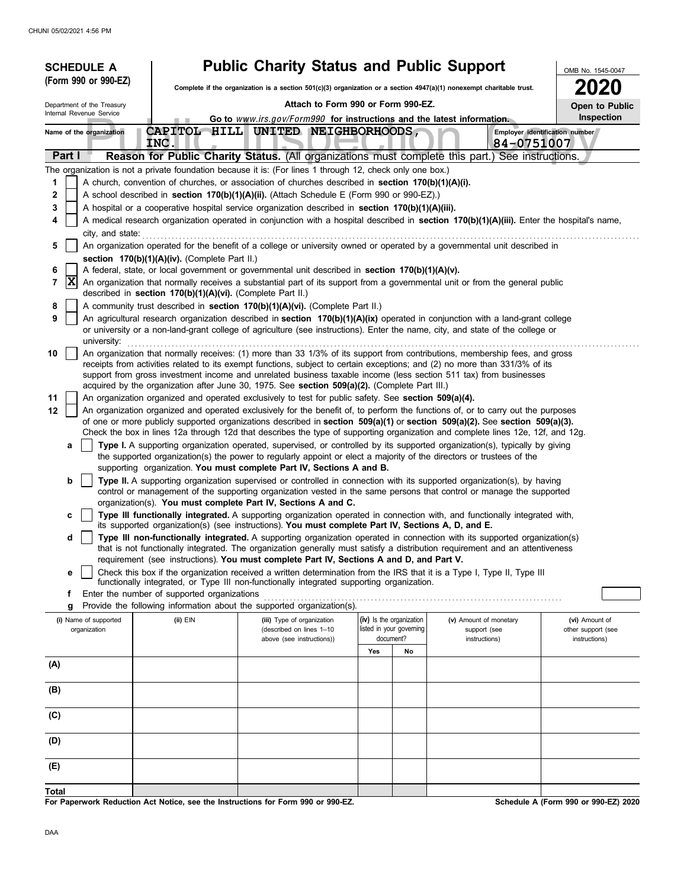|       |                                                                                                                                                                                                       | <b>SCHEDULE A</b>          |  |                                                                                                                                                                                                                                                                                                                  |  |  |                                                       |                          |                          | <b>Public Charity Status and Public Support</b>                        |            | OMB No. 1545-0047                    |  |
|-------|-------------------------------------------------------------------------------------------------------------------------------------------------------------------------------------------------------|----------------------------|--|------------------------------------------------------------------------------------------------------------------------------------------------------------------------------------------------------------------------------------------------------------------------------------------------------------------|--|--|-------------------------------------------------------|--------------------------|--------------------------|------------------------------------------------------------------------|------------|--------------------------------------|--|
|       |                                                                                                                                                                                                       | (Form 990 or 990-EZ)       |  | Complete if the organization is a section $501(c)(3)$ organization or a section $4947(a)(1)$ nonexempt charitable trust.                                                                                                                                                                                         |  |  |                                                       |                          |                          |                                                                        |            | 2020                                 |  |
|       |                                                                                                                                                                                                       | Department of the Treasury |  |                                                                                                                                                                                                                                                                                                                  |  |  | Attach to Form 990 or Form 990-EZ.                    |                          |                          |                                                                        |            |                                      |  |
|       |                                                                                                                                                                                                       | Internal Revenue Service   |  |                                                                                                                                                                                                                                                                                                                  |  |  |                                                       |                          |                          | Go to www.irs.gov/Form990 for instructions and the latest information. |            | Open to Public<br>Inspection         |  |
|       |                                                                                                                                                                                                       | Name of the organization   |  | CAPITOL HILL UNITED NEIGHBORHOODS,<br>INC.                                                                                                                                                                                                                                                                       |  |  |                                                       |                          |                          |                                                                        | 84-0751007 | Employer identification number       |  |
|       | Part I                                                                                                                                                                                                |                            |  | Reason for Public Charity Status. (All organizations must complete this part.) See instructions.                                                                                                                                                                                                                 |  |  |                                                       |                          |                          |                                                                        |            |                                      |  |
|       |                                                                                                                                                                                                       |                            |  | The organization is not a private foundation because it is: (For lines 1 through 12, check only one box.)                                                                                                                                                                                                        |  |  |                                                       |                          |                          |                                                                        |            |                                      |  |
| 1     |                                                                                                                                                                                                       |                            |  | A church, convention of churches, or association of churches described in section 170(b)(1)(A)(i).                                                                                                                                                                                                               |  |  |                                                       |                          |                          |                                                                        |            |                                      |  |
| 2     |                                                                                                                                                                                                       |                            |  | A school described in section 170(b)(1)(A)(ii). (Attach Schedule E (Form 990 or 990-EZ).)                                                                                                                                                                                                                        |  |  |                                                       |                          |                          |                                                                        |            |                                      |  |
| 3     |                                                                                                                                                                                                       |                            |  | A hospital or a cooperative hospital service organization described in section 170(b)(1)(A)(iii).                                                                                                                                                                                                                |  |  |                                                       |                          |                          |                                                                        |            |                                      |  |
| 4     |                                                                                                                                                                                                       | city, and state:           |  | A medical research organization operated in conjunction with a hospital described in section 170(b)(1)(A)(iii). Enter the hospital's name,                                                                                                                                                                       |  |  |                                                       |                          |                          |                                                                        |            |                                      |  |
| 5     |                                                                                                                                                                                                       |                            |  | An organization operated for the benefit of a college or university owned or operated by a governmental unit described in                                                                                                                                                                                        |  |  |                                                       |                          |                          |                                                                        |            |                                      |  |
|       |                                                                                                                                                                                                       |                            |  | section 170(b)(1)(A)(iv). (Complete Part II.)                                                                                                                                                                                                                                                                    |  |  |                                                       |                          |                          |                                                                        |            |                                      |  |
| 6     | A federal, state, or local government or governmental unit described in section 170(b)(1)(A)(v).                                                                                                      |                            |  |                                                                                                                                                                                                                                                                                                                  |  |  |                                                       |                          |                          |                                                                        |            |                                      |  |
| 7     | $\mathbf{x}$                                                                                                                                                                                          |                            |  | An organization that normally receives a substantial part of its support from a governmental unit or from the general public<br>described in section 170(b)(1)(A)(vi). (Complete Part II.)                                                                                                                       |  |  |                                                       |                          |                          |                                                                        |            |                                      |  |
| 8     |                                                                                                                                                                                                       |                            |  | A community trust described in section 170(b)(1)(A)(vi). (Complete Part II.)                                                                                                                                                                                                                                     |  |  |                                                       |                          |                          |                                                                        |            |                                      |  |
| 9     |                                                                                                                                                                                                       | university:                |  | An agricultural research organization described in section 170(b)(1)(A)(ix) operated in conjunction with a land-grant college<br>or university or a non-land-grant college of agriculture (see instructions). Enter the name, city, and state of the college or                                                  |  |  |                                                       |                          |                          |                                                                        |            |                                      |  |
| 10    |                                                                                                                                                                                                       |                            |  | An organization that normally receives: (1) more than 33 1/3% of its support from contributions, membership fees, and gross                                                                                                                                                                                      |  |  |                                                       |                          |                          |                                                                        |            |                                      |  |
|       |                                                                                                                                                                                                       |                            |  | receipts from activities related to its exempt functions, subject to certain exceptions; and (2) no more than 331/3% of its                                                                                                                                                                                      |  |  |                                                       |                          |                          |                                                                        |            |                                      |  |
|       |                                                                                                                                                                                                       |                            |  | support from gross investment income and unrelated business taxable income (less section 511 tax) from businesses                                                                                                                                                                                                |  |  |                                                       |                          |                          |                                                                        |            |                                      |  |
| 11    | acquired by the organization after June 30, 1975. See section 509(a)(2). (Complete Part III.)<br>An organization organized and operated exclusively to test for public safety. See section 509(a)(4). |                            |  |                                                                                                                                                                                                                                                                                                                  |  |  |                                                       |                          |                          |                                                                        |            |                                      |  |
| 12    |                                                                                                                                                                                                       |                            |  | An organization organized and operated exclusively for the benefit of, to perform the functions of, or to carry out the purposes                                                                                                                                                                                 |  |  |                                                       |                          |                          |                                                                        |            |                                      |  |
|       |                                                                                                                                                                                                       |                            |  | of one or more publicly supported organizations described in section 509(a)(1) or section 509(a)(2). See section 509(a)(3).                                                                                                                                                                                      |  |  |                                                       |                          |                          |                                                                        |            |                                      |  |
|       | a                                                                                                                                                                                                     |                            |  | Check the box in lines 12a through 12d that describes the type of supporting organization and complete lines 12e, 12f, and 12g.<br>Type I. A supporting organization operated, supervised, or controlled by its supported organization(s), typically by giving                                                   |  |  |                                                       |                          |                          |                                                                        |            |                                      |  |
|       |                                                                                                                                                                                                       |                            |  | the supported organization(s) the power to regularly appoint or elect a majority of the directors or trustees of the                                                                                                                                                                                             |  |  |                                                       |                          |                          |                                                                        |            |                                      |  |
|       |                                                                                                                                                                                                       |                            |  | supporting organization. You must complete Part IV, Sections A and B.                                                                                                                                                                                                                                            |  |  |                                                       |                          |                          |                                                                        |            |                                      |  |
|       | b                                                                                                                                                                                                     |                            |  | Type II. A supporting organization supervised or controlled in connection with its supported organization(s), by having<br>control or management of the supporting organization vested in the same persons that control or manage the supported<br>organization(s). You must complete Part IV, Sections A and C. |  |  |                                                       |                          |                          |                                                                        |            |                                      |  |
|       | c                                                                                                                                                                                                     |                            |  | Type III functionally integrated. A supporting organization operated in connection with, and functionally integrated with,                                                                                                                                                                                       |  |  |                                                       |                          |                          |                                                                        |            |                                      |  |
|       |                                                                                                                                                                                                       |                            |  | its supported organization(s) (see instructions). You must complete Part IV, Sections A, D, and E.                                                                                                                                                                                                               |  |  |                                                       |                          |                          |                                                                        |            |                                      |  |
|       | d                                                                                                                                                                                                     |                            |  | Type III non-functionally integrated. A supporting organization operated in connection with its supported organization(s)<br>that is not functionally integrated. The organization generally must satisfy a distribution requirement and an attentiveness                                                        |  |  |                                                       |                          |                          |                                                                        |            |                                      |  |
|       |                                                                                                                                                                                                       |                            |  | requirement (see instructions). You must complete Part IV, Sections A and D, and Part V.                                                                                                                                                                                                                         |  |  |                                                       |                          |                          |                                                                        |            |                                      |  |
|       | е                                                                                                                                                                                                     |                            |  | Check this box if the organization received a written determination from the IRS that it is a Type I, Type II, Type III                                                                                                                                                                                          |  |  |                                                       |                          |                          |                                                                        |            |                                      |  |
|       |                                                                                                                                                                                                       |                            |  | functionally integrated, or Type III non-functionally integrated supporting organization.<br>Enter the number of supported organizations                                                                                                                                                                         |  |  |                                                       |                          |                          |                                                                        |            |                                      |  |
|       | f<br>g                                                                                                                                                                                                |                            |  | Provide the following information about the supported organization(s).                                                                                                                                                                                                                                           |  |  |                                                       |                          |                          |                                                                        |            |                                      |  |
|       |                                                                                                                                                                                                       | (i) Name of supported      |  | $(ii)$ $EIN$                                                                                                                                                                                                                                                                                                     |  |  | (iii) Type of organization                            | (iv) Is the organization |                          | (v) Amount of monetary                                                 |            | (vi) Amount of                       |  |
|       |                                                                                                                                                                                                       | organization               |  |                                                                                                                                                                                                                                                                                                                  |  |  | (described on lines 1-10<br>above (see instructions)) | document?                | listed in your governing | support (see                                                           |            | other support (see                   |  |
|       |                                                                                                                                                                                                       |                            |  |                                                                                                                                                                                                                                                                                                                  |  |  |                                                       | Yes                      | No                       | instructions)                                                          |            | instructions)                        |  |
| (A)   |                                                                                                                                                                                                       |                            |  |                                                                                                                                                                                                                                                                                                                  |  |  |                                                       |                          |                          |                                                                        |            |                                      |  |
|       |                                                                                                                                                                                                       |                            |  |                                                                                                                                                                                                                                                                                                                  |  |  |                                                       |                          |                          |                                                                        |            |                                      |  |
| (B)   |                                                                                                                                                                                                       |                            |  |                                                                                                                                                                                                                                                                                                                  |  |  |                                                       |                          |                          |                                                                        |            |                                      |  |
| (C)   |                                                                                                                                                                                                       |                            |  |                                                                                                                                                                                                                                                                                                                  |  |  |                                                       |                          |                          |                                                                        |            |                                      |  |
| (D)   |                                                                                                                                                                                                       |                            |  |                                                                                                                                                                                                                                                                                                                  |  |  |                                                       |                          |                          |                                                                        |            |                                      |  |
| (E)   |                                                                                                                                                                                                       |                            |  |                                                                                                                                                                                                                                                                                                                  |  |  |                                                       |                          |                          |                                                                        |            |                                      |  |
| Total |                                                                                                                                                                                                       |                            |  |                                                                                                                                                                                                                                                                                                                  |  |  |                                                       |                          |                          |                                                                        |            |                                      |  |
|       |                                                                                                                                                                                                       |                            |  | For Paperwork Reduction Act Notice, see the Instructions for Form 990 or 990-EZ.                                                                                                                                                                                                                                 |  |  |                                                       |                          |                          |                                                                        |            | Schedule A (Form 990 or 990-EZ) 2020 |  |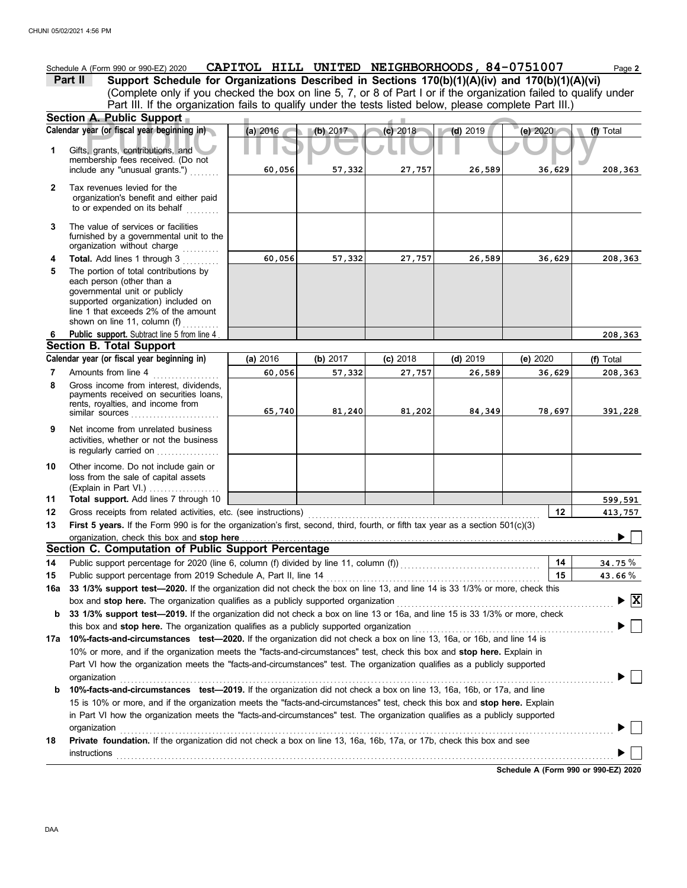Schedule A (Form 990 or 990-EZ) 2020 Page **2 CAPITOL HILL UNITED NEIGHBORHOODS, 84-0751007 Part II Support Schedule for Organizations Described in Sections 170(b)(1)(A)(iv) and 170(b)(1)(A)(vi)** (Complete only if you checked the box on line 5, 7, or 8 of Part I or if the organization failed to qualify under Part III. If the organization fails to qualify under the tests listed below, please complete Part III.) **Section A. Public Support A. Public Support**<br> **Public Support**<br> **Public Support**<br> **Public Support**<br> **Public Support**<br> **Public Support**<br> **Public Support (a)**<br> **Public Support (a)**<br> **Public Support (a)**<br> **Public Support (a)**<br> **Public Support (a)**<br> **(a)** 2016 **(b)** 2017 **(c)** 2018 **(d)** 2019 **(e)** 2020 **Calendar year (or fiscal year beginning in) <br>
<b>(a)** 2016 **(b)** 2017 **(c)** 2018 **(d)** 2019 **(e)** 2020 **(b)** 7 otal **1** Gifts, grants, contributions, and membership fees received. (Do not  $include$  any "unusual grants.") **60,056 57,332 27,757 26,589 36,629 208,363 2** Tax revenues levied for the organization's benefit and either paid to or expended on its behalf **3** The value of services or facilities furnished by a governmental unit to the organization without charge ........... **Total.** Add lines 1 through 3 **4 60,056 57,332 27,757 26,589 36,629 208,363** The portion of total contributions by **5** each person (other than a governmental unit or publicly supported organization) included on line 1 that exceeds 2% of the amount shown on line 11, column (f) **Public support.** Subtract line 5 from line 4 **208,363 6 Section B. Total Support Calendar year (or fiscal year beginning in) (a)** 2016 (b) 2017 (c) 2018 (d) 2019 (e) 2020 (f) Total **(a)** 2016 **(b)** 2017 **(c)** 2018 **(d)** 2019 **(e)** 2020 **7** Amounts from line 4 **60,056 57,332 27,757 26,589 36,629 208,363 8** Gross income from interest, dividends, payments received on securities loans, rents, royalties, and income from similar sources .............. **65,740 81,240 81,202 84,349 78,697 391,228 9** Net income from unrelated business activities, whether or not the business is regularly carried on . . . . . . . . . . . . . . . . . **10** Other income. Do not include gain or loss from the sale of capital assets (Explain in Part VI.) . . . . . . . . . . . . . . . . . **Total support.** Add lines 7 through 10 **11 599,591** Gross receipts from related activities, etc. (see instructions) . . . . . . . . . . . . . . . . . . . . . . . . . . . . . . . . . . . . . . . . . . . . . . . . . . . . . . . . . . . . . . . **12 12 413,757** First 5 years. If the Form 990 is for the organization's first, second, third, fourth, or fifth tax year as a section 501(c)(3) **13** organization, check this box and stop here ь **Section C. Computation of Public Support Percentage 14** Public support percentage for 2020 (line 6, column (f) divided by line 11, column (f)) . . . . . . . . . . . . . . . . . . . . . . . . . . . . . . . . . . . . . . **14** % **34.75** 15 Public support percentage from 2019 Schedule A, Part II, line 14 ............. **15** % **43.66 16a 33 1/3% support test—2020.** If the organization did not check the box on line 13, and line 14 is 33 1/3% or more, check this box and stop here. The organization qualifies as a publicly supported organization **X b 33 1/3% support test—2019.** If the organization did not check a box on line 13 or 16a, and line 15 is 33 1/3% or more, check this box and stop here. The organization qualifies as a publicly supported organization **17a 10%-facts-and-circumstances test—2020.** If the organization did not check a box on line 13, 16a, or 16b, and line 14 is 10% or more, and if the organization meets the "facts-and-circumstances" test, check this box and **stop here.** Explain in Part VI how the organization meets the "facts-and-circumstances" test. The organization qualifies as a publicly supported organization . . . . . . . . . . . . . . . . . . . . . . . . . . . . . . . . . . . . . . . . . . . . . . . . . . . . . . . . . . . . . . . . . . . . . . . . . . . . . . . . . . . . . . . . . . . . . . . . . . . . . . . . . . . . . . . . . . . . . . . . . . . . . . . . . . . . . . **b 10%-facts-and-circumstances test—2019.** If the organization did not check a box on line 13, 16a, 16b, or 17a, and line 15 is 10% or more, and if the organization meets the "facts-and-circumstances" test, check this box and **stop here.** Explain in Part VI how the organization meets the "facts-and-circumstances" test. The organization qualifies as a publicly supported organization . . . . . . . . . . . . . . . . . . . . . . . . . . . . . . . . . . . . . . . . . . . . . . . . . . . . . . . . . . . . . . . . . . . . . . . . . . . . . . . . . . . . . . . . . . . . . . . . . . . . . . . . . . . . . . . . . . . . . . . . . . . . . . . . . . . . . . **18 Private foundation.** If the organization did not check a box on line 13, 16a, 16b, 17a, or 17b, check this box and see instructions . . . . . . . . . . . . . . . . . . . . . . . . . . . . . . . . . . . . . . . . . . . . . . . . . . . . . . . . . . . . . . . . . . . . . . . . . . . . . . . . . . . . . . . . . . . . . . . . . . . . . . . . . . . . . . . . . . . . . . . . . . . . . . . . . . . . . . . **Schedule A (Form 990 or 990-EZ) 2020**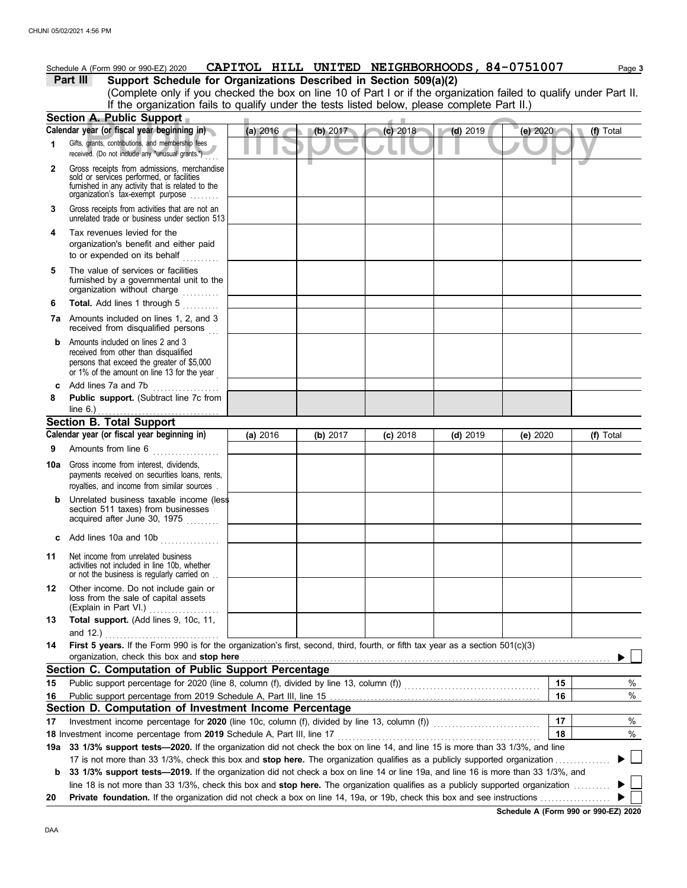|     | Schedule A (Form 990 or 990-EZ) 2020<br>Support Schedule for Organizations Described in Section 509(a)(2)<br>Part III<br>(Complete only if you checked the box on line 10 of Part I or if the organization failed to qualify under Part II. | CAPITOL HILL UNITED NEIGHBORHOODS, 84-0751007 |          |            |                         |            | Page 3    |
|-----|---------------------------------------------------------------------------------------------------------------------------------------------------------------------------------------------------------------------------------------------|-----------------------------------------------|----------|------------|-------------------------|------------|-----------|
|     | If the organization fails to qualify under the tests listed below, please complete Part II.)                                                                                                                                                |                                               |          |            |                         |            |           |
|     | Section A. Public Support                                                                                                                                                                                                                   |                                               |          |            |                         |            |           |
| 1   | Calendar year (or fiscal year beginning in)<br>Gifts, grants, contributions, and membership fees<br>received. (Do not include any "unusual grants.")                                                                                        | (a) 2016                                      | (b) 2017 | (c) 2018   | $\blacksquare$ (d) 2019 | (e) 2020   | (f) Total |
| 2   | Gross receipts from admissions, merchandise<br>sold or services performed, or facilities<br>furnished in any activity that is related to the<br>organization's tax-exempt purpose                                                           |                                               |          |            |                         |            |           |
| 3   | Gross receipts from activities that are not an<br>unrelated trade or business under section 513                                                                                                                                             |                                               |          |            |                         |            |           |
| 4   | Tax revenues levied for the<br>organization's benefit and either paid<br>to or expended on its behalf                                                                                                                                       |                                               |          |            |                         |            |           |
| 5   | The value of services or facilities<br>furnished by a governmental unit to the<br>organization without charge                                                                                                                               |                                               |          |            |                         |            |           |
| 6   | Total. Add lines 1 through 5                                                                                                                                                                                                                |                                               |          |            |                         |            |           |
|     | <b>7a</b> Amounts included on lines 1, 2, and 3<br>received from disqualified persons                                                                                                                                                       |                                               |          |            |                         |            |           |
| b   | Amounts included on lines 2 and 3<br>received from other than disqualified<br>persons that exceed the greater of \$5,000<br>or 1% of the amount on line 13 for the year                                                                     |                                               |          |            |                         |            |           |
|     | c Add lines 7a and 7b                                                                                                                                                                                                                       |                                               |          |            |                         |            |           |
| 8   | Public support. (Subtract line 7c from<br>line $6.$ )                                                                                                                                                                                       |                                               |          |            |                         |            |           |
|     | <b>Section B. Total Support</b>                                                                                                                                                                                                             |                                               |          |            |                         |            |           |
|     | Calendar year (or fiscal year beginning in)                                                                                                                                                                                                 | (a) 2016                                      | (b) 2017 | $(c)$ 2018 | (d) $2019$              | (e) $2020$ | (f) Total |
| 9   | Amounts from line 6                                                                                                                                                                                                                         |                                               |          |            |                         |            |           |
|     | <b>10a</b> Gross income from interest, dividends,<br>payments received on securities loans, rents,<br>royalties, and income from similar sources.                                                                                           |                                               |          |            |                         |            |           |
| b   | Unrelated business taxable income (less<br>section 511 taxes) from businesses<br>acquired after June 30, 1975                                                                                                                               |                                               |          |            |                         |            |           |
|     | Add lines 10a and 10b                                                                                                                                                                                                                       |                                               |          |            |                         |            |           |
| 11  | Net income from unrelated business<br>activities not included in line 10b, whether<br>or not the business is regularly carried on.                                                                                                          |                                               |          |            |                         |            |           |
| 12  | Other income. Do not include gain or<br>loss from the sale of capital assets<br>(Explain in Part VI.)<br>.                                                                                                                                  |                                               |          |            |                         |            |           |
| 13  | Total support. (Add lines 9, 10c, 11,                                                                                                                                                                                                       |                                               |          |            |                         |            |           |
|     | and 12.)                                                                                                                                                                                                                                    |                                               |          |            |                         |            |           |
| 14  | First 5 years. If the Form 990 is for the organization's first, second, third, fourth, or fifth tax year as a section 501(c)(3)<br>organization, check this box and stop here                                                               |                                               |          |            |                         |            |           |
|     | Section C. Computation of Public Support Percentage                                                                                                                                                                                         |                                               |          |            |                         |            |           |
| 15  |                                                                                                                                                                                                                                             |                                               |          |            |                         | 15         | %         |
| 16  |                                                                                                                                                                                                                                             |                                               |          |            |                         | 16         | $\%$      |
|     | Section D. Computation of Investment Income Percentage                                                                                                                                                                                      |                                               |          |            |                         |            |           |
| 17  |                                                                                                                                                                                                                                             |                                               |          |            |                         | 17         | %         |
|     | 18 Investment income percentage from 2019 Schedule A, Part III, line 17                                                                                                                                                                     |                                               |          |            |                         | 18         | %         |
| 19a | 33 1/3% support tests-2020. If the organization did not check the box on line 14, and line 15 is more than 33 1/3%, and line                                                                                                                |                                               |          |            |                         |            |           |
|     | 17 is not more than 33 1/3%, check this box and stop here. The organization qualifies as a publicly supported organization                                                                                                                  |                                               |          |            |                         |            |           |
| b   | 33 1/3% support tests—2019. If the organization did not check a box on line 14 or line 19a, and line 16 is more than 33 1/3%, and                                                                                                           |                                               |          |            |                         |            |           |
|     | line 18 is not more than 33 1/3%, check this box and stop here. The organization qualifies as a publicly supported organization                                                                                                             |                                               |          |            |                         |            |           |
| 20  |                                                                                                                                                                                                                                             |                                               |          |            |                         |            |           |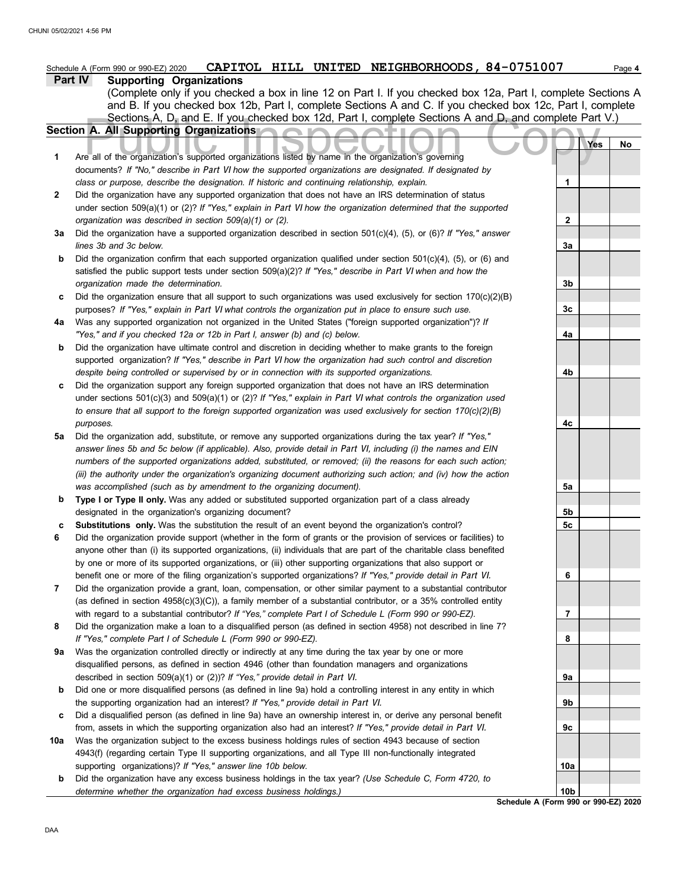|              | CAPITOL HILL UNITED NEIGHBORHOODS, 84-0751007<br>Schedule A (Form 990 or 990-EZ) 2020                                                                                                                                              |                                      | Page 4 |
|--------------|------------------------------------------------------------------------------------------------------------------------------------------------------------------------------------------------------------------------------------|--------------------------------------|--------|
|              | Part IV<br><b>Supporting Organizations</b>                                                                                                                                                                                         |                                      |        |
|              | (Complete only if you checked a box in line 12 on Part I. If you checked box 12a, Part I, complete Sections A                                                                                                                      |                                      |        |
|              | and B. If you checked box 12b, Part I, complete Sections A and C. If you checked box 12c, Part I, complete                                                                                                                         |                                      |        |
|              | Sections A, D, and E. If you checked box 12d, Part I, complete Sections A and D, and complete Part V.)                                                                                                                             |                                      |        |
|              | Section A. All Supporting Organizations                                                                                                                                                                                            | Yes                                  |        |
| 1            | Are all of the organization's supported organizations listed by name in the organization's governing                                                                                                                               |                                      | No     |
|              | documents? If "No," describe in Part VI how the supported organizations are designated. If designated by                                                                                                                           |                                      |        |
|              | class or purpose, describe the designation. If historic and continuing relationship, explain.                                                                                                                                      | 1                                    |        |
| $\mathbf{2}$ | Did the organization have any supported organization that does not have an IRS determination of status                                                                                                                             |                                      |        |
|              | under section 509(a)(1) or (2)? If "Yes," explain in Part VI how the organization determined that the supported                                                                                                                    |                                      |        |
|              | organization was described in section 509(a)(1) or (2).                                                                                                                                                                            | $\mathbf{2}$                         |        |
| За           | Did the organization have a supported organization described in section $501(c)(4)$ , (5), or (6)? If "Yes," answer                                                                                                                |                                      |        |
|              | lines 3b and 3c below.                                                                                                                                                                                                             | 3a                                   |        |
| b            | Did the organization confirm that each supported organization qualified under section $501(c)(4)$ , $(5)$ , or $(6)$ and                                                                                                           |                                      |        |
|              | satisfied the public support tests under section 509(a)(2)? If "Yes," describe in Part VI when and how the                                                                                                                         |                                      |        |
|              | organization made the determination.                                                                                                                                                                                               | 3b                                   |        |
| c            | Did the organization ensure that all support to such organizations was used exclusively for section 170(c)(2)(B)                                                                                                                   |                                      |        |
| 4a           | purposes? If "Yes," explain in Part VI what controls the organization put in place to ensure such use.<br>Was any supported organization not organized in the United States ("foreign supported organization")? If                 | 3c                                   |        |
|              | "Yes," and if you checked 12a or 12b in Part I, answer (b) and (c) below.                                                                                                                                                          | 4a                                   |        |
| b            | Did the organization have ultimate control and discretion in deciding whether to make grants to the foreign                                                                                                                        |                                      |        |
|              | supported organization? If "Yes," describe in Part VI how the organization had such control and discretion                                                                                                                         |                                      |        |
|              | despite being controlled or supervised by or in connection with its supported organizations.                                                                                                                                       | 4b                                   |        |
| c            | Did the organization support any foreign supported organization that does not have an IRS determination                                                                                                                            |                                      |        |
|              | under sections $501(c)(3)$ and $509(a)(1)$ or (2)? If "Yes," explain in Part VI what controls the organization used                                                                                                                |                                      |        |
|              | to ensure that all support to the foreign supported organization was used exclusively for section 170(c)(2)(B)                                                                                                                     |                                      |        |
|              | purposes.                                                                                                                                                                                                                          | 4c                                   |        |
| 5a           | Did the organization add, substitute, or remove any supported organizations during the tax year? If "Yes,"                                                                                                                         |                                      |        |
|              | answer lines 5b and 5c below (if applicable). Also, provide detail in Part VI, including (i) the names and EIN                                                                                                                     |                                      |        |
|              | numbers of the supported organizations added, substituted, or removed; (ii) the reasons for each such action;<br>(iii) the authority under the organization's organizing document authorizing such action; and (iv) how the action |                                      |        |
|              | was accomplished (such as by amendment to the organizing document).                                                                                                                                                                | 5a                                   |        |
| b            | Type I or Type II only. Was any added or substituted supported organization part of a class already                                                                                                                                |                                      |        |
|              | designated in the organization's organizing document?                                                                                                                                                                              | 5b                                   |        |
| c            | Substitutions only. Was the substitution the result of an event beyond the organization's control?                                                                                                                                 | 5c                                   |        |
| 6            | Did the organization provide support (whether in the form of grants or the provision of services or facilities) to                                                                                                                 |                                      |        |
|              | anyone other than (i) its supported organizations, (ii) individuals that are part of the charitable class benefited                                                                                                                |                                      |        |
|              | by one or more of its supported organizations, or (iii) other supporting organizations that also support or                                                                                                                        |                                      |        |
|              | benefit one or more of the filing organization's supported organizations? If "Yes," provide detail in Part VI.                                                                                                                     | 6                                    |        |
| 7            | Did the organization provide a grant, loan, compensation, or other similar payment to a substantial contributor                                                                                                                    |                                      |        |
|              | (as defined in section $4958(c)(3)(C)$ ), a family member of a substantial contributor, or a 35% controlled entity<br>with regard to a substantial contributor? If "Yes," complete Part I of Schedule L (Form 990 or 990-EZ).      | 7                                    |        |
| 8            | Did the organization make a loan to a disqualified person (as defined in section 4958) not described in line 7?                                                                                                                    |                                      |        |
|              | If "Yes," complete Part I of Schedule L (Form 990 or 990-EZ).                                                                                                                                                                      | 8                                    |        |
| 9а           | Was the organization controlled directly or indirectly at any time during the tax year by one or more                                                                                                                              |                                      |        |
|              | disqualified persons, as defined in section 4946 (other than foundation managers and organizations                                                                                                                                 |                                      |        |
|              | described in section 509(a)(1) or (2))? If "Yes," provide detail in Part VI.                                                                                                                                                       | 9а                                   |        |
| b            | Did one or more disqualified persons (as defined in line 9a) hold a controlling interest in any entity in which                                                                                                                    |                                      |        |
|              | the supporting organization had an interest? If "Yes," provide detail in Part VI.                                                                                                                                                  | 9b                                   |        |
| c            | Did a disqualified person (as defined in line 9a) have an ownership interest in, or derive any personal benefit                                                                                                                    |                                      |        |
|              | from, assets in which the supporting organization also had an interest? If "Yes," provide detail in Part VI.                                                                                                                       | 9с                                   |        |
| 10a          | Was the organization subject to the excess business holdings rules of section 4943 because of section                                                                                                                              |                                      |        |
|              | 4943(f) (regarding certain Type II supporting organizations, and all Type III non-functionally integrated                                                                                                                          |                                      |        |
|              | supporting organizations)? If "Yes," answer line 10b below.                                                                                                                                                                        | 10a                                  |        |
| b            | Did the organization have any excess business holdings in the tax year? (Use Schedule C, Form 4720, to<br>determine whether the organization had excess business holdings.)                                                        | 10 <sub>b</sub>                      |        |
|              |                                                                                                                                                                                                                                    | Schedule A (Form 990 or 990-EZ) 2020 |        |
|              |                                                                                                                                                                                                                                    |                                      |        |
| DAA          |                                                                                                                                                                                                                                    |                                      |        |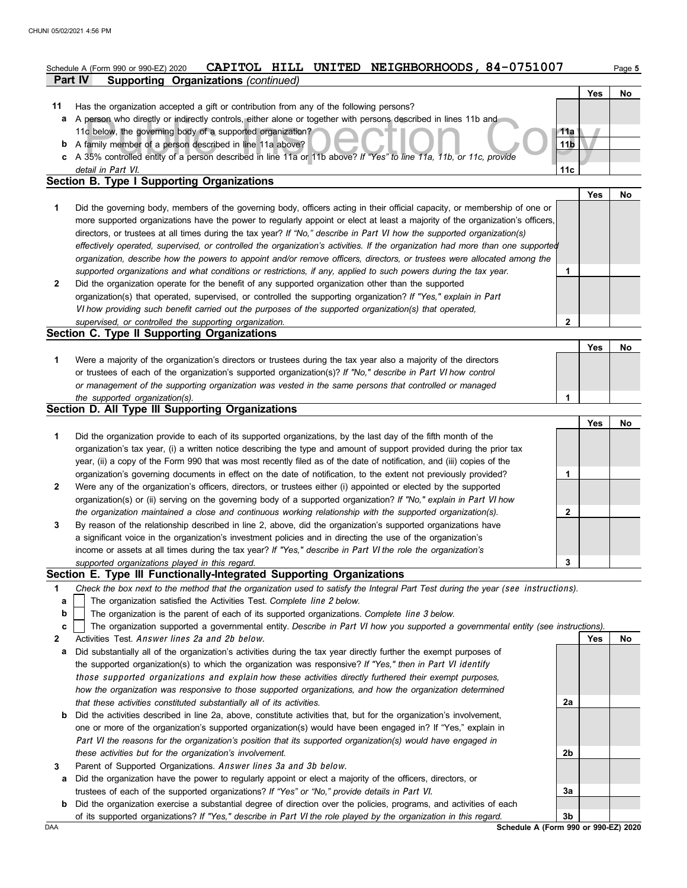| CAPITOL HILL UNITED NEIGHBORHOODS, 84-0751007<br>Schedule A (Form 990 or 990-EZ) 2020<br>Page 5 |                                                                                                                                                                                                                                      |                 |     |    |  |  |  |  |  |
|-------------------------------------------------------------------------------------------------|--------------------------------------------------------------------------------------------------------------------------------------------------------------------------------------------------------------------------------------|-----------------|-----|----|--|--|--|--|--|
|                                                                                                 | <b>Supporting Organizations (continued)</b><br>Part IV                                                                                                                                                                               |                 |     |    |  |  |  |  |  |
|                                                                                                 |                                                                                                                                                                                                                                      |                 | Yes | No |  |  |  |  |  |
| 11                                                                                              | Has the organization accepted a gift or contribution from any of the following persons?                                                                                                                                              |                 |     |    |  |  |  |  |  |
| a                                                                                               | A person who directly or indirectly controls, either alone or together with persons described in lines 11b and<br>11c below, the governing body of a supported organization?                                                         | 11a             |     |    |  |  |  |  |  |
|                                                                                                 | <b>b</b> A family member of a person described in line 11a above?                                                                                                                                                                    | 11 <sub>b</sub> |     |    |  |  |  |  |  |
|                                                                                                 | c A 35% controlled entity of a person described in line 11a or 11b above? If "Yes" to line 11a, 11b, or 11c, provide                                                                                                                 |                 |     |    |  |  |  |  |  |
|                                                                                                 | detail in Part VI.                                                                                                                                                                                                                   | 11c             |     |    |  |  |  |  |  |
|                                                                                                 | <b>Section B. Type I Supporting Organizations</b>                                                                                                                                                                                    |                 |     |    |  |  |  |  |  |
|                                                                                                 |                                                                                                                                                                                                                                      |                 | Yes | No |  |  |  |  |  |
| 1                                                                                               | Did the governing body, members of the governing body, officers acting in their official capacity, or membership of one or                                                                                                           |                 |     |    |  |  |  |  |  |
|                                                                                                 | more supported organizations have the power to regularly appoint or elect at least a majority of the organization's officers,                                                                                                        |                 |     |    |  |  |  |  |  |
|                                                                                                 | directors, or trustees at all times during the tax year? If "No," describe in Part VI how the supported organization(s)                                                                                                              |                 |     |    |  |  |  |  |  |
|                                                                                                 | effectively operated, supervised, or controlled the organization's activities. If the organization had more than one supported                                                                                                       |                 |     |    |  |  |  |  |  |
|                                                                                                 | organization, describe how the powers to appoint and/or remove officers, directors, or trustees were allocated among the                                                                                                             |                 |     |    |  |  |  |  |  |
|                                                                                                 | supported organizations and what conditions or restrictions, if any, applied to such powers during the tax year.                                                                                                                     | 1               |     |    |  |  |  |  |  |
| $\mathbf{2}$                                                                                    | Did the organization operate for the benefit of any supported organization other than the supported                                                                                                                                  |                 |     |    |  |  |  |  |  |
|                                                                                                 | organization(s) that operated, supervised, or controlled the supporting organization? If "Yes," explain in Part<br>VI how providing such benefit carried out the purposes of the supported organization(s) that operated,            |                 |     |    |  |  |  |  |  |
|                                                                                                 | supervised, or controlled the supporting organization.                                                                                                                                                                               | $\mathbf{2}$    |     |    |  |  |  |  |  |
|                                                                                                 | Section C. Type II Supporting Organizations                                                                                                                                                                                          |                 |     |    |  |  |  |  |  |
|                                                                                                 |                                                                                                                                                                                                                                      |                 | Yes | No |  |  |  |  |  |
| 1                                                                                               | Were a majority of the organization's directors or trustees during the tax year also a majority of the directors                                                                                                                     |                 |     |    |  |  |  |  |  |
|                                                                                                 | or trustees of each of the organization's supported organization(s)? If "No," describe in Part VI how control                                                                                                                        |                 |     |    |  |  |  |  |  |
|                                                                                                 | or management of the supporting organization was vested in the same persons that controlled or managed                                                                                                                               |                 |     |    |  |  |  |  |  |
|                                                                                                 | the supported organization(s).                                                                                                                                                                                                       | 1               |     |    |  |  |  |  |  |
|                                                                                                 | Section D. All Type III Supporting Organizations                                                                                                                                                                                     |                 |     |    |  |  |  |  |  |
|                                                                                                 |                                                                                                                                                                                                                                      |                 | Yes | No |  |  |  |  |  |
| 1                                                                                               | Did the organization provide to each of its supported organizations, by the last day of the fifth month of the                                                                                                                       |                 |     |    |  |  |  |  |  |
|                                                                                                 | organization's tax year, (i) a written notice describing the type and amount of support provided during the prior tax                                                                                                                |                 |     |    |  |  |  |  |  |
|                                                                                                 | year, (ii) a copy of the Form 990 that was most recently filed as of the date of notification, and (iii) copies of the                                                                                                               | 1               |     |    |  |  |  |  |  |
| $\mathbf{2}$                                                                                    | organization's governing documents in effect on the date of notification, to the extent not previously provided?<br>Were any of the organization's officers, directors, or trustees either (i) appointed or elected by the supported |                 |     |    |  |  |  |  |  |
|                                                                                                 | organization(s) or (ii) serving on the governing body of a supported organization? If "No," explain in Part VI how                                                                                                                   |                 |     |    |  |  |  |  |  |
|                                                                                                 | the organization maintained a close and continuous working relationship with the supported organization(s).                                                                                                                          | 2               |     |    |  |  |  |  |  |
| 3                                                                                               | By reason of the relationship described in line 2, above, did the organization's supported organizations have                                                                                                                        |                 |     |    |  |  |  |  |  |
|                                                                                                 | a significant voice in the organization's investment policies and in directing the use of the organization's                                                                                                                         |                 |     |    |  |  |  |  |  |
|                                                                                                 | income or assets at all times during the tax year? If "Yes," describe in Part VI the role the organization's                                                                                                                         |                 |     |    |  |  |  |  |  |
|                                                                                                 | supported organizations played in this regard.                                                                                                                                                                                       |                 |     |    |  |  |  |  |  |
|                                                                                                 | Section E. Type III Functionally-Integrated Supporting Organizations                                                                                                                                                                 |                 |     |    |  |  |  |  |  |
| 1                                                                                               | Check the box next to the method that the organization used to satisfy the Integral Part Test during the year (see instructions).                                                                                                    |                 |     |    |  |  |  |  |  |
| а                                                                                               | The organization satisfied the Activities Test. Complete line 2 below.                                                                                                                                                               |                 |     |    |  |  |  |  |  |
| b                                                                                               | The organization is the parent of each of its supported organizations. Complete line 3 below.                                                                                                                                        |                 |     |    |  |  |  |  |  |
| c                                                                                               | The organization supported a governmental entity. Describe in Part VI how you supported a governmental entity (see instructions).                                                                                                    |                 |     |    |  |  |  |  |  |
| 2                                                                                               | Activities Test. Answer lines 2a and 2b below.                                                                                                                                                                                       |                 | Yes | No |  |  |  |  |  |
| а                                                                                               | Did substantially all of the organization's activities during the tax year directly further the exempt purposes of                                                                                                                   |                 |     |    |  |  |  |  |  |
|                                                                                                 | the supported organization(s) to which the organization was responsive? If "Yes," then in Part VI identify                                                                                                                           |                 |     |    |  |  |  |  |  |
|                                                                                                 | those supported organizations and explain how these activities directly furthered their exempt purposes,                                                                                                                             |                 |     |    |  |  |  |  |  |
|                                                                                                 | how the organization was responsive to those supported organizations, and how the organization determined<br>that these activities constituted substantially all of its activities.                                                  | 2a              |     |    |  |  |  |  |  |
| b                                                                                               | Did the activities described in line 2a, above, constitute activities that, but for the organization's involvement,                                                                                                                  |                 |     |    |  |  |  |  |  |
|                                                                                                 | one or more of the organization's supported organization(s) would have been engaged in? If "Yes," explain in                                                                                                                         |                 |     |    |  |  |  |  |  |
|                                                                                                 | Part VI the reasons for the organization's position that its supported organization(s) would have engaged in                                                                                                                         |                 |     |    |  |  |  |  |  |
|                                                                                                 | these activities but for the organization's involvement.                                                                                                                                                                             | 2b              |     |    |  |  |  |  |  |
| 3                                                                                               | Parent of Supported Organizations. Answer lines 3a and 3b below.                                                                                                                                                                     |                 |     |    |  |  |  |  |  |
| а                                                                                               | Did the organization have the power to regularly appoint or elect a majority of the officers, directors, or                                                                                                                          |                 |     |    |  |  |  |  |  |
|                                                                                                 | trustees of each of the supported organizations? If "Yes" or "No," provide details in Part VI.                                                                                                                                       | 3a              |     |    |  |  |  |  |  |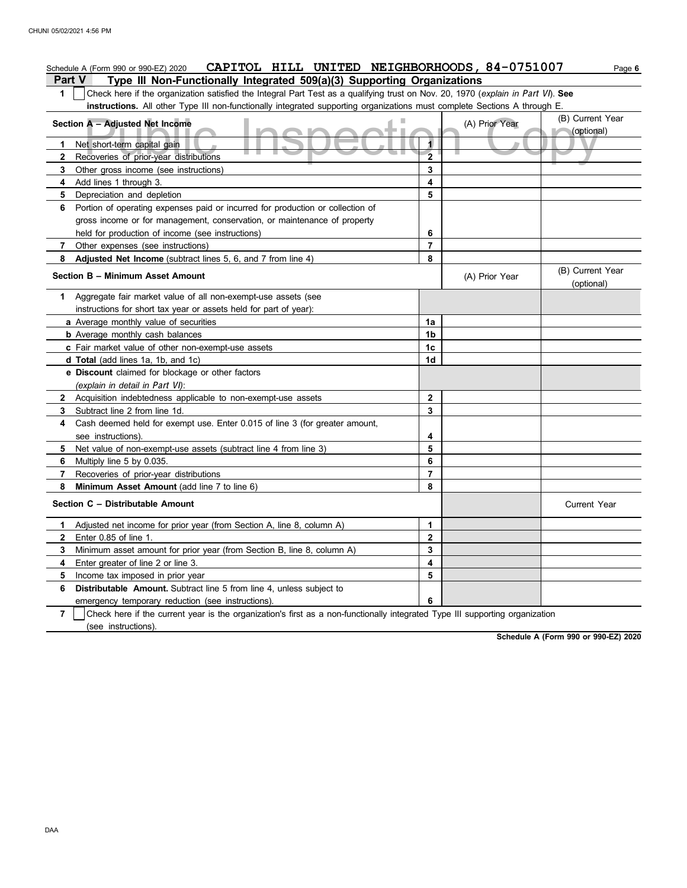|                | CAPITOL HILL UNITED NEIGHBORHOODS, 84-0751007<br>Schedule A (Form 990 or 990-EZ) 2020                                            |                |                | Page 6                         |
|----------------|----------------------------------------------------------------------------------------------------------------------------------|----------------|----------------|--------------------------------|
| Part V         | Type III Non-Functionally Integrated 509(a)(3) Supporting Organizations                                                          |                |                |                                |
| $\mathbf 1$    | Check here if the organization satisfied the Integral Part Test as a qualifying trust on Nov. 20, 1970 (explain in Part VI). See |                |                |                                |
|                | instructions. All other Type III non-functionally integrated supporting organizations must complete Sections A through E.        |                |                |                                |
|                | Section A - Adjusted Net Income                                                                                                  |                | (A) Prior Year | (B) Current Year<br>(optional) |
| $\mathbf 1$    | Net short-term capital gain                                                                                                      | ī              |                |                                |
| 2              | Recoveries of prior-year distributions                                                                                           | $\overline{2}$ |                |                                |
| 3              | Other gross income (see instructions)                                                                                            | 3              |                |                                |
| 4              | Add lines 1 through 3.                                                                                                           | 4              |                |                                |
| 5              | Depreciation and depletion                                                                                                       | 5              |                |                                |
| 6              | Portion of operating expenses paid or incurred for production or collection of                                                   |                |                |                                |
|                | gross income or for management, conservation, or maintenance of property                                                         |                |                |                                |
|                | held for production of income (see instructions)                                                                                 | 6              |                |                                |
| $\overline{7}$ | Other expenses (see instructions)                                                                                                | 7              |                |                                |
| 8              | Adjusted Net Income (subtract lines 5, 6, and 7 from line 4)                                                                     | 8              |                |                                |
|                | Section B - Minimum Asset Amount                                                                                                 |                | (A) Prior Year | (B) Current Year<br>(optional) |
|                | 1 Aggregate fair market value of all non-exempt-use assets (see                                                                  |                |                |                                |
|                | instructions for short tax year or assets held for part of year):                                                                |                |                |                                |
|                | a Average monthly value of securities                                                                                            | 1a             |                |                                |
|                | <b>b</b> Average monthly cash balances                                                                                           | 1b             |                |                                |
|                | c Fair market value of other non-exempt-use assets                                                                               | 1 <sub>c</sub> |                |                                |
|                | d Total (add lines 1a, 1b, and 1c)                                                                                               | 1d             |                |                                |
|                | e Discount claimed for blockage or other factors<br>(explain in detail in Part VI):                                              |                |                |                                |
| $\mathbf{2}$   | Acquisition indebtedness applicable to non-exempt-use assets                                                                     | $\mathbf 2$    |                |                                |
| 3              | Subtract line 2 from line 1d.                                                                                                    | 3              |                |                                |
| 4              | Cash deemed held for exempt use. Enter 0.015 of line 3 (for greater amount,                                                      |                |                |                                |
|                | see instructions).                                                                                                               | 4              |                |                                |
| 5              | Net value of non-exempt-use assets (subtract line 4 from line 3)                                                                 | 5              |                |                                |
| 6              | Multiply line 5 by 0.035.                                                                                                        | 6              |                |                                |
| 7              | Recoveries of prior-year distributions                                                                                           | $\overline{7}$ |                |                                |
| 8              | Minimum Asset Amount (add line 7 to line 6)                                                                                      | 8              |                |                                |
|                | Section C - Distributable Amount                                                                                                 |                |                | <b>Current Year</b>            |
| 1.             | Adjusted net income for prior year (from Section A, line 8, column A)                                                            | 1              |                |                                |
| $\mathbf{2}$   | Enter 0.85 of line 1.                                                                                                            | $\overline{2}$ |                |                                |
| 3              | Minimum asset amount for prior year (from Section B, line 8, column A)                                                           | 3              |                |                                |
| 4              | Enter greater of line 2 or line 3.                                                                                               | 4              |                |                                |
| 5              | Income tax imposed in prior year                                                                                                 | 5              |                |                                |
| 6              | Distributable Amount. Subtract line 5 from line 4, unless subject to                                                             |                |                |                                |
|                | emergency temporary reduction (see instructions).                                                                                | 6              |                |                                |
| $\overline{7}$ | Check here if the current year is the organization's first as a non-functionally integrated Type III supporting organization     |                |                |                                |
|                | (see instructions).                                                                                                              |                |                |                                |

**Schedule A (Form 990 or 990-EZ) 2020**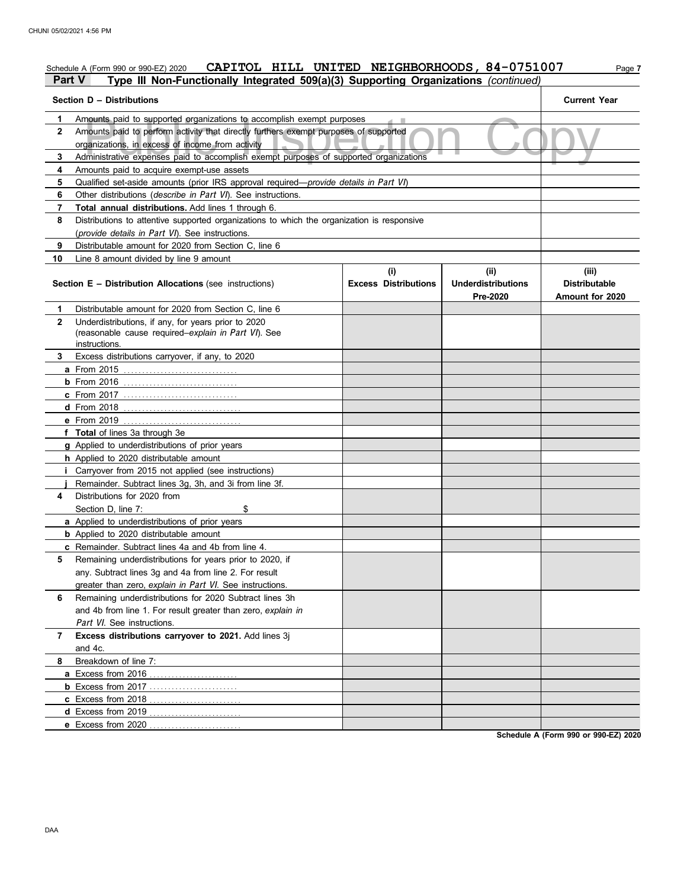## Schedule A (Form 990 or 990-EZ) 2020 **CAPITOL HILL UNITED NEIGHBORHOODS, 84-0751007** Page 7 **Part V Type III Non-Functionally Integrated 509(a)(3) Supporting Organizations** *(continued)*

#### Fundal admostration Complish exempt purposes<br>
2 Amounts paid to perform activity that directly furthers exempt purposes of supported<br>
2 Administrative expenses paid to accomplish exempt purposes of supported organizations<br> **Section D – Distributions Current Year 1 2 4** Amounts paid to acquire exempt-use assets **5 6 7 8 9 10** Line 8 amount divided by line 9 amount Amounts paid to supported organizations to accomplish exempt purposes Amounts paid to perform activity that directly furthers exempt purposes of supported organizations, in excess of income from activity Qualified set-aside amounts (prior IRS approval required—*provide details in* Part VI) Other distributions (*describe in* Part VI). See instructions. **Total annual distributions.** Add lines 1 through 6. Distributions to attentive supported organizations to which the organization is responsive (*provide details in* Part VI). See instructions. Distributable amount for 2020 from Section C, line 6 **Section E – Distribution Allocations** (see instructions) **Excess Distributions (i) (ii) Underdistributions Pre-2020 (iii) Distributable Amount for 2020 8** Breakdown of line 7: **7 Excess distributions carryover to 2021.** Add lines 3j **6 5** Remaining underdistributions for years prior to 2020, if **4** Distributions for 2020 from **3** Excess distributions carryover, if any, to 2020 **2 1 a** From 2015 ................................. **b** From 2016 . . . . . . . . . . . . . . . . . . . . . . . . . . . . . . . **c** From 2017 . . . . . . . . . . . . . . . . . . . . . . . . . . . . . . . **d** From 2018 . . . . . . . . . . . . . . . . . . . . . . . . . . . . . . . . **e** From 2019 . . . . . . . . . . . . . . . . . . . . . . . . . . . . . . . . **f Total** of lines 3a through 3e **g** Applied to underdistributions of prior years **h** Applied to 2020 distributable amount **i** Carryover from 2015 not applied (see instructions) **j** Remainder. Subtract lines 3g, 3h, and 3i from line 3f. **a** Applied to underdistributions of prior years **b** Applied to 2020 distributable amount **c** Remainder. Subtract lines 4a and 4b from line 4. **a** Excess from 2016 . . . . . . . . . . . . . . . . . . . . . . . . **b** Excess from 2017 . . . . . . . . . . . . . . . . . . . . . . . . **c** Excess from 2018 . . . . . . . . . . . . . . . . . . . . . . . . . **d** Excess from 2019 . . . . . . . . . . . . . . . . . . . . . . . . . **e** Excess from 2020 . . . . . . . . . . . . . . . . . . . . . . . . . Distributable amount for 2020 from Section C, line 6 Underdistributions, if any, for years prior to 2020 (reasonable cause required–*explain in* Part VI). See Section D, line 7: \$ any. Subtract lines 3g and 4a from line 2. For result greater than zero, *explain in* Part VI. See instructions. Remaining underdistributions for 2020 Subtract lines 3h and 4b from line 1. For result greater than zero, *explain in* Part VI. See instructions. and 4c. instructions.

**Schedule A (Form 990 or 990-EZ) 2020**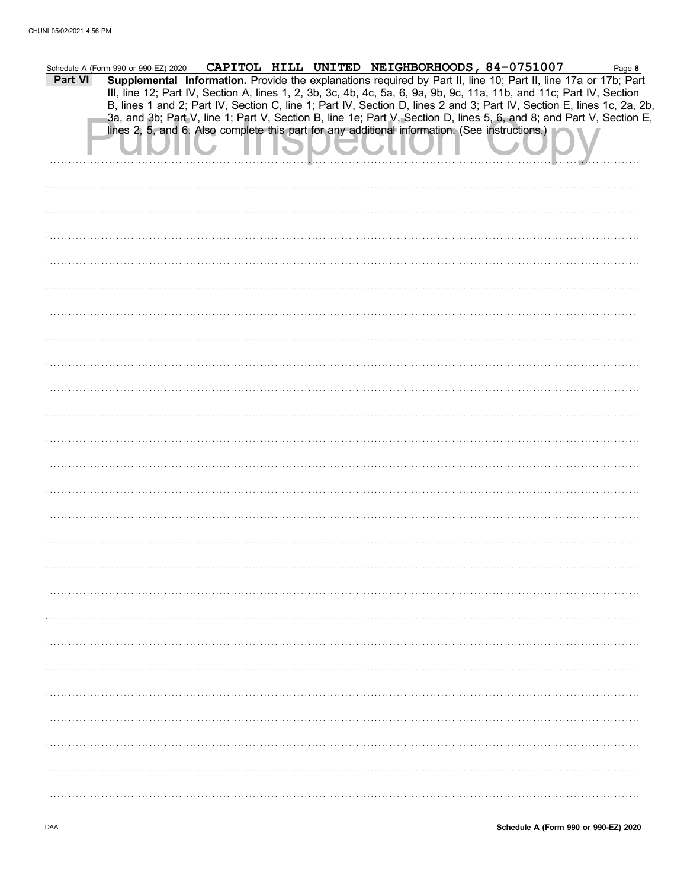| Part VI | Schedule A (Form 990 or 990-EZ) 2020 |  |  | CAPITOL HILL UNITED NEIGHBORHOODS, 84-0751007<br>Supplemental Information. Provide the explanations required by Part II, line 10; Part II, line 17a or 17b; Part                                                                                                                                                                                                       | Page 8 |
|---------|--------------------------------------|--|--|------------------------------------------------------------------------------------------------------------------------------------------------------------------------------------------------------------------------------------------------------------------------------------------------------------------------------------------------------------------------|--------|
|         |                                      |  |  | III, line 12; Part IV, Section A, lines 1, 2, 3b, 3c, 4b, 4c, 5a, 6, 9a, 9b, 9c, 11a, 11b, and 11c; Part IV, Section<br>B, lines 1 and 2; Part IV, Section C, line 1; Part IV, Section D, lines 2 and 3; Part IV, Section E, lines 1c, 2a, 2b,<br>3a, and 3b; Part V, line 1; Part V, Section B, line 1e; Part V, Section D, lines 5, 6, and 8; and Part V, Section E, |        |
|         |                                      |  |  | lines 2, 5, and 6. Also complete this part for any additional information. (See instructions.)                                                                                                                                                                                                                                                                         |        |
|         |                                      |  |  |                                                                                                                                                                                                                                                                                                                                                                        |        |
|         |                                      |  |  |                                                                                                                                                                                                                                                                                                                                                                        |        |
|         |                                      |  |  |                                                                                                                                                                                                                                                                                                                                                                        |        |
|         |                                      |  |  |                                                                                                                                                                                                                                                                                                                                                                        |        |
|         |                                      |  |  |                                                                                                                                                                                                                                                                                                                                                                        |        |
|         |                                      |  |  |                                                                                                                                                                                                                                                                                                                                                                        |        |
|         |                                      |  |  |                                                                                                                                                                                                                                                                                                                                                                        |        |
|         |                                      |  |  |                                                                                                                                                                                                                                                                                                                                                                        |        |
|         |                                      |  |  |                                                                                                                                                                                                                                                                                                                                                                        |        |
|         |                                      |  |  |                                                                                                                                                                                                                                                                                                                                                                        |        |
|         |                                      |  |  |                                                                                                                                                                                                                                                                                                                                                                        |        |
|         |                                      |  |  |                                                                                                                                                                                                                                                                                                                                                                        |        |
|         |                                      |  |  |                                                                                                                                                                                                                                                                                                                                                                        |        |
|         |                                      |  |  |                                                                                                                                                                                                                                                                                                                                                                        |        |
|         |                                      |  |  |                                                                                                                                                                                                                                                                                                                                                                        |        |
|         |                                      |  |  |                                                                                                                                                                                                                                                                                                                                                                        |        |
|         |                                      |  |  |                                                                                                                                                                                                                                                                                                                                                                        |        |
|         |                                      |  |  |                                                                                                                                                                                                                                                                                                                                                                        |        |
|         |                                      |  |  |                                                                                                                                                                                                                                                                                                                                                                        |        |
|         |                                      |  |  |                                                                                                                                                                                                                                                                                                                                                                        |        |
|         |                                      |  |  |                                                                                                                                                                                                                                                                                                                                                                        |        |
|         |                                      |  |  |                                                                                                                                                                                                                                                                                                                                                                        |        |
|         |                                      |  |  |                                                                                                                                                                                                                                                                                                                                                                        |        |
|         |                                      |  |  |                                                                                                                                                                                                                                                                                                                                                                        |        |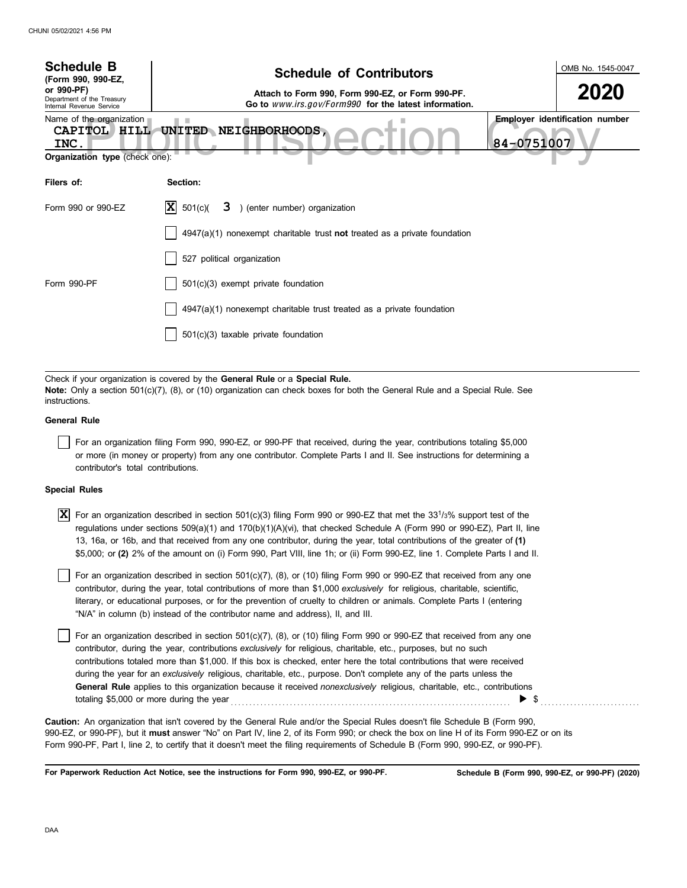| <b>Schedule B</b><br>(Form 990, 990-EZ,                                            | <b>Schedule of Contributors</b>                                                                           |            | OMB No. 1545-0047                     |
|------------------------------------------------------------------------------------|-----------------------------------------------------------------------------------------------------------|------------|---------------------------------------|
| or 990-PF)<br>Department of the Treasury<br>Internal Revenue Service               | Attach to Form 990, Form 990-EZ, or Form 990-PF.<br>Go to www.irs.gov/Form990 for the latest information. |            | 2020                                  |
| Name of the organization<br>CAPITOL HILL<br>INC.<br>Organization type (check one): | UNITED NEIGHBORHOODS,                                                                                     | 84-0751007 | <b>Employer identification number</b> |
| Filers of:                                                                         | Section:                                                                                                  |            |                                       |
| Form 990 or 990-EZ                                                                 | $ X $ 501(c)(<br>3 ) (enter number) organization                                                          |            |                                       |
|                                                                                    | $4947(a)(1)$ nonexempt charitable trust not treated as a private foundation                               |            |                                       |
|                                                                                    | 527 political organization                                                                                |            |                                       |
| Form 990-PF                                                                        | 501(c)(3) exempt private foundation                                                                       |            |                                       |
|                                                                                    | 4947(a)(1) nonexempt charitable trust treated as a private foundation                                     |            |                                       |
|                                                                                    | 501(c)(3) taxable private foundation                                                                      |            |                                       |
|                                                                                    |                                                                                                           |            |                                       |
|                                                                                    | Check if your organization is covered by the General Rule or a Special Rule.                              |            |                                       |

**Note:** Only a section 501(c)(7), (8), or (10) organization can check boxes for both the General Rule and a Special Rule. See instructions.

#### **General Rule**

For an organization filing Form 990, 990-EZ, or 990-PF that received, during the year, contributions totaling \$5,000 or more (in money or property) from any one contributor. Complete Parts I and II. See instructions for determining a contributor's total contributions.

#### **Special Rules**

 $\overline{X}$  For an organization described in section 501(c)(3) filing Form 990 or 990-EZ that met the 33<sup>1</sup>/3% support test of the regulations under sections 509(a)(1) and 170(b)(1)(A)(vi), that checked Schedule A (Form 990 or 990-EZ), Part II, line 13, 16a, or 16b, and that received from any one contributor, during the year, total contributions of the greater of **(1)** \$5,000; or **(2)** 2% of the amount on (i) Form 990, Part VIII, line 1h; or (ii) Form 990-EZ, line 1. Complete Parts I and II.

literary, or educational purposes, or for the prevention of cruelty to children or animals. Complete Parts I (entering For an organization described in section 501(c)(7), (8), or (10) filing Form 990 or 990-EZ that received from any one contributor, during the year, total contributions of more than \$1,000 *exclusively* for religious, charitable, scientific, "N/A" in column (b) instead of the contributor name and address), II, and III.

For an organization described in section  $501(c)(7)$ , (8), or (10) filing Form 990 or 990-EZ that received from any one contributor, during the year, contributions *exclusively* for religious, charitable, etc., purposes, but no such contributions totaled more than \$1,000. If this box is checked, enter here the total contributions that were received during the year for an *exclusively* religious, charitable, etc., purpose. Don't complete any of the parts unless the **General Rule** applies to this organization because it received *nonexclusively* religious, charitable, etc., contributions totaling \$5,000 or more during the year  $\ldots$  and  $\blacktriangleright$  \$

990-EZ, or 990-PF), but it **must** answer "No" on Part IV, line 2, of its Form 990; or check the box on line H of its Form 990-EZ or on its Form 990-PF, Part I, line 2, to certify that it doesn't meet the filing requirements of Schedule B (Form 990, 990-EZ, or 990-PF). **Caution:** An organization that isn't covered by the General Rule and/or the Special Rules doesn't file Schedule B (Form 990,

**For Paperwork Reduction Act Notice, see the instructions for Form 990, 990-EZ, or 990-PF.**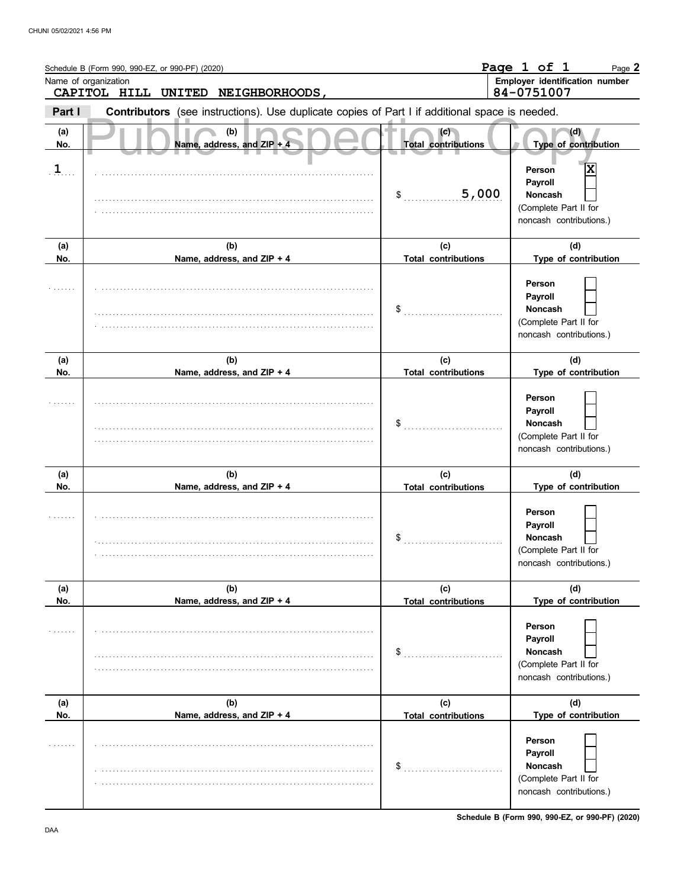|              | Schedule B (Form 990, 990-EZ, or 990-PF) (2020)<br>Name of organization<br>CAPITOL HILL UNITED NEIGHBORHOODS, |                                      | Page 1 of 1<br>Page 2<br>Employer identification number<br>84-0751007                                           |
|--------------|---------------------------------------------------------------------------------------------------------------|--------------------------------------|-----------------------------------------------------------------------------------------------------------------|
| Part I       | Contributors (see instructions). Use duplicate copies of Part I if additional space is needed.                |                                      |                                                                                                                 |
| (a)<br>No.   | (b)<br>Name, address, and ZIP + 4                                                                             | (c) \<br><b>Total contributions</b>  | (d)<br>Type of contribution                                                                                     |
| $\mathbf{1}$ |                                                                                                               | 5,000<br>$\sim$                      | X<br>Person<br>Payroll<br>Noncash<br>(Complete Part II for<br>noncash contributions.)                           |
| (a)          | (b)                                                                                                           | (c)                                  | (d)                                                                                                             |
| No.          | Name, address, and ZIP + 4                                                                                    | <b>Total contributions</b><br>$\sim$ | Type of contribution<br>Person<br>Payroll<br><b>Noncash</b><br>(Complete Part II for<br>noncash contributions.) |
| (a)<br>No.   | (b)<br>Name, address, and ZIP + 4                                                                             | (c)<br><b>Total contributions</b>    | (d)<br>Type of contribution                                                                                     |
|              |                                                                                                               | $\frac{1}{2}$                        | Person<br>Payroll<br>Noncash<br>(Complete Part II for<br>noncash contributions.)                                |
| (a)          | (b)                                                                                                           | (c)                                  | (d)                                                                                                             |
| No.          | Name, address, and ZIP + 4                                                                                    | <b>Total contributions</b><br>\$     | Type of contribution<br>Person<br>Payroll<br><b>Noncash</b><br>(Complete Part II for<br>noncash contributions.) |
| (a)<br>No.   | (b)<br>Name, address, and ZIP + 4                                                                             | (c)<br><b>Total contributions</b>    | (d)<br>Type of contribution                                                                                     |
|              |                                                                                                               | \$                                   | Person<br>Payroll<br>Noncash<br>(Complete Part II for<br>noncash contributions.)                                |
| (a)<br>No.   | (b)<br>Name, address, and ZIP + 4                                                                             | (c)<br><b>Total contributions</b>    | (d)<br>Type of contribution                                                                                     |
|              |                                                                                                               | \$                                   | Person<br>Payroll<br>Noncash<br>(Complete Part II for<br>noncash contributions.)                                |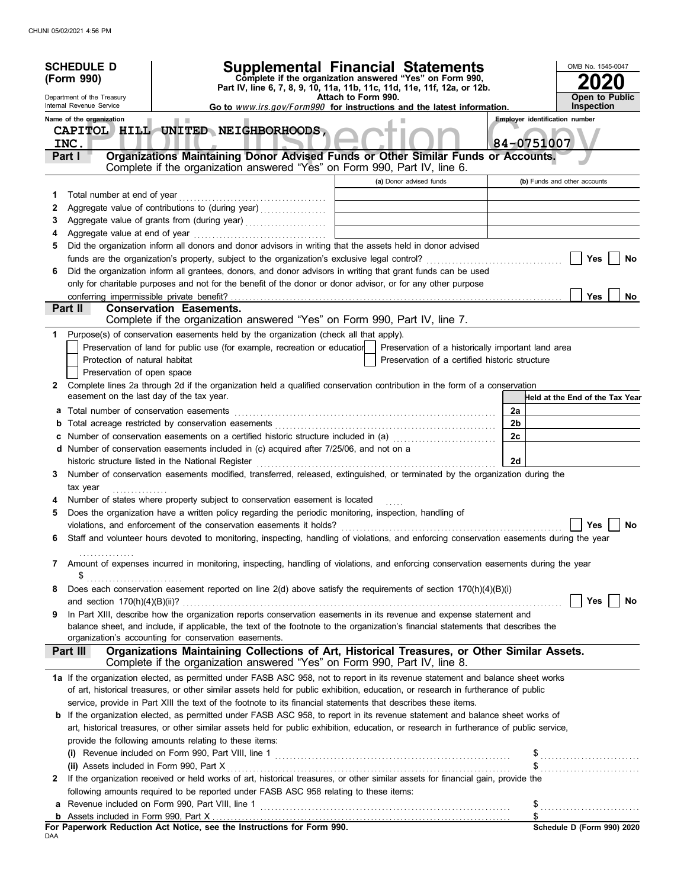|              | <b>SCHEDULE D</b><br>(Form 990)<br>Department of the Treasury<br>Internal Revenue Service | <b>Supplemental Financial Statements</b><br>Complete if the organization answered "Yes" on Form 990,<br>Part IV, line 6, 7, 8, 9, 10, 11a, 11b, 11c, 11d, 11e, 11f, 12a, or 12b.<br>Go to www.irs.gov/Form990 for instructions and the latest information. | Attach to Form 990.                     |                                                    |                                | OMB No. 1545-0047<br>Open to Public<br>Inspection |
|--------------|-------------------------------------------------------------------------------------------|------------------------------------------------------------------------------------------------------------------------------------------------------------------------------------------------------------------------------------------------------------|-----------------------------------------|----------------------------------------------------|--------------------------------|---------------------------------------------------|
|              | Name of the organization                                                                  | CAPITOL HILL UNITED NEIGHBORHOODS,                                                                                                                                                                                                                         |                                         |                                                    | Employer identification number |                                                   |
|              | <b>INC.</b>                                                                               |                                                                                                                                                                                                                                                            |                                         |                                                    | 84-0751007                     |                                                   |
|              | Part I                                                                                    | Organizations Maintaining Donor Advised Funds or Other Similar Funds or Accounts.                                                                                                                                                                          |                                         |                                                    |                                |                                                   |
|              |                                                                                           | Complete if the organization answered "Yes" on Form 990, Part IV, line 6.                                                                                                                                                                                  |                                         |                                                    |                                |                                                   |
|              |                                                                                           |                                                                                                                                                                                                                                                            |                                         | (a) Donor advised funds                            |                                | (b) Funds and other accounts                      |
| 1            |                                                                                           |                                                                                                                                                                                                                                                            |                                         |                                                    |                                |                                                   |
| 2            |                                                                                           | Aggregate value of contributions to (during year)                                                                                                                                                                                                          | <u> 1980 - Johann Barbara, martin a</u> |                                                    |                                |                                                   |
| 3            |                                                                                           |                                                                                                                                                                                                                                                            |                                         |                                                    |                                |                                                   |
| 4            |                                                                                           |                                                                                                                                                                                                                                                            |                                         |                                                    |                                |                                                   |
| 5            |                                                                                           | Did the organization inform all donors and donor advisors in writing that the assets held in donor advised                                                                                                                                                 |                                         |                                                    |                                |                                                   |
|              |                                                                                           |                                                                                                                                                                                                                                                            |                                         |                                                    |                                | Yes<br>No                                         |
| 6            |                                                                                           | Did the organization inform all grantees, donors, and donor advisors in writing that grant funds can be used<br>only for charitable purposes and not for the benefit of the donor or donor advisor, or for any other purpose                               |                                         |                                                    |                                |                                                   |
|              | conferring impermissible private benefit?                                                 |                                                                                                                                                                                                                                                            |                                         |                                                    |                                | <b>Yes</b><br>No                                  |
|              | Part II                                                                                   | <b>Conservation Easements.</b>                                                                                                                                                                                                                             |                                         |                                                    |                                |                                                   |
|              |                                                                                           | Complete if the organization answered "Yes" on Form 990, Part IV, line 7.                                                                                                                                                                                  |                                         |                                                    |                                |                                                   |
| 1            |                                                                                           | Purpose(s) of conservation easements held by the organization (check all that apply).                                                                                                                                                                      |                                         |                                                    |                                |                                                   |
|              |                                                                                           | Preservation of land for public use (for example, recreation or education                                                                                                                                                                                  |                                         | Preservation of a historically important land area |                                |                                                   |
|              | Protection of natural habitat                                                             |                                                                                                                                                                                                                                                            |                                         | Preservation of a certified historic structure     |                                |                                                   |
|              | Preservation of open space                                                                |                                                                                                                                                                                                                                                            |                                         |                                                    |                                |                                                   |
| $\mathbf{2}$ |                                                                                           | Complete lines 2a through 2d if the organization held a qualified conservation contribution in the form of a conservation                                                                                                                                  |                                         |                                                    |                                |                                                   |
|              | easement on the last day of the tax year.                                                 |                                                                                                                                                                                                                                                            |                                         |                                                    |                                | Held at the End of the Tax Year                   |
| а            | Total number of conservation easements                                                    |                                                                                                                                                                                                                                                            |                                         |                                                    | 2a                             |                                                   |
|              |                                                                                           |                                                                                                                                                                                                                                                            |                                         |                                                    | 2 <sub>b</sub>                 |                                                   |
| c            |                                                                                           | Number of conservation easements on a certified historic structure included in (a) [[11] Number of conservation easements on a certified historic structure included in (a)                                                                                |                                         |                                                    | 2c                             |                                                   |
|              |                                                                                           | d Number of conservation easements included in (c) acquired after 7/25/06, and not on a                                                                                                                                                                    |                                         |                                                    |                                |                                                   |
|              |                                                                                           | historic structure listed in the National Register                                                                                                                                                                                                         |                                         |                                                    | 2d                             |                                                   |
| 3            |                                                                                           | Number of conservation easements modified, transferred, released, extinguished, or terminated by the organization during the                                                                                                                               |                                         |                                                    |                                |                                                   |
|              | tax year                                                                                  | Number of states where property subject to conservation easement is located                                                                                                                                                                                |                                         |                                                    |                                |                                                   |
| 5            |                                                                                           | Does the organization have a written policy regarding the periodic monitoring, inspection, handling of                                                                                                                                                     |                                         |                                                    |                                |                                                   |
|              |                                                                                           | violations, and enforcement of the conservation easements it holds?                                                                                                                                                                                        |                                         |                                                    |                                | <b>No</b><br>Yes                                  |
|              |                                                                                           | Staff and volunteer hours devoted to monitoring, inspecting, handling of violations, and enforcing conservation easements during the year                                                                                                                  |                                         |                                                    |                                |                                                   |
|              |                                                                                           |                                                                                                                                                                                                                                                            |                                         |                                                    |                                |                                                   |
| 7            |                                                                                           | Amount of expenses incurred in monitoring, inspecting, handling of violations, and enforcing conservation easements during the year                                                                                                                        |                                         |                                                    |                                |                                                   |
|              | \$                                                                                        |                                                                                                                                                                                                                                                            |                                         |                                                    |                                |                                                   |
| 8            |                                                                                           | Does each conservation easement reported on line 2(d) above satisfy the requirements of section 170(h)(4)(B)(i)                                                                                                                                            |                                         |                                                    |                                |                                                   |
|              |                                                                                           |                                                                                                                                                                                                                                                            |                                         |                                                    |                                | <b>Yes</b><br>No                                  |
| 9            |                                                                                           | In Part XIII, describe how the organization reports conservation easements in its revenue and expense statement and                                                                                                                                        |                                         |                                                    |                                |                                                   |
|              |                                                                                           | balance sheet, and include, if applicable, the text of the footnote to the organization's financial statements that describes the                                                                                                                          |                                         |                                                    |                                |                                                   |
|              |                                                                                           | organization's accounting for conservation easements.                                                                                                                                                                                                      |                                         |                                                    |                                |                                                   |
|              | Part III                                                                                  | Organizations Maintaining Collections of Art, Historical Treasures, or Other Similar Assets.<br>Complete if the organization answered "Yes" on Form 990, Part IV, line 8.                                                                                  |                                         |                                                    |                                |                                                   |
|              |                                                                                           |                                                                                                                                                                                                                                                            |                                         |                                                    |                                |                                                   |
|              |                                                                                           | 1a If the organization elected, as permitted under FASB ASC 958, not to report in its revenue statement and balance sheet works                                                                                                                            |                                         |                                                    |                                |                                                   |
|              |                                                                                           | of art, historical treasures, or other similar assets held for public exhibition, education, or research in furtherance of public<br>service, provide in Part XIII the text of the footnote to its financial statements that describes these items.        |                                         |                                                    |                                |                                                   |
|              |                                                                                           | <b>b</b> If the organization elected, as permitted under FASB ASC 958, to report in its revenue statement and balance sheet works of                                                                                                                       |                                         |                                                    |                                |                                                   |
|              |                                                                                           | art, historical treasures, or other similar assets held for public exhibition, education, or research in furtherance of public service,                                                                                                                    |                                         |                                                    |                                |                                                   |
|              |                                                                                           | provide the following amounts relating to these items:                                                                                                                                                                                                     |                                         |                                                    |                                |                                                   |
|              |                                                                                           |                                                                                                                                                                                                                                                            |                                         |                                                    |                                |                                                   |
|              | (ii) Assets included in Form 990, Part X                                                  |                                                                                                                                                                                                                                                            |                                         |                                                    |                                |                                                   |
| 2            |                                                                                           | If the organization received or held works of art, historical treasures, or other similar assets for financial gain, provide the                                                                                                                           |                                         |                                                    |                                |                                                   |
|              |                                                                                           | following amounts required to be reported under FASB ASC 958 relating to these items:                                                                                                                                                                      |                                         |                                                    |                                |                                                   |
| a            |                                                                                           | Revenue included on Form 990, Part VIII, line 1                                                                                                                                                                                                            |                                         |                                                    |                                |                                                   |
| b            |                                                                                           |                                                                                                                                                                                                                                                            |                                         |                                                    |                                |                                                   |
| DAA          |                                                                                           | For Paperwork Reduction Act Notice, see the Instructions for Form 990.                                                                                                                                                                                     |                                         |                                                    |                                | Schedule D (Form 990) 2020                        |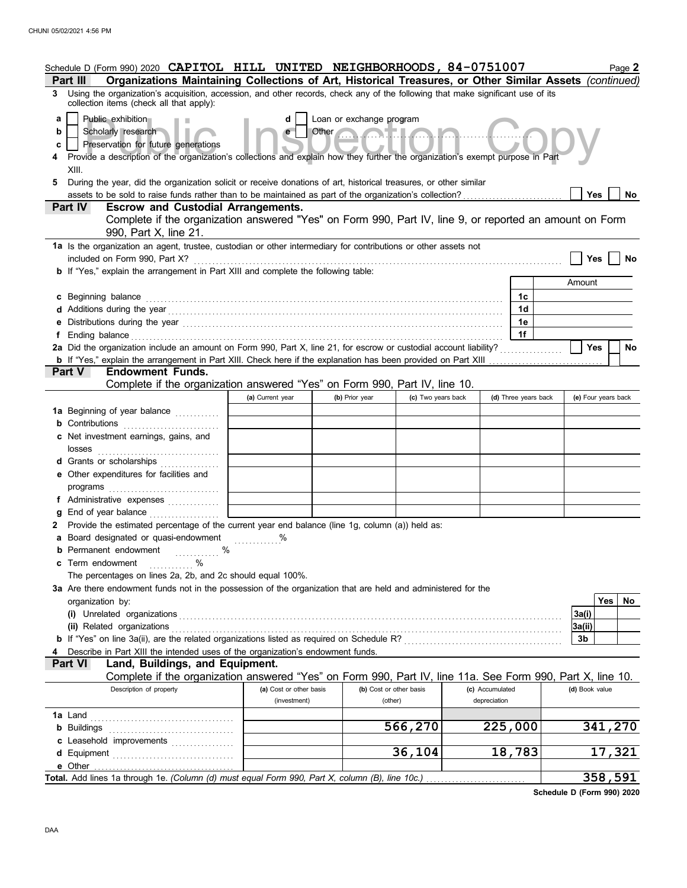| Schedule D (Form 990) 2020 CAPITOL HILL UNITED NEIGHBORHOODS, 84-0751007<br>Organizations Maintaining Collections of Art, Historical Treasures, or Other Similar Assets (continued)<br>Part III                                                                                                                                                               |                                   |                                                                                                                                                                                                                                                                  |                    |                 |                      | Page 2              |
|---------------------------------------------------------------------------------------------------------------------------------------------------------------------------------------------------------------------------------------------------------------------------------------------------------------------------------------------------------------|-----------------------------------|------------------------------------------------------------------------------------------------------------------------------------------------------------------------------------------------------------------------------------------------------------------|--------------------|-----------------|----------------------|---------------------|
| 3 Using the organization's acquisition, accession, and other records, check any of the following that make significant use of its<br>collection items (check all that apply):                                                                                                                                                                                 |                                   |                                                                                                                                                                                                                                                                  |                    |                 |                      |                     |
| Public exhibition<br>a<br>Scholarly research<br>b<br>Preservation for future generations<br>c<br>Provide a description of the organization's collections and explain how they further the organization's exempt purpose in Part<br>XIII.<br>During the year, did the organization solicit or receive donations of art, historical treasures, or other similar | d<br>e                            | Loan or exchange program<br>Other <b>Contract of the Contract of the Contract of the Contract of the Contract of the Contract of the Contract of the Contract of the Contract of the Contract of the Contract of the Contract of the Contract of the Contrac</b> |                    |                 |                      |                     |
|                                                                                                                                                                                                                                                                                                                                                               |                                   |                                                                                                                                                                                                                                                                  |                    |                 |                      | <b>Yes</b><br>No    |
| <b>Escrow and Custodial Arrangements.</b><br>Part IV<br>Complete if the organization answered "Yes" on Form 990, Part IV, line 9, or reported an amount on Form<br>990, Part X, line 21.                                                                                                                                                                      |                                   |                                                                                                                                                                                                                                                                  |                    |                 |                      |                     |
| 1a Is the organization an agent, trustee, custodian or other intermediary for contributions or other assets not<br>included on Form 990, Part X?                                                                                                                                                                                                              |                                   |                                                                                                                                                                                                                                                                  |                    |                 |                      | <b>Yes</b><br>No    |
| b If "Yes," explain the arrangement in Part XIII and complete the following table:                                                                                                                                                                                                                                                                            |                                   |                                                                                                                                                                                                                                                                  |                    |                 |                      |                     |
|                                                                                                                                                                                                                                                                                                                                                               |                                   |                                                                                                                                                                                                                                                                  |                    |                 |                      | Amount              |
| c Beginning balance                                                                                                                                                                                                                                                                                                                                           |                                   |                                                                                                                                                                                                                                                                  |                    |                 | 1c                   |                     |
|                                                                                                                                                                                                                                                                                                                                                               |                                   |                                                                                                                                                                                                                                                                  |                    |                 | 1d                   |                     |
|                                                                                                                                                                                                                                                                                                                                                               |                                   |                                                                                                                                                                                                                                                                  |                    |                 | 1е                   |                     |
| 2a Did the organization include an amount on Form 990, Part X, line 21, for escrow or custodial account liability?                                                                                                                                                                                                                                            |                                   |                                                                                                                                                                                                                                                                  |                    |                 | 1f                   | <b>Yes</b><br>No    |
|                                                                                                                                                                                                                                                                                                                                                               |                                   |                                                                                                                                                                                                                                                                  |                    |                 |                      |                     |
| <b>Endowment Funds.</b><br><b>Part V</b>                                                                                                                                                                                                                                                                                                                      |                                   |                                                                                                                                                                                                                                                                  |                    |                 |                      |                     |
| Complete if the organization answered "Yes" on Form 990, Part IV, line 10.                                                                                                                                                                                                                                                                                    |                                   |                                                                                                                                                                                                                                                                  |                    |                 |                      |                     |
|                                                                                                                                                                                                                                                                                                                                                               | (a) Current year                  | (b) Prior year                                                                                                                                                                                                                                                   | (c) Two years back |                 | (d) Three years back | (e) Four years back |
| 1a Beginning of year balance                                                                                                                                                                                                                                                                                                                                  |                                   |                                                                                                                                                                                                                                                                  |                    |                 |                      |                     |
| <b>b</b> Contributions <b>b</b> Contributions <b>b</b>                                                                                                                                                                                                                                                                                                        |                                   |                                                                                                                                                                                                                                                                  |                    |                 |                      |                     |
| c Net investment earnings, gains, and                                                                                                                                                                                                                                                                                                                         |                                   |                                                                                                                                                                                                                                                                  |                    |                 |                      |                     |
| d Grants or scholarships                                                                                                                                                                                                                                                                                                                                      |                                   |                                                                                                                                                                                                                                                                  |                    |                 |                      |                     |
| e Other expenditures for facilities and                                                                                                                                                                                                                                                                                                                       |                                   |                                                                                                                                                                                                                                                                  |                    |                 |                      |                     |
| programs $\ldots$ $\ldots$ $\ldots$ $\ldots$ $\ldots$ $\ldots$ $\ldots$ $\ldots$ $\ldots$ $\ldots$ $\ldots$ $\ldots$                                                                                                                                                                                                                                          |                                   |                                                                                                                                                                                                                                                                  |                    |                 |                      |                     |
| f Administrative expenses                                                                                                                                                                                                                                                                                                                                     | the control of the control of the |                                                                                                                                                                                                                                                                  |                    |                 |                      |                     |
| g<br>Provide the estimated percentage of the current year end balance (line 1g, column (a)) held as:                                                                                                                                                                                                                                                          |                                   |                                                                                                                                                                                                                                                                  |                    |                 |                      |                     |
| a Board designated or quasi-endowment                                                                                                                                                                                                                                                                                                                         | %<br>a an Dùbhlach                |                                                                                                                                                                                                                                                                  |                    |                 |                      |                     |
| <b>b</b> Permanent endowment                                                                                                                                                                                                                                                                                                                                  | $\%$                              |                                                                                                                                                                                                                                                                  |                    |                 |                      |                     |
| %<br>c Term endowment                                                                                                                                                                                                                                                                                                                                         |                                   |                                                                                                                                                                                                                                                                  |                    |                 |                      |                     |
| The percentages on lines 2a, 2b, and 2c should equal 100%.                                                                                                                                                                                                                                                                                                    |                                   |                                                                                                                                                                                                                                                                  |                    |                 |                      |                     |
| 3a Are there endowment funds not in the possession of the organization that are held and administered for the                                                                                                                                                                                                                                                 |                                   |                                                                                                                                                                                                                                                                  |                    |                 |                      |                     |
| organization by:                                                                                                                                                                                                                                                                                                                                              |                                   |                                                                                                                                                                                                                                                                  |                    |                 |                      | Yes<br>No           |
| (i) Unrelated organizations<br>(ii) Related organizations                                                                                                                                                                                                                                                                                                     |                                   |                                                                                                                                                                                                                                                                  |                    |                 |                      | 3a(i)               |
|                                                                                                                                                                                                                                                                                                                                                               |                                   |                                                                                                                                                                                                                                                                  |                    |                 |                      | 3a(ii)<br>3b        |
| Describe in Part XIII the intended uses of the organization's endowment funds.                                                                                                                                                                                                                                                                                |                                   |                                                                                                                                                                                                                                                                  |                    |                 |                      |                     |
| Land, Buildings, and Equipment.<br><b>Part VI</b>                                                                                                                                                                                                                                                                                                             |                                   |                                                                                                                                                                                                                                                                  |                    |                 |                      |                     |
| Complete if the organization answered "Yes" on Form 990, Part IV, line 11a. See Form 990, Part X, line 10.                                                                                                                                                                                                                                                    |                                   |                                                                                                                                                                                                                                                                  |                    |                 |                      |                     |
| Description of property                                                                                                                                                                                                                                                                                                                                       | (a) Cost or other basis           | (b) Cost or other basis                                                                                                                                                                                                                                          |                    | (c) Accumulated |                      | (d) Book value      |
|                                                                                                                                                                                                                                                                                                                                                               | (investment)                      | (other)                                                                                                                                                                                                                                                          |                    | depreciation    |                      |                     |
| <b>1a</b> Land                                                                                                                                                                                                                                                                                                                                                |                                   |                                                                                                                                                                                                                                                                  | 566,270            |                 | 225,000              | 341,270             |
| <b>b</b> Buildings<br>c Leasehold improvements                                                                                                                                                                                                                                                                                                                |                                   |                                                                                                                                                                                                                                                                  |                    |                 |                      |                     |
|                                                                                                                                                                                                                                                                                                                                                               |                                   |                                                                                                                                                                                                                                                                  | 36,104             |                 | 18,783               | 17,321              |
| e Other                                                                                                                                                                                                                                                                                                                                                       |                                   |                                                                                                                                                                                                                                                                  |                    |                 |                      |                     |
| Total. Add lines 1a through 1e. (Column (d) must equal Form 990, Part X, column (B), line 10c.)                                                                                                                                                                                                                                                               |                                   |                                                                                                                                                                                                                                                                  |                    |                 |                      | 358,591             |

**Schedule D (Form 990) 2020**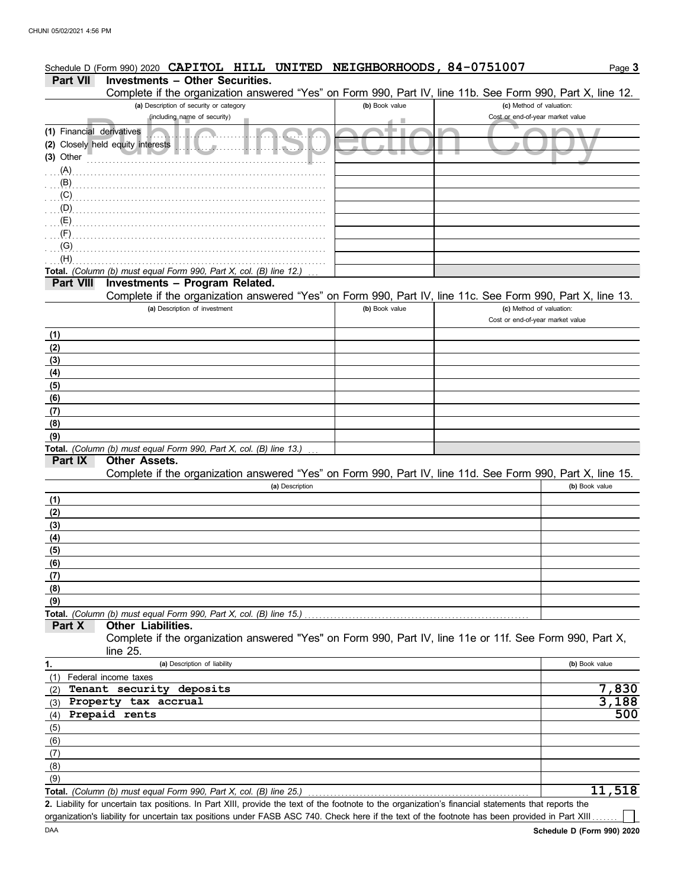|                           | Schedule D (Form 990) 2020 CAPITOL HILL UNITED                                                                                                       | NEIGHBORHOODS, 84-0751007 |                                  | Page 3         |
|---------------------------|------------------------------------------------------------------------------------------------------------------------------------------------------|---------------------------|----------------------------------|----------------|
| <b>Part VII</b>           | <b>Investments - Other Securities</b>                                                                                                                |                           |                                  |                |
|                           | Complete if the organization answered "Yes" on Form 990, Part IV, line 11b. See Form 990, Part X, line 12.                                           |                           |                                  |                |
|                           | (a) Description of security or category                                                                                                              | (b) Book value            | (c) Method of valuation:         |                |
|                           | (including name of security)                                                                                                                         |                           | Cost or end-of-year market value |                |
| (1) Financial derivatives |                                                                                                                                                      |                           |                                  |                |
|                           | (2) Closely held equity interests                                                                                                                    |                           |                                  |                |
| (3) Other                 |                                                                                                                                                      |                           |                                  |                |
| (A)                       |                                                                                                                                                      |                           |                                  |                |
| (B)                       |                                                                                                                                                      |                           |                                  |                |
| (C)                       |                                                                                                                                                      |                           |                                  |                |
| (D)<br>(E)                |                                                                                                                                                      |                           |                                  |                |
| (F)                       |                                                                                                                                                      |                           |                                  |                |
| (G)                       |                                                                                                                                                      |                           |                                  |                |
| (H)                       |                                                                                                                                                      |                           |                                  |                |
|                           | Total. (Column (b) must equal Form 990, Part X, col. (B) line 12.)                                                                                   |                           |                                  |                |
| <b>Part VIII</b>          | Investments - Program Related.                                                                                                                       |                           |                                  |                |
|                           | Complete if the organization answered "Yes" on Form 990, Part IV, line 11c. See Form 990, Part X, line 13.                                           |                           |                                  |                |
|                           | (a) Description of investment                                                                                                                        | (b) Book value            | (c) Method of valuation:         |                |
|                           |                                                                                                                                                      |                           | Cost or end-of-year market value |                |
| (1)                       |                                                                                                                                                      |                           |                                  |                |
| (2)                       |                                                                                                                                                      |                           |                                  |                |
| (3)                       |                                                                                                                                                      |                           |                                  |                |
| (4)                       |                                                                                                                                                      |                           |                                  |                |
| (5)                       |                                                                                                                                                      |                           |                                  |                |
| (6)                       |                                                                                                                                                      |                           |                                  |                |
| (7)                       |                                                                                                                                                      |                           |                                  |                |
| (8)                       |                                                                                                                                                      |                           |                                  |                |
| (9)                       |                                                                                                                                                      |                           |                                  |                |
|                           | Total. (Column (b) must equal Form 990, Part X, col. (B) line 13.)                                                                                   |                           |                                  |                |
| Part IX                   | <b>Other Assets.</b>                                                                                                                                 |                           |                                  |                |
|                           | Complete if the organization answered "Yes" on Form 990, Part IV, line 11d. See Form 990, Part X, line 15.                                           |                           |                                  |                |
|                           | (a) Description                                                                                                                                      |                           |                                  | (b) Book value |
| (1)                       |                                                                                                                                                      |                           |                                  |                |
| (2)<br>(3)                |                                                                                                                                                      |                           |                                  |                |
| (4)                       |                                                                                                                                                      |                           |                                  |                |
| (5)                       |                                                                                                                                                      |                           |                                  |                |
| (6)                       |                                                                                                                                                      |                           |                                  |                |
| (7)                       |                                                                                                                                                      |                           |                                  |                |
| (8)                       |                                                                                                                                                      |                           |                                  |                |
| (9)                       |                                                                                                                                                      |                           |                                  |                |
|                           | Total. (Column (b) must equal Form 990, Part X, col. (B) line 15.)                                                                                   |                           |                                  |                |
| Part X                    | Other Liabilities.                                                                                                                                   |                           |                                  |                |
|                           | Complete if the organization answered "Yes" on Form 990, Part IV, line 11e or 11f. See Form 990, Part X,<br>line $25$ .                              |                           |                                  |                |
| 1.                        | (a) Description of liability                                                                                                                         |                           |                                  | (b) Book value |
| (1)                       | Federal income taxes                                                                                                                                 |                           |                                  |                |
| (2)                       | Tenant security deposits                                                                                                                             |                           |                                  | 7,830          |
| (3)                       | Property tax accrual                                                                                                                                 |                           |                                  | 3,188          |
| (4)                       | Prepaid rents                                                                                                                                        |                           |                                  | 500            |
| (5)                       |                                                                                                                                                      |                           |                                  |                |
| (6)                       |                                                                                                                                                      |                           |                                  |                |
| (7)                       |                                                                                                                                                      |                           |                                  |                |
| (8)                       |                                                                                                                                                      |                           |                                  |                |
| (9)                       |                                                                                                                                                      |                           |                                  |                |
|                           | Total. (Column (b) must equal Form 990, Part X, col. (B) line 25.)                                                                                   |                           |                                  | 11,518         |
|                           | 2. Liability for uncertain tax positions. In Part XIII, provide the text of the footnote to the organization's financial statements that reports the |                           |                                  |                |

DAA iability for uncertain tax positions. In Part XIII, provide the text of the footnote to the organization's financial statements that reports the organization's liability for uncertain tax positions under FASB ASC 740. Check here if the text of the footnote has been provided in Part XIII ....

 $\Box$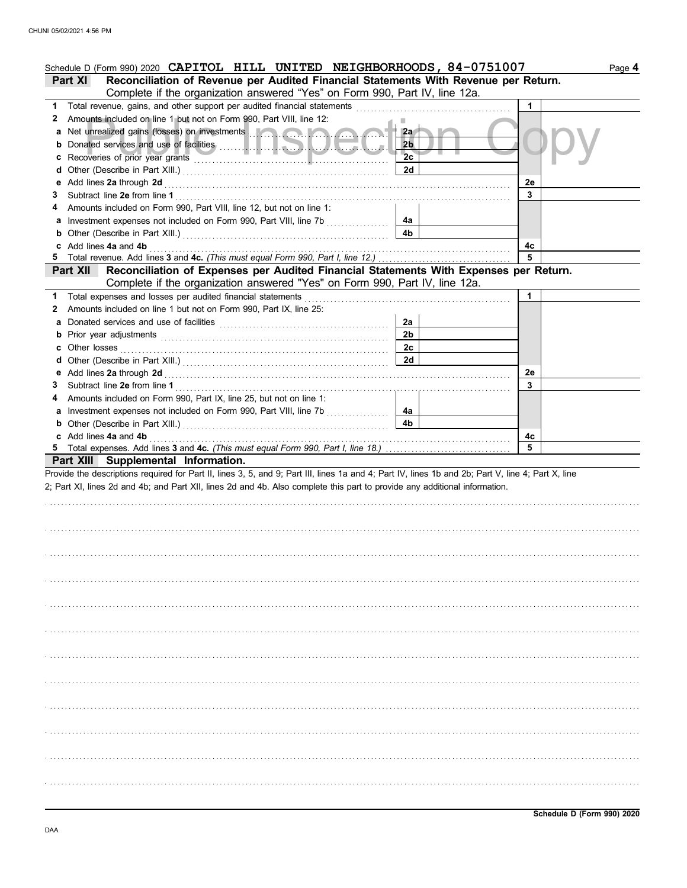|              | Schedule D (Form 990) 2020 CAPITOL HILL UNITED NEIGHBORHOODS, 84-0751007                                                                           |                |    | Page 4 |
|--------------|----------------------------------------------------------------------------------------------------------------------------------------------------|----------------|----|--------|
|              | Reconciliation of Revenue per Audited Financial Statements With Revenue per Return.<br>Part XI                                                     |                |    |        |
|              | Complete if the organization answered "Yes" on Form 990, Part IV, line 12a.                                                                        |                |    |        |
|              | 1 Total revenue, gains, and other support per audited financial statements                                                                         |                | 1  |        |
| $\mathbf{2}$ | Amounts included on line 1 but not on Form 990, Part VIII, line 12:                                                                                |                |    |        |
|              | a Net unrealized gains (losses) on investments and contract on the con-                                                                            | 2a             |    |        |
|              |                                                                                                                                                    | 2 <sub>b</sub> |    |        |
|              |                                                                                                                                                    | 2 <sub>c</sub> |    |        |
|              |                                                                                                                                                    | 2d             |    |        |
|              |                                                                                                                                                    |                | 2e |        |
| 3            | Subtract line 2e from line 1                                                                                                                       |                | 3  |        |
| 4            | Amounts included on Form 990, Part VIII, line 12, but not on line 1:                                                                               |                |    |        |
|              | a Investment expenses not included on Form 990, Part VIII, line 7b [                                                                               | 4a             |    |        |
|              |                                                                                                                                                    | 4b             |    |        |
|              |                                                                                                                                                    |                | 4c |        |
|              |                                                                                                                                                    |                | 5  |        |
|              | Reconciliation of Expenses per Audited Financial Statements With Expenses per Return.<br>Part XII                                                  |                |    |        |
|              | Complete if the organization answered "Yes" on Form 990, Part IV, line 12a.                                                                        |                |    |        |
|              | 1 Total expenses and losses per audited financial statements                                                                                       |                | 1  |        |
| 2            | Amounts included on line 1 but not on Form 990, Part IX, line 25:                                                                                  |                |    |        |
|              |                                                                                                                                                    | 2a             |    |        |
|              |                                                                                                                                                    | 2 <sub>b</sub> |    |        |
|              |                                                                                                                                                    | 2с             |    |        |
|              |                                                                                                                                                    | <b>2d</b>      |    |        |
|              |                                                                                                                                                    |                | 2e |        |
|              |                                                                                                                                                    |                | 3  |        |
|              | 4 Amounts included on Form 990, Part IX, line 25, but not on line 1:                                                                               |                |    |        |
|              | a Investment expenses not included on Form 990, Part VIII, line 7b                                                                                 | 4a             |    |        |
|              |                                                                                                                                                    | 4b             |    |        |
|              |                                                                                                                                                    |                |    |        |
|              | c Add lines 4a and 4b                                                                                                                              |                | 4c |        |
|              |                                                                                                                                                    |                | 5  |        |
|              | Part XIII Supplemental Information.                                                                                                                |                |    |        |
|              | Provide the descriptions required for Part II, lines 3, 5, and 9; Part III, lines 1a and 4; Part IV, lines 1b and 2b; Part V, line 4; Part X, line |                |    |        |
|              | 2; Part XI, lines 2d and 4b; and Part XII, lines 2d and 4b. Also complete this part to provide any additional information.                         |                |    |        |
|              |                                                                                                                                                    |                |    |        |
|              |                                                                                                                                                    |                |    |        |
|              |                                                                                                                                                    |                |    |        |
|              |                                                                                                                                                    |                |    |        |
|              |                                                                                                                                                    |                |    |        |
|              |                                                                                                                                                    |                |    |        |
|              |                                                                                                                                                    |                |    |        |
|              |                                                                                                                                                    |                |    |        |
|              |                                                                                                                                                    |                |    |        |
|              |                                                                                                                                                    |                |    |        |
|              |                                                                                                                                                    |                |    |        |
|              |                                                                                                                                                    |                |    |        |
|              |                                                                                                                                                    |                |    |        |
|              |                                                                                                                                                    |                |    |        |
|              |                                                                                                                                                    |                |    |        |
|              |                                                                                                                                                    |                |    |        |
|              |                                                                                                                                                    |                |    |        |
|              |                                                                                                                                                    |                |    |        |
|              |                                                                                                                                                    |                |    |        |
|              |                                                                                                                                                    |                |    |        |
|              |                                                                                                                                                    |                |    |        |
|              |                                                                                                                                                    |                |    |        |
|              |                                                                                                                                                    |                |    |        |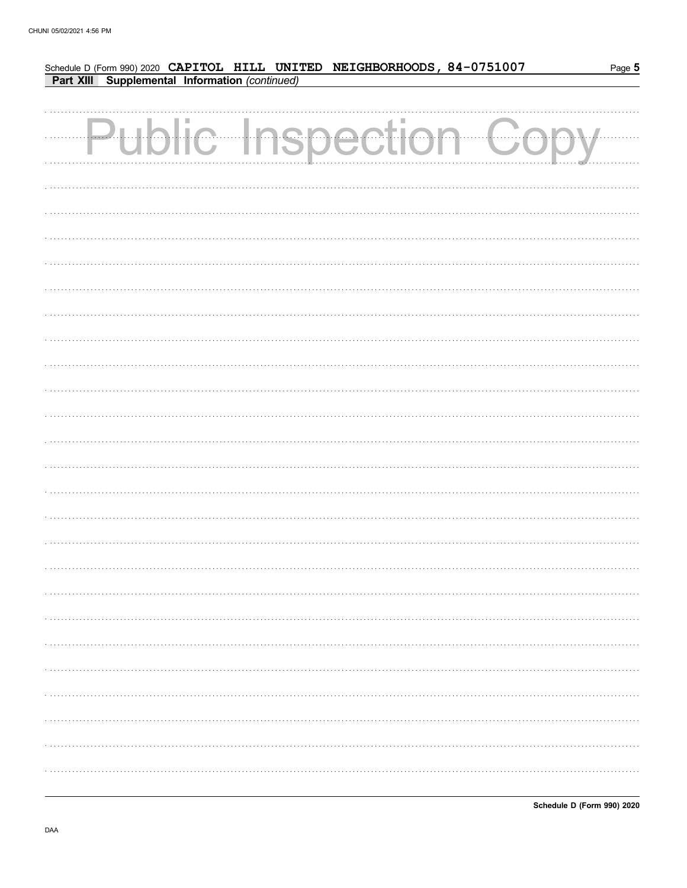| Schedule D (Form 990) 2020 CAPITOL HILL UNITED NEIGHBORHOODS, 84-0751007<br>Part XIII Supplemental Information (continued) |  |  |                       | Page 5 |
|----------------------------------------------------------------------------------------------------------------------------|--|--|-----------------------|--------|
|                                                                                                                            |  |  |                       |        |
|                                                                                                                            |  |  | Public Inspection Cor |        |
|                                                                                                                            |  |  |                       |        |
|                                                                                                                            |  |  |                       |        |
|                                                                                                                            |  |  |                       |        |
|                                                                                                                            |  |  |                       |        |
|                                                                                                                            |  |  |                       |        |
|                                                                                                                            |  |  |                       |        |
|                                                                                                                            |  |  |                       |        |
|                                                                                                                            |  |  |                       |        |
|                                                                                                                            |  |  |                       |        |
|                                                                                                                            |  |  |                       |        |
|                                                                                                                            |  |  |                       |        |
|                                                                                                                            |  |  |                       |        |
|                                                                                                                            |  |  |                       |        |
|                                                                                                                            |  |  |                       |        |
|                                                                                                                            |  |  |                       |        |
|                                                                                                                            |  |  |                       |        |
|                                                                                                                            |  |  |                       |        |
|                                                                                                                            |  |  |                       |        |
|                                                                                                                            |  |  |                       |        |
|                                                                                                                            |  |  |                       |        |
|                                                                                                                            |  |  |                       |        |
|                                                                                                                            |  |  |                       |        |
|                                                                                                                            |  |  |                       |        |
|                                                                                                                            |  |  |                       |        |
|                                                                                                                            |  |  |                       |        |

Schedule D (Form 990) 2020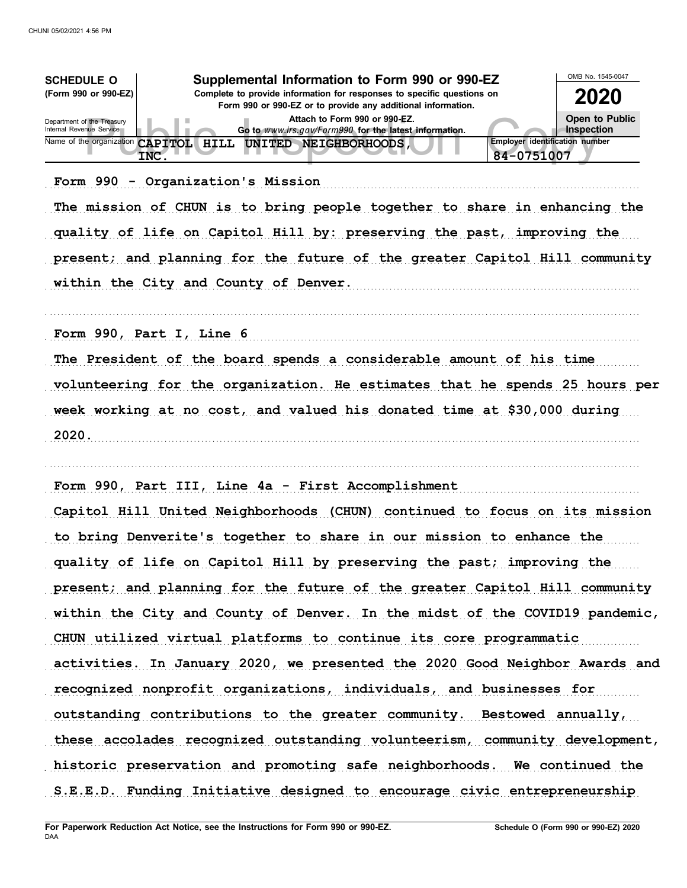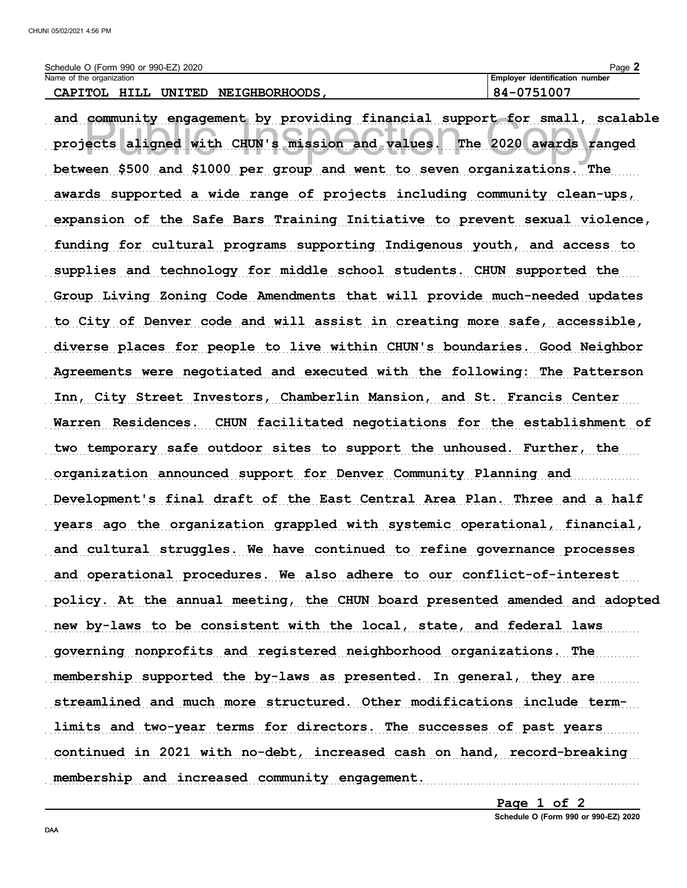| 2020<br>990<br>0 or 990-EZ<br>3chedule<br>(Form | Page                                              |
|-------------------------------------------------|---------------------------------------------------|
| Name<br>organization<br>the<br>nt               | $-0.00$<br>identification<br>number<br>. Emplover |
| .                                               | -------<br>- -                                    |

CAPITOL HILL UNITED NEIGHBORHOODS,

and community engagement by providing financial support for small, scalable projects aligned with CHUN's mission and values. The 2020 awards ranged between \$500 and \$1000 per group and went to seven organizations. The awards supported a wide range of projects including community clean-ups, expansion of the Safe Bars Training Initiative to prevent sexual violence, funding for cultural programs supporting Indigenous youth, and access to supplies and technology for middle school students. CHUN supported the Group Living Zoning Code Amendments that will provide much-needed updates to City of Denver code and will assist in creating more safe, accessible, diverse places for people to live within CHUN's boundaries. Good Neighbor Agreements were negotiated and executed with the following: The Patterson Inn, City Street Investors, Chamberlin Mansion, and St. Francis Center Warren Residences. CHUN facilitated negotiations for the establishment of two temporary safe outdoor sites to support the unhoused. Further, the organization announced support for Denver Community Planning and Development's final draft of the East Central Area Plan. Three and a half years ago the organization grappled with systemic operational, financial, and cultural struggles. We have continued to refine governance processes and operational procedures. We also adhere to our conflict-of-interest policy. At the annual meeting, the CHUN board presented amended and adopted new by-laws to be consistent with the local, state, and federal laws governing nonprofits and registered neighborhood organizations. The membership supported the by-laws as presented. In general, they are streamlined and much more structured. Other modifications include termlimits and two-year terms for directors. The successes of past years continued in 2021 with no-debt, increased cash on hand, record-breaking membership and increased community engagement.